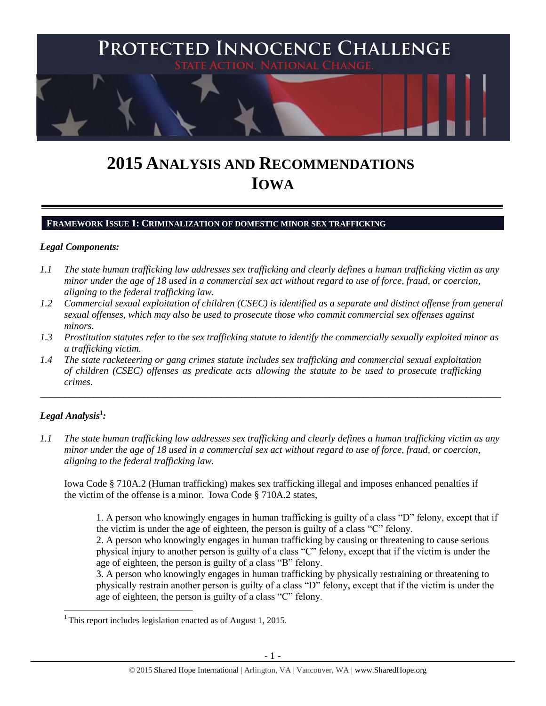

# **2015 ANALYSIS AND RECOMMENDATIONS IOWA**

#### **FRAMEWORK ISSUE 1: CRIMINALIZATION OF DOMESTIC MINOR SEX TRAFFICKING**

#### *Legal Components:*

- *1.1 The state human trafficking law addresses sex trafficking and clearly defines a human trafficking victim as any minor under the age of 18 used in a commercial sex act without regard to use of force, fraud, or coercion, aligning to the federal trafficking law.*
- *1.2 Commercial sexual exploitation of children (CSEC) is identified as a separate and distinct offense from general sexual offenses, which may also be used to prosecute those who commit commercial sex offenses against minors.*
- *1.3 Prostitution statutes refer to the sex trafficking statute to identify the commercially sexually exploited minor as a trafficking victim.*

\_\_\_\_\_\_\_\_\_\_\_\_\_\_\_\_\_\_\_\_\_\_\_\_\_\_\_\_\_\_\_\_\_\_\_\_\_\_\_\_\_\_\_\_\_\_\_\_\_\_\_\_\_\_\_\_\_\_\_\_\_\_\_\_\_\_\_\_\_\_\_\_\_\_\_\_\_\_\_\_\_\_\_\_\_\_\_\_\_\_\_\_\_\_

*1.4 The state racketeering or gang crimes statute includes sex trafficking and commercial sexual exploitation of children (CSEC) offenses as predicate acts allowing the statute to be used to prosecute trafficking crimes.* 

# $\bm{\mathit{Legal\; Analysis^1:}}$

 $\overline{a}$ 

*1.1 The state human trafficking law addresses sex trafficking and clearly defines a human trafficking victim as any minor under the age of 18 used in a commercial sex act without regard to use of force, fraud, or coercion, aligning to the federal trafficking law.*

Iowa Code § 710A.2 (Human trafficking) makes sex trafficking illegal and imposes enhanced penalties if the victim of the offense is a minor. Iowa Code § 710A.2 states,

1. A person who knowingly engages in human trafficking is guilty of a class "D" felony, except that if the victim is under the age of eighteen, the person is guilty of a class "C" felony.

2. A person who knowingly engages in human trafficking by causing or threatening to cause serious physical injury to another person is guilty of a class "C" felony, except that if the victim is under the age of eighteen, the person is guilty of a class "B" felony.

3. A person who knowingly engages in human trafficking by physically restraining or threatening to physically restrain another person is guilty of a class "D" felony, except that if the victim is under the age of eighteen, the person is guilty of a class "C" felony.

<sup>&</sup>lt;sup>1</sup> This report includes legislation enacted as of August 1, 2015.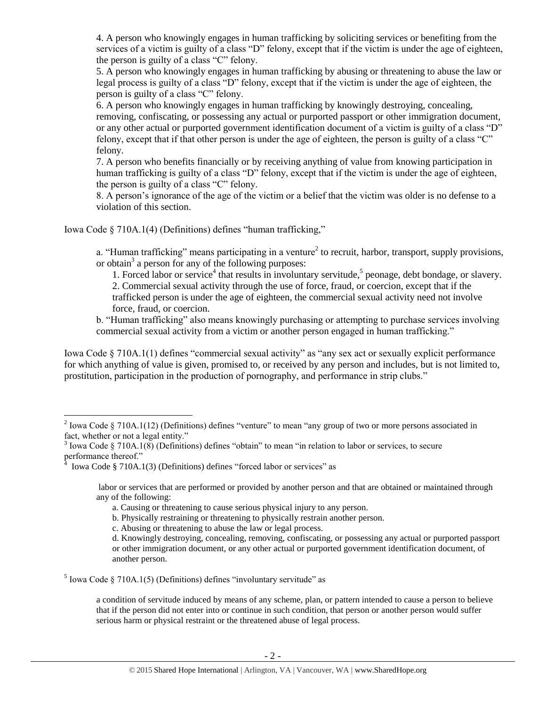4. A person who knowingly engages in human trafficking by soliciting services or benefiting from the services of a victim is guilty of a class "D" felony, except that if the victim is under the age of eighteen, the person is guilty of a class "C" felony.

5. A person who knowingly engages in human trafficking by abusing or threatening to abuse the law or legal process is guilty of a class "D" felony, except that if the victim is under the age of eighteen, the person is guilty of a class "C" felony.

6. A person who knowingly engages in human trafficking by knowingly destroying, concealing, removing, confiscating, or possessing any actual or purported passport or other immigration document, or any other actual or purported government identification document of a victim is guilty of a class "D" felony, except that if that other person is under the age of eighteen, the person is guilty of a class "C" felony.

7. A person who benefits financially or by receiving anything of value from knowing participation in human trafficking is guilty of a class "D" felony, except that if the victim is under the age of eighteen, the person is guilty of a class "C" felony.

8. A person's ignorance of the age of the victim or a belief that the victim was older is no defense to a violation of this section.

Iowa Code § 710A.1(4) (Definitions) defines "human trafficking,"

a. "Human trafficking" means participating in a venture<sup>2</sup> to recruit, harbor, transport, supply provisions, or obtain<sup>3</sup> a person for any of the following purposes:

<span id="page-1-0"></span>1. Forced labor or service<sup>4</sup> that results in involuntary servitude,<sup>5</sup> peonage, debt bondage, or slavery.

2. Commercial sexual activity through the use of force, fraud, or coercion, except that if the

trafficked person is under the age of eighteen, the commercial sexual activity need not involve force, fraud, or coercion.

b. "Human trafficking" also means knowingly purchasing or attempting to purchase services involving commercial sexual activity from a victim or another person engaged in human trafficking."

Iowa Code § 710A.1(1) defines "commercial sexual activity" as "any sex act or sexually explicit performance for which anything of value is given, promised to, or received by any person and includes, but is not limited to, prostitution, participation in the production of pornography, and performance in strip clubs."

 $\overline{a}$ 

 $<sup>5</sup>$  Iowa Code § 710A.1(5) (Definitions) defines "involuntary servitude" as</sup>

a condition of servitude induced by means of any scheme, plan, or pattern intended to cause a person to believe that if the person did not enter into or continue in such condition, that person or another person would suffer serious harm or physical restraint or the threatened abuse of legal process.

<sup>&</sup>lt;sup>2</sup> Iowa Code § 710A.1(12) (Definitions) defines "venture" to mean "any group of two or more persons associated in fact, whether or not a legal entity."

 $3$  Iowa Code § 710A.1(8) (Definitions) defines "obtain" to mean "in relation to labor or services, to secure performance thereof."

Iowa Code § 710A.1(3) (Definitions) defines "forced labor or services" as

labor or services that are performed or provided by another person and that are obtained or maintained through any of the following:

a. Causing or threatening to cause serious physical injury to any person.

b. Physically restraining or threatening to physically restrain another person.

c. Abusing or threatening to abuse the law or legal process.

d. Knowingly destroying, concealing, removing, confiscating, or possessing any actual or purported passport or other immigration document, or any other actual or purported government identification document, of another person.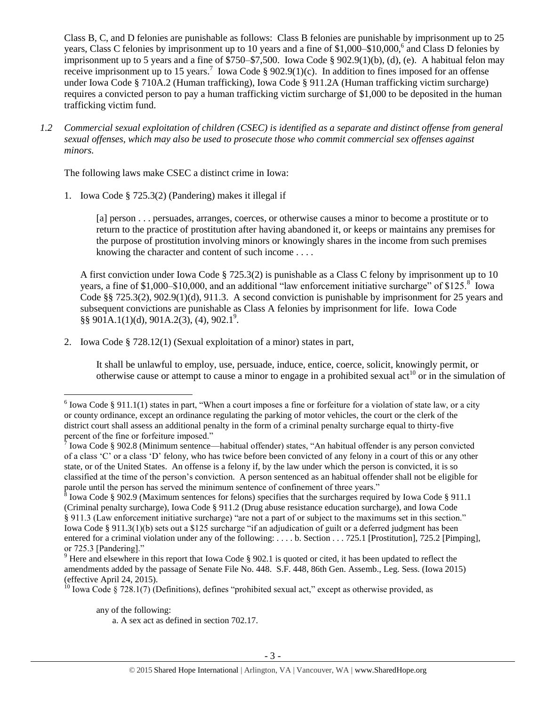<span id="page-2-0"></span>Class B, C, and D felonies are punishable as follows: Class B felonies are punishable by imprisonment up to 25 years, Class C felonies by imprisonment up to 10 years and a fine of \$1,000–\$10,000,<sup>6</sup> and Class D felonies by imprisonment up to 5 years and a fine of \$750–\$7,500. Iowa Code § 902.9(1)(b), (d), (e). A habitual felon may receive imprisonment up to 15 years.<sup>7</sup> Iowa Code § 902.9(1)(c). In addition to fines imposed for an offense under Iowa Code § 710A.2 (Human trafficking), Iowa Code § 911.2A (Human trafficking victim surcharge) requires a convicted person to pay a human trafficking victim surcharge of \$1,000 to be deposited in the human trafficking victim fund.

*1.2 Commercial sexual exploitation of children (CSEC) is identified as a separate and distinct offense from general sexual offenses, which may also be used to prosecute those who commit commercial sex offenses against minors.*

The following laws make CSEC a distinct crime in Iowa:

1. Iowa Code § 725.3(2) (Pandering) makes it illegal if

<span id="page-2-3"></span>[a] person . . . persuades, arranges, coerces, or otherwise causes a minor to become a prostitute or to return to the practice of prostitution after having abandoned it, or keeps or maintains any premises for the purpose of prostitution involving minors or knowingly shares in the income from such premises knowing the character and content of such income . . . .

A first conviction under Iowa Code § 725.3(2) is punishable as a Class C felony by imprisonment up to 10 years, a fine of \$1,000–\$10,000, and an additional "law enforcement initiative surcharge" of \$125. $8^{\circ}$  Iowa Code §§ 725.3(2), 902.9(1)(d), 911.3. A second conviction is punishable by imprisonment for 25 years and subsequent convictions are punishable as Class A felonies by imprisonment for life. Iowa Code  $\S\S 901A.1(1)(d), 901A.2(3), (4), 902.1<sup>9</sup>.$ 

2. Iowa Code § 728.12(1) (Sexual exploitation of a minor) states in part,

<span id="page-2-2"></span><span id="page-2-1"></span>It shall be unlawful to employ, use, persuade, induce, entice, coerce, solicit, knowingly permit, or otherwise cause or attempt to cause a minor to engage in a prohibited sexual act<sup>10</sup> or in the simulation of

<sup>&</sup>lt;sup>6</sup> Iowa Code § 911.1(1) states in part, "When a court imposes a fine or forfeiture for a violation of state law, or a city or county ordinance, except an ordinance regulating the parking of motor vehicles, the court or the clerk of the district court shall assess an additional penalty in the form of a criminal penalty surcharge equal to thirty-five percent of the fine or forfeiture imposed."

<sup>&</sup>lt;sup>7</sup> Iowa Code § 902.8 (Minimum sentence—habitual offender) states, "An habitual offender is any person convicted of a class 'C' or a class 'D' felony, who has twice before been convicted of any felony in a court of this or any other state, or of the United States. An offense is a felony if, by the law under which the person is convicted, it is so classified at the time of the person's conviction. A person sentenced as an habitual offender shall not be eligible for parole until the person has served the minimum sentence of confinement of three years."

<sup>&</sup>lt;sup>8</sup> Iowa Code § 902.9 (Maximum sentences for felons) specifies that the surcharges required by Iowa Code § 911.1 (Criminal penalty surcharge), Iowa Code § 911.2 (Drug abuse resistance education surcharge), and Iowa Code § 911.3 (Law enforcement initiative surcharge) "are not a part of or subject to the maximums set in this section." Iowa Code § 911.3(1)(b) sets out a \$125 surcharge "if an adjudication of guilt or a deferred judgment has been entered for a criminal violation under any of the following: . . . . b. Section . . . 725.1 [Prostitution], 725.2 [Pimping], or 725.3 [Pandering]."

<sup>&</sup>lt;sup>9</sup> Here and elsewhere in this report that Iowa Code § 902.1 is quoted or cited, it has been updated to reflect the amendments added by the passage of Senate File No. 448. S.F. 448, 86th Gen. Assemb., Leg. Sess. (Iowa 2015) (effective April 24, 2015).

<sup>&</sup>lt;sup>10</sup> Iowa Code § 728.1(7) (Definitions), defines "prohibited sexual act," except as otherwise provided, as

any of the following:

a. A sex act as defined in section 702.17.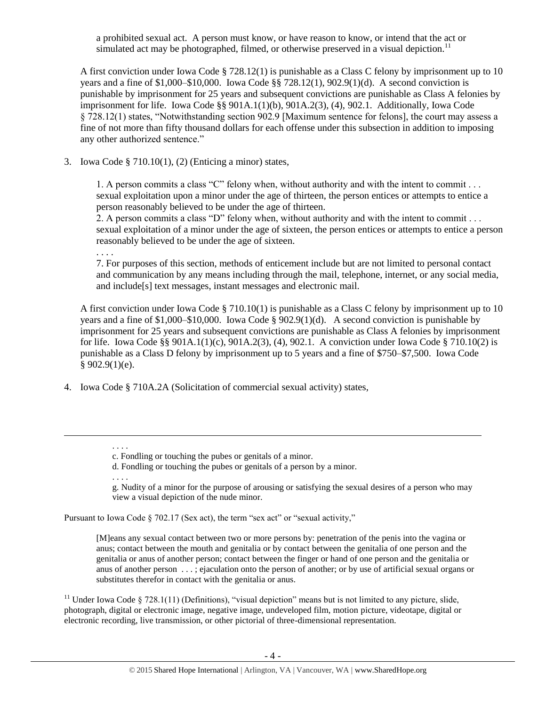a prohibited sexual act. A person must know, or have reason to know, or intend that the act or simulated act may be photographed, filmed, or otherwise preserved in a visual depiction.<sup>11</sup>

A first conviction under Iowa Code § 728.12(1) is punishable as a Class C felony by imprisonment up to 10 years and a fine of \$1,000–\$10,000. Iowa Code §§ 728.12(1), 902.9(1)(d). A second conviction is punishable by imprisonment for 25 years and subsequent convictions are punishable as Class A felonies by imprisonment for life. Iowa Code §§ 901A.1(1)(b), 901A.2(3), (4), 902.1. Additionally, Iowa Code § 728.12(1) states, "Notwithstanding section 902.9 [Maximum sentence for felons], the court may assess a fine of not more than fifty thousand dollars for each offense under this subsection in addition to imposing any other authorized sentence."

3. Iowa Code § 710.10(1), (2) (Enticing a minor) states,

1. A person commits a class "C" felony when, without authority and with the intent to commit . . . sexual exploitation upon a minor under the age of thirteen, the person entices or attempts to entice a person reasonably believed to be under the age of thirteen.

2. A person commits a class "D" felony when, without authority and with the intent to commit . . . sexual exploitation of a minor under the age of sixteen, the person entices or attempts to entice a person reasonably believed to be under the age of sixteen.

. . . .

7. For purposes of this section, methods of enticement include but are not limited to personal contact and communication by any means including through the mail, telephone, internet, or any social media, and include[s] text messages, instant messages and electronic mail.

A first conviction under Iowa Code § 710.10(1) is punishable as a Class C felony by imprisonment up to 10 years and a fine of \$1,000–\$10,000. Iowa Code § 902.9(1)(d). A second conviction is punishable by imprisonment for 25 years and subsequent convictions are punishable as Class A felonies by imprisonment for life. Iowa Code §§ 901A.1(1)(c), 901A.2(3), (4), 902.1. A conviction under Iowa Code § 710.10(2) is punishable as a Class D felony by imprisonment up to 5 years and a fine of \$750–\$7,500. Iowa Code  $§ 902.9(1)(e).$ 

4. Iowa Code § 710A.2A (Solicitation of commercial sexual activity) states,

. . . .

 $\overline{a}$ 

g. Nudity of a minor for the purpose of arousing or satisfying the sexual desires of a person who may view a visual depiction of the nude minor.

Pursuant to Iowa Code § 702.17 (Sex act), the term "sex act" or "sexual activity,"

[M]eans any sexual contact between two or more persons by: penetration of the penis into the vagina or anus; contact between the mouth and genitalia or by contact between the genitalia of one person and the genitalia or anus of another person; contact between the finger or hand of one person and the genitalia or anus of another person . . . ; ejaculation onto the person of another; or by use of artificial sexual organs or substitutes therefor in contact with the genitalia or anus.

<sup>11</sup> Under Iowa Code § 728.1(11) (Definitions), "visual depiction" means but is not limited to any picture, slide, photograph, digital or electronic image, negative image, undeveloped film, motion picture, videotape, digital or electronic recording, live transmission, or other pictorial of three-dimensional representation.

<sup>. . . .</sup> c. Fondling or touching the pubes or genitals of a minor.

d. Fondling or touching the pubes or genitals of a person by a minor.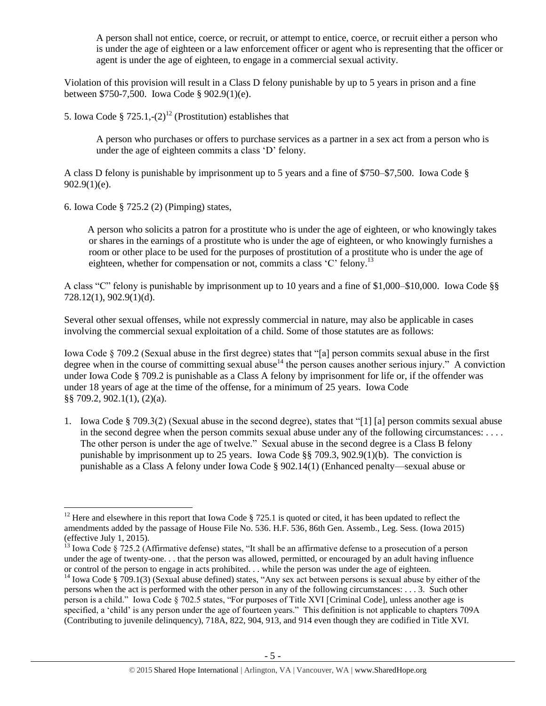A person shall not entice, coerce, or recruit, or attempt to entice, coerce, or recruit either a person who is under the age of eighteen or a law enforcement officer or agent who is representing that the officer or agent is under the age of eighteen, to engage in a commercial sexual activity.

Violation of this provision will result in a Class D felony punishable by up to 5 years in prison and a fine between \$750-7,500. Iowa Code § 902.9(1)(e).

5. Iowa Code §  $725.1, -(2)^{12}$  (Prostitution) establishes that

<span id="page-4-1"></span>A person who purchases or offers to purchase services as a partner in a sex act from a person who is under the age of eighteen commits a class 'D' felony.

A class D felony is punishable by imprisonment up to 5 years and a fine of \$750–\$7,500. Iowa Code §  $902.9(1)(e)$ .

6. Iowa Code § 725.2 (2) (Pimping) states,

 $\overline{a}$ 

 A person who solicits a patron for a prostitute who is under the age of eighteen, or who knowingly takes or shares in the earnings of a prostitute who is under the age of eighteen, or who knowingly furnishes a room or other place to be used for the purposes of prostitution of a prostitute who is under the age of eighteen, whether for compensation or not, commits a class 'C' felony.<sup>13</sup>

A class "C" felony is punishable by imprisonment up to 10 years and a fine of \$1,000–\$10,000. Iowa Code §§ 728.12(1), 902.9(1)(d).

Several other sexual offenses, while not expressly commercial in nature, may also be applicable in cases involving the commercial sexual exploitation of a child. Some of those statutes are as follows:

<span id="page-4-0"></span>Iowa Code § 709.2 (Sexual abuse in the first degree) states that "[a] person commits sexual abuse in the first degree when in the course of committing sexual abuse<sup>14</sup> the person causes another serious injury." A conviction under Iowa Code § 709.2 is punishable as a Class A felony by imprisonment for life or, if the offender was under 18 years of age at the time of the offense, for a minimum of 25 years. Iowa Code §§ 709.2, 902.1(1), (2)(a).

1. Iowa Code § 709.3(2) (Sexual abuse in the second degree), states that "[1] [a] person commits sexual abuse in the second degree when the person commits sexual abuse under any of the following circumstances: . . . . The other person is under the age of twelve." Sexual abuse in the second degree is a Class B felony punishable by imprisonment up to 25 years. Iowa Code §§ 709.3, 902.9(1)(b). The conviction is punishable as a Class A felony under Iowa Code § 902.14(1) (Enhanced penalty—sexual abuse or

<sup>&</sup>lt;sup>12</sup> Here and elsewhere in this report that Iowa Code § 725.1 is quoted or cited, it has been updated to reflect the amendments added by the passage of House File No. 536. H.F. 536, 86th Gen. Assemb., Leg. Sess. (Iowa 2015) (effective July 1, 2015).

 $^{13}$  Iowa Code § 725.2 (Affirmative defense) states, "It shall be an affirmative defense to a prosecution of a person under the age of twenty-one. . . that the person was allowed, permitted, or encouraged by an adult having influence or control of the person to engage in acts prohibited. . . while the person was under the age of eighteen.

<sup>&</sup>lt;sup>14</sup> Iowa Code § 709.1(3) (Sexual abuse defined) states, "Any sex act between persons is sexual abuse by either of the persons when the act is performed with the other person in any of the following circumstances: . . . 3. Such other person is a child." Iowa Code § 702.5 states, "For purposes of Title XVI [Criminal Code], unless another age is specified, a 'child' is any person under the age of fourteen years." This definition is not applicable to chapters 709A (Contributing to juvenile delinquency), 718A, 822, 904, 913, and 914 even though they are codified in Title XVI.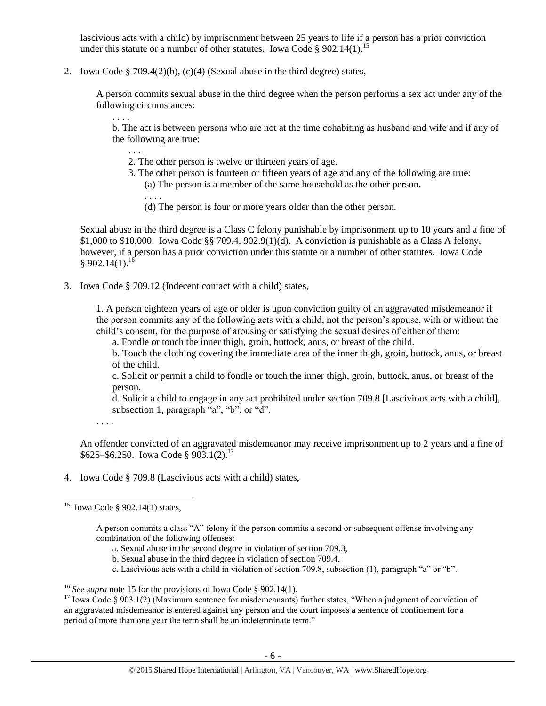lascivious acts with a child) by imprisonment between 25 years to life if a person has a prior conviction under this statute or a number of other statutes. Iowa Code § 902.14(1).<sup>15</sup>

2. Iowa Code § 709.4(2)(b), (c)(4) (Sexual abuse in the third degree) states,

A person commits sexual abuse in the third degree when the person performs a sex act under any of the following circumstances:

. . . .

<span id="page-5-0"></span>. . .

. . . .

b. The act is between persons who are not at the time cohabiting as husband and wife and if any of the following are true:

- 2. The other person is twelve or thirteen years of age.
- 3. The other person is fourteen or fifteen years of age and any of the following are true:
	- (a) The person is a member of the same household as the other person.
	- (d) The person is four or more years older than the other person.

Sexual abuse in the third degree is a Class C felony punishable by imprisonment up to 10 years and a fine of \$1,000 to \$10,000. Iowa Code §§ 709.4,  $902.9(1)(d)$ . A conviction is punishable as a Class A felony, however, if a person has a prior conviction under this statute or a number of other statutes. Iowa Code  $§ 902.14(1).^{16}$ 

3. Iowa Code § 709.12 (Indecent contact with a child) states,

1. A person eighteen years of age or older is upon conviction guilty of an aggravated misdemeanor if the person commits any of the following acts with a child, not the person's spouse, with or without the child's consent, for the purpose of arousing or satisfying the sexual desires of either of them:

a. Fondle or touch the inner thigh, groin, buttock, anus, or breast of the child.

b. Touch the clothing covering the immediate area of the inner thigh, groin, buttock, anus, or breast of the child.

c. Solicit or permit a child to fondle or touch the inner thigh, groin, buttock, anus, or breast of the person.

d. Solicit a child to engage in any act prohibited under section 709.8 [Lascivious acts with a child], subsection 1, paragraph "a", "b", or "d".

. . . .

An offender convicted of an aggravated misdemeanor may receive imprisonment up to 2 years and a fine of \$625–\$6,250. Iowa Code § 903.1(2).<sup>17</sup>

4. Iowa Code § 709.8 (Lascivious acts with a child) states,

- a. Sexual abuse in the second degree in violation of section 709.3,
- b. Sexual abuse in the third degree in violation of section 709.4.
- c. Lascivious acts with a child in violation of section 709.8, subsection (1), paragraph "a" or "b".

 15 Iowa Code § 902.14(1) states,

A person commits a class "A" felony if the person commits a second or subsequent offense involving any combination of the following offenses:

<sup>16</sup> *See supra* note [15](#page-5-0) for the provisions of Iowa Code § 902.14(1).

<sup>&</sup>lt;sup>17</sup> Iowa Code § 903.1(2) (Maximum sentence for misdemeanants) further states, "When a judgment of conviction of an aggravated misdemeanor is entered against any person and the court imposes a sentence of confinement for a period of more than one year the term shall be an indeterminate term."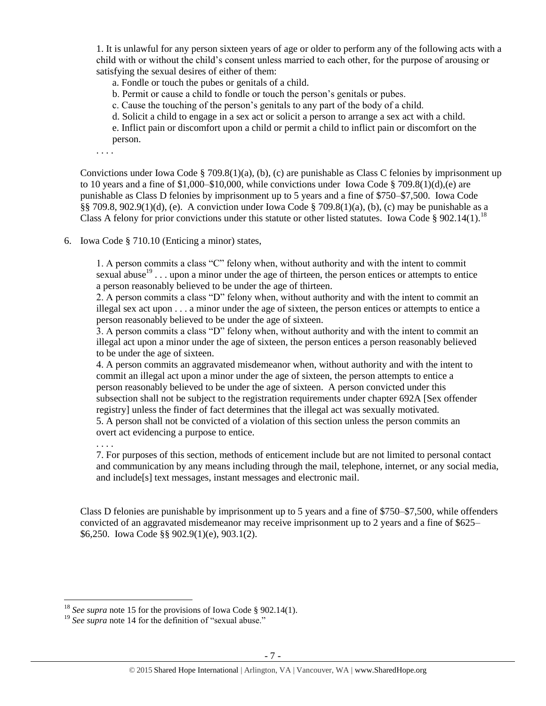1. It is unlawful for any person sixteen years of age or older to perform any of the following acts with a child with or without the child's consent unless married to each other, for the purpose of arousing or satisfying the sexual desires of either of them:

a. Fondle or touch the pubes or genitals of a child.

b. Permit or cause a child to fondle or touch the person's genitals or pubes.

c. Cause the touching of the person's genitals to any part of the body of a child.

d. Solicit a child to engage in a sex act or solicit a person to arrange a sex act with a child.

e. Inflict pain or discomfort upon a child or permit a child to inflict pain or discomfort on the person.

. . . .

Convictions under Iowa Code § 709.8(1)(a), (b), (c) are punishable as Class C felonies by imprisonment up to 10 years and a fine of  $1,000-\$10,000$ , while convictions under Iowa Code § 709.8(1)(d),(e) are punishable as Class D felonies by imprisonment up to 5 years and a fine of \$750–\$7,500. Iowa Code §§ 709.8, 902.9(1)(d), (e). A conviction under Iowa Code § 709.8(1)(a), (b), (c) may be punishable as a Class A felony for prior convictions under this statute or other listed statutes. Iowa Code § 902.14(1).<sup>18</sup>

6. Iowa Code § 710.10 (Enticing a minor) states,

1. A person commits a class "C" felony when, without authority and with the intent to commit sexual abuse<sup>19</sup> . . . upon a minor under the age of thirteen, the person entices or attempts to entice a person reasonably believed to be under the age of thirteen.

2. A person commits a class "D" felony when, without authority and with the intent to commit an illegal sex act upon . . . a minor under the age of sixteen, the person entices or attempts to entice a person reasonably believed to be under the age of sixteen.

3. A person commits a class "D" felony when, without authority and with the intent to commit an illegal act upon a minor under the age of sixteen, the person entices a person reasonably believed to be under the age of sixteen.

4. A person commits an aggravated misdemeanor when, without authority and with the intent to commit an illegal act upon a minor under the age of sixteen, the person attempts to entice a person reasonably believed to be under the age of sixteen. A person convicted under this subsection shall not be subject to the registration requirements under chapter 692A [Sex offender registry] unless the finder of fact determines that the illegal act was sexually motivated. 5. A person shall not be convicted of a violation of this section unless the person commits an overt act evidencing a purpose to entice.

. . . .

 $\overline{a}$ 

7. For purposes of this section, methods of enticement include but are not limited to personal contact and communication by any means including through the mail, telephone, internet, or any social media, and include[s] text messages, instant messages and electronic mail.

Class D felonies are punishable by imprisonment up to 5 years and a fine of \$750–\$7,500, while offenders convicted of an aggravated misdemeanor may receive imprisonment up to 2 years and a fine of \$625– \$6,250. Iowa Code §§ 902.9(1)(e), 903.1(2).

<sup>18</sup> *See supra* note [15](#page-5-0) for the provisions of Iowa Code § 902.14(1).

<sup>&</sup>lt;sup>19</sup> See supra note [14](#page-4-0) for the definition of "sexual abuse."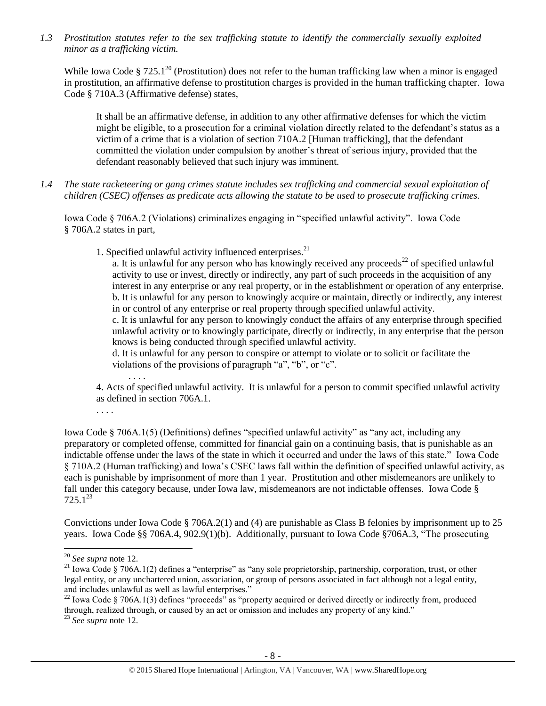*1.3 Prostitution statutes refer to the sex trafficking statute to identify the commercially sexually exploited minor as a trafficking victim.* 

While Iowa Code § 725.1<sup>20</sup> (Prostitution) does not refer to the human trafficking law when a minor is engaged in prostitution, an affirmative defense to prostitution charges is provided in the human trafficking chapter. Iowa Code § 710A.3 (Affirmative defense) states,

It shall be an affirmative defense, in addition to any other affirmative defenses for which the victim might be eligible, to a prosecution for a criminal violation directly related to the defendant's status as a victim of a crime that is a violation of section 710A.2 [Human trafficking], that the defendant committed the violation under compulsion by another's threat of serious injury, provided that the defendant reasonably believed that such injury was imminent.

*1.4 The state racketeering or gang crimes statute includes sex trafficking and commercial sexual exploitation of children (CSEC) offenses as predicate acts allowing the statute to be used to prosecute trafficking crimes.* 

Iowa Code § 706A.2 (Violations) criminalizes engaging in "specified unlawful activity". Iowa Code § 706A.2 states in part,

1. Specified unlawful activity influenced enterprises. $21$ 

a. It is unlawful for any person who has knowingly received any proceeds<sup>22</sup> of specified unlawful activity to use or invest, directly or indirectly, any part of such proceeds in the acquisition of any interest in any enterprise or any real property, or in the establishment or operation of any enterprise. b. It is unlawful for any person to knowingly acquire or maintain, directly or indirectly, any interest in or control of any enterprise or real property through specified unlawful activity.

c. It is unlawful for any person to knowingly conduct the affairs of any enterprise through specified unlawful activity or to knowingly participate, directly or indirectly, in any enterprise that the person knows is being conducted through specified unlawful activity.

d. It is unlawful for any person to conspire or attempt to violate or to solicit or facilitate the violations of the provisions of paragraph "a", "b", or "c".

. . . . 4. Acts of specified unlawful activity. It is unlawful for a person to commit specified unlawful activity as defined in section 706A.1.

. . . .

Iowa Code § 706A.1(5) (Definitions) defines "specified unlawful activity" as "any act, including any preparatory or completed offense, committed for financial gain on a continuing basis, that is punishable as an indictable offense under the laws of the state in which it occurred and under the laws of this state." Iowa Code § 710A.2 (Human trafficking) and Iowa's CSEC laws fall within the definition of specified unlawful activity, as each is punishable by imprisonment of more than 1 year. Prostitution and other misdemeanors are unlikely to fall under this category because, under Iowa law, misdemeanors are not indictable offenses. Iowa Code §  $725.1^{23}$ 

Convictions under Iowa Code § 706A.2(1) and (4) are punishable as Class B felonies by imprisonment up to 25 years. Iowa Code §§ 706A.4, 902.9(1)(b). Additionally, pursuant to Iowa Code §706A.3, "The prosecuting

<sup>20</sup> *See supra* note [12.](#page-4-1)

<sup>&</sup>lt;sup>21</sup> Iowa Code § 706A.1(2) defines a "enterprise" as "any sole proprietorship, partnership, corporation, trust, or other legal entity, or any unchartered union, association, or group of persons associated in fact although not a legal entity, and includes unlawful as well as lawful enterprises."

<sup>&</sup>lt;sup>22</sup> Iowa Code § 706A.1(3) defines "proceeds" as "property acquired or derived directly or indirectly from, produced through, realized through, or caused by an act or omission and includes any property of any kind."

<sup>23</sup> *See supra* note [12.](#page-4-1)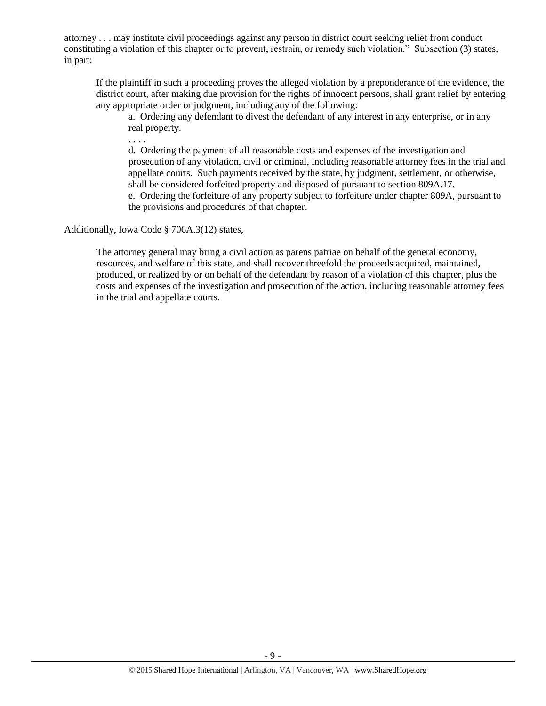attorney . . . may institute civil proceedings against any person in district court seeking relief from conduct constituting a violation of this chapter or to prevent, restrain, or remedy such violation." Subsection (3) states, in part:

If the plaintiff in such a proceeding proves the alleged violation by a preponderance of the evidence, the district court, after making due provision for the rights of innocent persons, shall grant relief by entering any appropriate order or judgment, including any of the following:

a. Ordering any defendant to divest the defendant of any interest in any enterprise, or in any real property.

. . . . d. Ordering the payment of all reasonable costs and expenses of the investigation and prosecution of any violation, civil or criminal, including reasonable attorney fees in the trial and appellate courts. Such payments received by the state, by judgment, settlement, or otherwise, shall be considered forfeited property and disposed of pursuant to section 809A.17. e. Ordering the forfeiture of any property subject to forfeiture under chapter 809A, pursuant to the provisions and procedures of that chapter.

Additionally, Iowa Code § 706A.3(12) states,

The attorney general may bring a civil action as parens patriae on behalf of the general economy, resources, and welfare of this state, and shall recover threefold the proceeds acquired, maintained, produced, or realized by or on behalf of the defendant by reason of a violation of this chapter, plus the costs and expenses of the investigation and prosecution of the action, including reasonable attorney fees in the trial and appellate courts.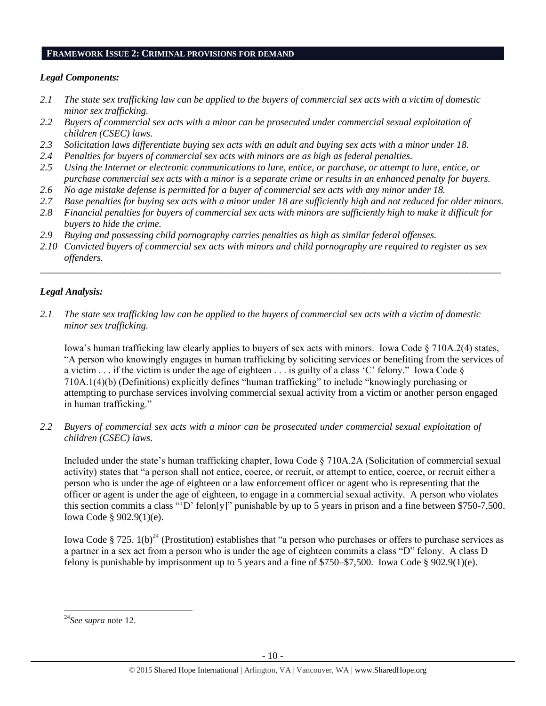#### **FRAMEWORK ISSUE 2: CRIMINAL PROVISIONS FOR DEMAND**

### *Legal Components:*

- *2.1 The state sex trafficking law can be applied to the buyers of commercial sex acts with a victim of domestic minor sex trafficking.*
- *2.2 Buyers of commercial sex acts with a minor can be prosecuted under commercial sexual exploitation of children (CSEC) laws.*
- *2.3 Solicitation laws differentiate buying sex acts with an adult and buying sex acts with a minor under 18.*
- *2.4 Penalties for buyers of commercial sex acts with minors are as high as federal penalties.*
- *2.5 Using the Internet or electronic communications to lure, entice, or purchase, or attempt to lure, entice, or purchase commercial sex acts with a minor is a separate crime or results in an enhanced penalty for buyers.*
- *2.6 No age mistake defense is permitted for a buyer of commercial sex acts with any minor under 18.*
- *2.7 Base penalties for buying sex acts with a minor under 18 are sufficiently high and not reduced for older minors.*
- *2.8 Financial penalties for buyers of commercial sex acts with minors are sufficiently high to make it difficult for buyers to hide the crime.*
- *2.9 Buying and possessing child pornography carries penalties as high as similar federal offenses.*
- *2.10 Convicted buyers of commercial sex acts with minors and child pornography are required to register as sex offenders.*

\_\_\_\_\_\_\_\_\_\_\_\_\_\_\_\_\_\_\_\_\_\_\_\_\_\_\_\_\_\_\_\_\_\_\_\_\_\_\_\_\_\_\_\_\_\_\_\_\_\_\_\_\_\_\_\_\_\_\_\_\_\_\_\_\_\_\_\_\_\_\_\_\_\_\_\_\_\_\_\_\_\_\_\_\_\_\_\_\_\_\_\_\_\_

# *Legal Analysis:*

*2.1 The state sex trafficking law can be applied to the buyers of commercial sex acts with a victim of domestic minor sex trafficking.*

Iowa's human trafficking law clearly applies to buyers of sex acts with minors. Iowa Code § 710A.2(4) states, "A person who knowingly engages in human trafficking by soliciting services or benefiting from the services of a victim  $\ldots$  if the victim is under the age of eighteen  $\ldots$  is guilty of a class 'C' felony." Iowa Code  $\S$ 710A.1(4)(b) (Definitions) explicitly defines "human trafficking" to include "knowingly purchasing or attempting to purchase services involving commercial sexual activity from a victim or another person engaged in human trafficking."

*2.2 Buyers of commercial sex acts with a minor can be prosecuted under commercial sexual exploitation of children (CSEC) laws.*

Included under the state's human trafficking chapter, Iowa Code § 710A.2A (Solicitation of commercial sexual activity) states that "a person shall not entice, coerce, or recruit, or attempt to entice, coerce, or recruit either a person who is under the age of eighteen or a law enforcement officer or agent who is representing that the officer or agent is under the age of eighteen, to engage in a commercial sexual activity. A person who violates this section commits a class "'D' felon[y]" punishable by up to 5 years in prison and a fine between \$750-7,500. Iowa Code § 902.9(1)(e).

Iowa Code § 725.  $1(b)^{24}$  (Prostitution) establishes that "a person who purchases or offers to purchase services as a partner in a sex act from a person who is under the age of eighteen commits a class "D" felony. A class D felony is punishable by imprisonment up to 5 years and a fine of \$750–\$7,500. Iowa Code § 902.9(1)(e).

 $\overline{a}$ <sup>24</sup>*See supra* note [12.](#page-4-1)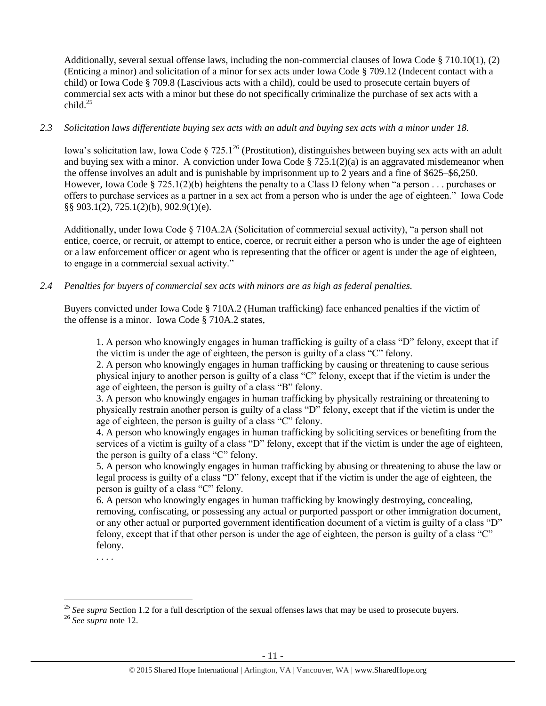Additionally, several sexual offense laws, including the non-commercial clauses of Iowa Code § 710.10(1), (2) (Enticing a minor) and solicitation of a minor for sex acts under Iowa Code § 709.12 (Indecent contact with a child) or Iowa Code § 709.8 (Lascivious acts with a child), could be used to prosecute certain buyers of commercial sex acts with a minor but these do not specifically criminalize the purchase of sex acts with a child $^{25}$ 

# *2.3 Solicitation laws differentiate buying sex acts with an adult and buying sex acts with a minor under 18.*

Iowa's solicitation law, Iowa Code § 725.1<sup>26</sup> (Prostitution), distinguishes between buying sex acts with an adult and buying sex with a minor. A conviction under Iowa Code  $\S 725.1(2)(a)$  is an aggravated misdemeanor when the offense involves an adult and is punishable by imprisonment up to 2 years and a fine of \$625–\$6,250. However, Iowa Code § 725.1(2)(b) heightens the penalty to a Class D felony when "a person . . . purchases or offers to purchase services as a partner in a sex act from a person who is under the age of eighteen." Iowa Code §§ 903.1(2), 725.1(2)(b), 902.9(1)(e).

Additionally, under Iowa Code § 710A.2A (Solicitation of commercial sexual activity), "a person shall not entice, coerce, or recruit, or attempt to entice, coerce, or recruit either a person who is under the age of eighteen or a law enforcement officer or agent who is representing that the officer or agent is under the age of eighteen, to engage in a commercial sexual activity."

# *2.4 Penalties for buyers of commercial sex acts with minors are as high as federal penalties.*

Buyers convicted under Iowa Code § 710A.2 (Human trafficking) face enhanced penalties if the victim of the offense is a minor. Iowa Code § 710A.2 states,

1. A person who knowingly engages in human trafficking is guilty of a class "D" felony, except that if the victim is under the age of eighteen, the person is guilty of a class "C" felony.

2. A person who knowingly engages in human trafficking by causing or threatening to cause serious physical injury to another person is guilty of a class "C" felony, except that if the victim is under the age of eighteen, the person is guilty of a class "B" felony.

3. A person who knowingly engages in human trafficking by physically restraining or threatening to physically restrain another person is guilty of a class "D" felony, except that if the victim is under the age of eighteen, the person is guilty of a class "C" felony.

4. A person who knowingly engages in human trafficking by soliciting services or benefiting from the services of a victim is guilty of a class "D" felony, except that if the victim is under the age of eighteen, the person is guilty of a class "C" felony.

5. A person who knowingly engages in human trafficking by abusing or threatening to abuse the law or legal process is guilty of a class "D" felony, except that if the victim is under the age of eighteen, the person is guilty of a class "C" felony.

6. A person who knowingly engages in human trafficking by knowingly destroying, concealing, removing, confiscating, or possessing any actual or purported passport or other immigration document, or any other actual or purported government identification document of a victim is guilty of a class "D" felony, except that if that other person is under the age of eighteen, the person is guilty of a class "C" felony.

. . . .

<sup>&</sup>lt;sup>25</sup> See supra Section 1.2 for a full description of the sexual offenses laws that may be used to prosecute buyers.

<sup>26</sup> *See supra* note [12.](#page-4-1)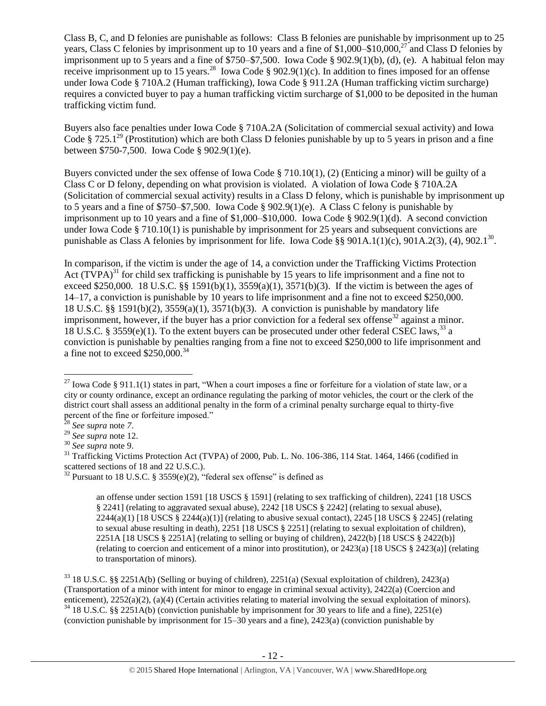Class B, C, and D felonies are punishable as follows: Class B felonies are punishable by imprisonment up to 25 years, Class C felonies by imprisonment up to 10 years and a fine of \$1,000–\$10,000,<sup>27</sup> and Class D felonies by imprisonment up to 5 years and a fine of \$750–\$7,500. Iowa Code § 902.9(1)(b), (d), (e). A habitual felon may receive imprisonment up to 15 years.<sup>28</sup> Iowa Code § 902.9(1)(c). In addition to fines imposed for an offense under Iowa Code § 710A.2 (Human trafficking), Iowa Code § 911.2A (Human trafficking victim surcharge) requires a convicted buyer to pay a human trafficking victim surcharge of \$1,000 to be deposited in the human trafficking victim fund.

Buyers also face penalties under Iowa Code § 710A.2A (Solicitation of commercial sexual activity) and Iowa Code § 725.1<sup>29</sup> (Prostitution) which are both Class D felonies punishable by up to 5 years in prison and a fine between \$750-7,500. Iowa Code § 902.9(1)(e).

Buyers convicted under the sex offense of Iowa Code § 710.10(1), (2) (Enticing a minor) will be guilty of a Class C or D felony, depending on what provision is violated. A violation of Iowa Code § 710A.2A (Solicitation of commercial sexual activity) results in a Class D felony, which is punishable by imprisonment up to 5 years and a fine of \$750–\$7,500. Iowa Code § 902.9(1)(e). A Class C felony is punishable by imprisonment up to 10 years and a fine of \$1,000–\$10,000. Iowa Code § 902.9(1)(d). A second conviction under Iowa Code § 710.10(1) is punishable by imprisonment for 25 years and subsequent convictions are punishable as Class A felonies by imprisonment for life. Iowa Code §§ 901A.1(1)(c), 901A.2(3), (4), 902.1<sup>30</sup>.

<span id="page-11-0"></span>In comparison, if the victim is under the age of 14, a conviction under the Trafficking Victims Protection Act  $(TVPA)^{31}$  for child sex trafficking is punishable by 15 years to life imprisonment and a fine not to exceed \$250,000. 18 U.S.C. §§ 1591(b)(1),  $3559(a)(1)$ ,  $3571(b)(3)$ . If the victim is between the ages of 14–17, a conviction is punishable by 10 years to life imprisonment and a fine not to exceed \$250,000. 18 U.S.C. §§ 1591(b)(2), 3559(a)(1), 3571(b)(3). A conviction is punishable by mandatory life imprisonment, however, if the buyer has a prior conviction for a federal sex offense<sup>32</sup> against a minor. 18 U.S.C. § 3559(e)(1). To the extent buyers can be prosecuted under other federal CSEC laws,<sup>33</sup> a conviction is punishable by penalties ranging from a fine not to exceed \$250,000 to life imprisonment and a fine not to exceed  $$250,000.<sup>34</sup>$ 

<span id="page-11-1"></span> $\overline{a}$ 

an offense under section 1591 [18 USCS § 1591] (relating to sex trafficking of children), 2241 [18 USCS § 2241] (relating to aggravated sexual abuse), 2242 [18 USCS § 2242] (relating to sexual abuse),  $2244(a)(1)$  [18 USCS §  $2244(a)(1)$ ] (relating to abusive sexual contact),  $2245$  [18 USCS § 2245] (relating to sexual abuse resulting in death), 2251 [18 USCS § 2251] (relating to sexual exploitation of children), 2251A [18 USCS § 2251A] (relating to selling or buying of children), 2422(b) [18 USCS § 2422(b)] (relating to coercion and enticement of a minor into prostitution), or 2423(a) [18 USCS § 2423(a)] (relating to transportation of minors).

<sup>33</sup> 18 U.S.C. §§ 2251A(b) (Selling or buying of children), 2251(a) (Sexual exploitation of children), 2423(a) (Transportation of a minor with intent for minor to engage in criminal sexual activity), 2422(a) (Coercion and enticement), 2252(a)(2), (a)(4) (Certain activities relating to material involving the sexual exploitation of minors).  $34$  18 U.S.C. §§ 2251A(b) (conviction punishable by imprisonment for 30 years to life and a fine), 2251(e) (conviction punishable by imprisonment for 15–30 years and a fine), 2423(a) (conviction punishable by

<sup>&</sup>lt;sup>27</sup> Iowa Code § 911.1(1) states in part, "When a court imposes a fine or forfeiture for a violation of state law, or a city or county ordinance, except an ordinance regulating the parking of motor vehicles, the court or the clerk of the district court shall assess an additional penalty in the form of a criminal penalty surcharge equal to thirty-five percent of the fine or forfeiture imposed."

<sup>28</sup> *See supra* note *[7](#page-2-0)*.

<sup>29</sup> *See supra* note [12.](#page-4-1) 

<sup>30</sup> *See supra* note [9.](#page-2-1)

<sup>&</sup>lt;sup>31</sup> Trafficking Victims Protection Act (TVPA) of 2000, Pub. L. No. 106-386, 114 Stat. 1464, 1466 (codified in scattered sections of 18 and 22 U.S.C.).

<sup>&</sup>lt;sup>32</sup> Pursuant to 18 U.S.C. § 3559 $(e)(2)$ , "federal sex offense" is defined as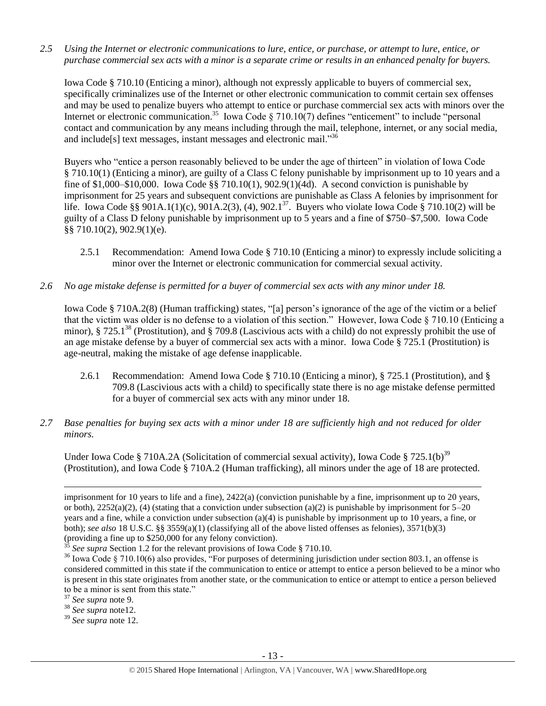*2.5 Using the Internet or electronic communications to lure, entice, or purchase, or attempt to lure, entice, or purchase commercial sex acts with a minor is a separate crime or results in an enhanced penalty for buyers.*

Iowa Code § 710.10 (Enticing a minor), although not expressly applicable to buyers of commercial sex, specifically criminalizes use of the Internet or other electronic communication to commit certain sex offenses and may be used to penalize buyers who attempt to entice or purchase commercial sex acts with minors over the Internet or electronic communication.<sup>35</sup> Iowa Code § 710.10(7) defines "enticement" to include "personal contact and communication by any means including through the mail, telephone, internet, or any social media, and include<sup>[s]</sup> text messages, instant messages and electronic mail."<sup>36</sup>

<span id="page-12-0"></span>Buyers who "entice a person reasonably believed to be under the age of thirteen" in violation of Iowa Code § 710.10(1) (Enticing a minor), are guilty of a Class C felony punishable by imprisonment up to 10 years and a fine of  $$1,000–$10,000$ . Iowa Code  $§$   $710.10(1)$ ,  $902.9(1)(4d)$ . A second conviction is punishable by imprisonment for 25 years and subsequent convictions are punishable as Class A felonies by imprisonment for life. Iowa Code §§ 901A.1(1)(c), 901A.2(3), (4), 902.1<sup>37</sup>. Buyers who violate Iowa Code § 710.10(2) will be guilty of a Class D felony punishable by imprisonment up to 5 years and a fine of \$750–\$7,500. Iowa Code §§ 710.10(2), 902.9(1)(e).

- 2.5.1 Recommendation: Amend Iowa Code § 710.10 (Enticing a minor) to expressly include soliciting a minor over the Internet or electronic communication for commercial sexual activity.
- *2.6 No age mistake defense is permitted for a buyer of commercial sex acts with any minor under 18.*

Iowa Code § 710A.2(8) (Human trafficking) states, "[a] person's ignorance of the age of the victim or a belief that the victim was older is no defense to a violation of this section." However, Iowa Code § 710.10 (Enticing a minor), § 725.1<sup>38</sup> (Prostitution), and § 709.8 (Lascivious acts with a child) do not expressly prohibit the use of an age mistake defense by a buyer of commercial sex acts with a minor. Iowa Code § 725.1 (Prostitution) is age-neutral, making the mistake of age defense inapplicable.

- 2.6.1 Recommendation: Amend Iowa Code § 710.10 (Enticing a minor), § 725.1 (Prostitution), and § 709.8 (Lascivious acts with a child) to specifically state there is no age mistake defense permitted for a buyer of commercial sex acts with any minor under 18.
- *2.7 Base penalties for buying sex acts with a minor under 18 are sufficiently high and not reduced for older minors.*

Under Iowa Code § 710A.2A (Solicitation of commercial sexual activity), Iowa Code § 725.1(b)<sup>39</sup> (Prostitution), and Iowa Code § 710A.2 (Human trafficking), all minors under the age of 18 are protected.

imprisonment for 10 years to life and a fine), 2422(a) (conviction punishable by a fine, imprisonment up to 20 years, or both),  $2252(a)(2)$ , (4) (stating that a conviction under subsection (a)(2) is punishable by imprisonment for  $5-20$ years and a fine, while a conviction under subsection (a)(4) is punishable by imprisonment up to 10 years, a fine, or both); *see also* 18 U.S.C. §§ 3559(a)(1) (classifying all of the above listed offenses as felonies), 3571(b)(3) (providing a fine up to \$250,000 for any felony conviction).

See supra Section 1.2 for the relevant provisions of Iowa Code § 710.10.

<sup>&</sup>lt;sup>36</sup> Iowa Code § 710.10(6) also provides, "For purposes of determining jurisdiction under section 803.1, an offense is considered committed in this state if the communication to entice or attempt to entice a person believed to be a minor who is present in this state originates from another state, or the communication to entice or attempt to entice a person believed to be a minor is sent from this state."

<sup>37</sup> *See supra* note [9.](#page-2-1)

<sup>38</sup> *See supra* not[e12.](#page-4-1)

<sup>39</sup> *See supra* note [12.](#page-4-1)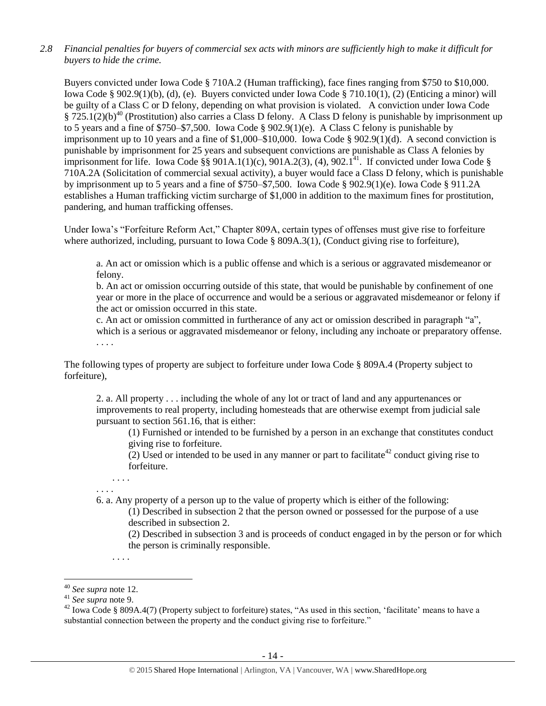*2.8 Financial penalties for buyers of commercial sex acts with minors are sufficiently high to make it difficult for buyers to hide the crime.* 

Buyers convicted under Iowa Code § 710A.2 (Human trafficking), face fines ranging from \$750 to \$10,000. Iowa Code § 902.9(1)(b), (d), (e). Buyers convicted under Iowa Code § 710.10(1), (2) (Enticing a minor) will be guilty of a Class C or D felony, depending on what provision is violated. A conviction under Iowa Code  $\S 725.1(2)(b)^{40}$  (Prostitution) also carries a Class D felony. A Class D felony is punishable by imprisonment up to 5 years and a fine of \$750–\$7,500. Iowa Code § 902.9(1)(e). A Class C felony is punishable by imprisonment up to 10 years and a fine of  $$1,000–$10,000$ . Iowa Code  $§$  902.9(1)(d). A second conviction is punishable by imprisonment for 25 years and subsequent convictions are punishable as Class A felonies by imprisonment for life. Iowa Code §§ 901A.1(1)(c),  $901A.2(3)$ , (4), 902.1<sup>41</sup>. If convicted under Iowa Code § 710A.2A (Solicitation of commercial sexual activity), a buyer would face a Class D felony, which is punishable by imprisonment up to 5 years and a fine of \$750–\$7,500. Iowa Code § 902.9(1)(e). Iowa Code § 911.2A establishes a Human trafficking victim surcharge of \$1,000 in addition to the maximum fines for prostitution, pandering, and human trafficking offenses.

Under Iowa's "Forfeiture Reform Act," Chapter 809A, certain types of offenses must give rise to forfeiture where authorized, including, pursuant to Iowa Code § 809A.3(1), (Conduct giving rise to forfeiture),

a. An act or omission which is a public offense and which is a serious or aggravated misdemeanor or felony.

b. An act or omission occurring outside of this state, that would be punishable by confinement of one year or more in the place of occurrence and would be a serious or aggravated misdemeanor or felony if the act or omission occurred in this state.

c. An act or omission committed in furtherance of any act or omission described in paragraph "a", which is a serious or aggravated misdemeanor or felony, including any inchoate or preparatory offense. . . . .

The following types of property are subject to forfeiture under Iowa Code § 809A.4 (Property subject to forfeiture),

2. a. All property . . . including the whole of any lot or tract of land and any appurtenances or improvements to real property, including homesteads that are otherwise exempt from judicial sale pursuant to section 561.16, that is either:

(1) Furnished or intended to be furnished by a person in an exchange that constitutes conduct giving rise to forfeiture.

(2) Used or intended to be used in any manner or part to facilitate<sup>42</sup> conduct giving rise to forfeiture.

. . . . . . . .

6. a. Any property of a person up to the value of property which is either of the following:

(1) Described in subsection 2 that the person owned or possessed for the purpose of a use described in subsection 2.

(2) Described in subsection 3 and is proceeds of conduct engaged in by the person or for which the person is criminally responsible.

. . . .

<sup>40</sup> *See supra* note [12.](#page-4-1)

<sup>41</sup> *See supra* note [9.](#page-2-1)

 $42$  Iowa Code § 809A.4(7) (Property subject to forfeiture) states, "As used in this section, 'facilitate' means to have a substantial connection between the property and the conduct giving rise to forfeiture."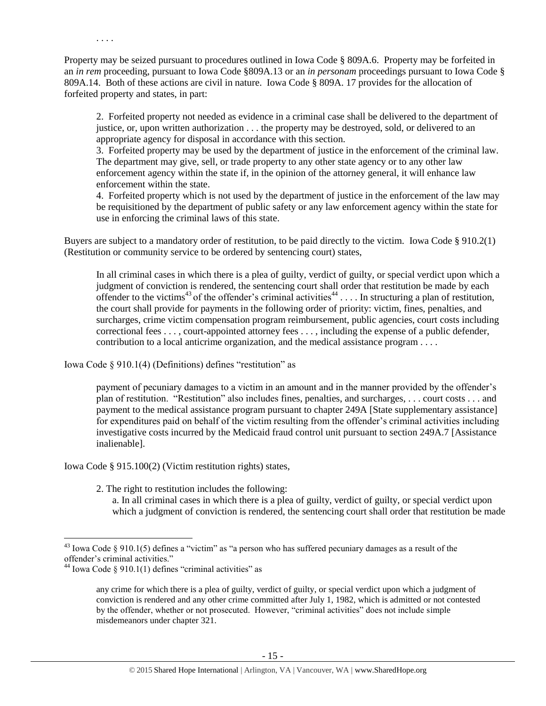Property may be seized pursuant to procedures outlined in Iowa Code § 809A.6. Property may be forfeited in an *in rem* proceeding, pursuant to Iowa Code §809A.13 or an *in personam* proceedings pursuant to Iowa Code § 809A.14. Both of these actions are civil in nature. Iowa Code § 809A. 17 provides for the allocation of forfeited property and states, in part:

2. Forfeited property not needed as evidence in a criminal case shall be delivered to the department of justice, or, upon written authorization . . . the property may be destroyed, sold, or delivered to an appropriate agency for disposal in accordance with this section.

3. Forfeited property may be used by the department of justice in the enforcement of the criminal law. The department may give, sell, or trade property to any other state agency or to any other law enforcement agency within the state if, in the opinion of the attorney general, it will enhance law enforcement within the state.

4. Forfeited property which is not used by the department of justice in the enforcement of the law may be requisitioned by the department of public safety or any law enforcement agency within the state for use in enforcing the criminal laws of this state.

Buyers are subject to a mandatory order of restitution, to be paid directly to the victim. Iowa Code § 910.2(1) (Restitution or community service to be ordered by sentencing court) states,

<span id="page-14-1"></span><span id="page-14-0"></span>In all criminal cases in which there is a plea of guilty, verdict of guilty, or special verdict upon which a judgment of conviction is rendered, the sentencing court shall order that restitution be made by each offender to the victims<sup>43</sup> of the offender's criminal activities<sup>44</sup> . . . . In structuring a plan of restitution, the court shall provide for payments in the following order of priority: victim, fines, penalties, and surcharges, crime victim compensation program reimbursement, public agencies, court costs including correctional fees . . . , court-appointed attorney fees . . . , including the expense of a public defender, contribution to a local anticrime organization, and the medical assistance program . . . .

Iowa Code § 910.1(4) (Definitions) defines "restitution" as

. . . .

payment of pecuniary damages to a victim in an amount and in the manner provided by the offender's plan of restitution. "Restitution" also includes fines, penalties, and surcharges, . . . court costs . . . and payment to the medical assistance program pursuant to chapter 249A [State supplementary assistance] for expenditures paid on behalf of the victim resulting from the offender's criminal activities including investigative costs incurred by the Medicaid fraud control unit pursuant to section 249A.7 [Assistance inalienable].

Iowa Code § 915.100(2) (Victim restitution rights) states,

2. The right to restitution includes the following:

a. In all criminal cases in which there is a plea of guilty, verdict of guilty, or special verdict upon which a judgment of conviction is rendered, the sentencing court shall order that restitution be made

 $43$  Iowa Code § 910.1(5) defines a "victim" as "a person who has suffered pecuniary damages as a result of the offender's criminal activities."

<sup>&</sup>lt;sup>44</sup> Iowa Code § 910.1(1) defines "criminal activities" as

any crime for which there is a plea of guilty, verdict of guilty, or special verdict upon which a judgment of conviction is rendered and any other crime committed after July 1, 1982, which is admitted or not contested by the offender, whether or not prosecuted. However, "criminal activities" does not include simple misdemeanors under chapter 321.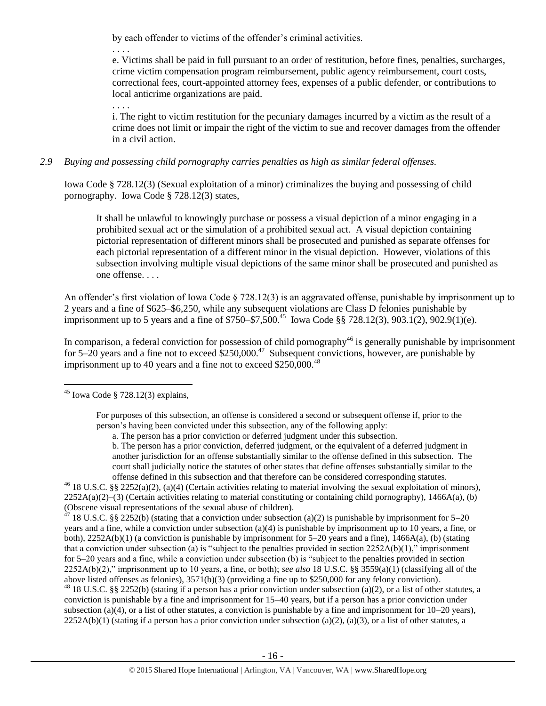by each offender to victims of the offender's criminal activities.

. . . .

e. Victims shall be paid in full pursuant to an order of restitution, before fines, penalties, surcharges, crime victim compensation program reimbursement, public agency reimbursement, court costs, correctional fees, court-appointed attorney fees, expenses of a public defender, or contributions to local anticrime organizations are paid.

. . . .

i. The right to victim restitution for the pecuniary damages incurred by a victim as the result of a crime does not limit or impair the right of the victim to sue and recover damages from the offender in a civil action.

# *2.9 Buying and possessing child pornography carries penalties as high as similar federal offenses.*

Iowa Code § 728.12(3) (Sexual exploitation of a minor) criminalizes the buying and possessing of child pornography. Iowa Code § 728.12(3) states,

It shall be unlawful to knowingly purchase or possess a visual depiction of a minor engaging in a prohibited sexual act or the simulation of a prohibited sexual act. A visual depiction containing pictorial representation of different minors shall be prosecuted and punished as separate offenses for each pictorial representation of a different minor in the visual depiction. However, violations of this subsection involving multiple visual depictions of the same minor shall be prosecuted and punished as one offense. . . .

An offender's first violation of Iowa Code § 728.12(3) is an aggravated offense, punishable by imprisonment up to 2 years and a fine of \$625–\$6,250, while any subsequent violations are Class D felonies punishable by imprisonment up to 5 years and a fine of \$750–\$7,500.<sup>45</sup> Iowa Code §§ 728.12(3), 903.1(2), 902.9(1)(e).

In comparison, a federal conviction for possession of child pornography<sup>46</sup> is generally punishable by imprisonment for 5–20 years and a fine not to exceed  $$250,000.<sup>47</sup>$  Subsequent convictions, however, are punishable by imprisonment up to 40 years and a fine not to exceed  $$250,000.<sup>48</sup>$ 

<sup>46</sup> 18 U.S.C. §§ 2252(a)(2), (a)(4) (Certain activities relating to material involving the sexual exploitation of minors),  $2252A(a)(2)$ –(3) (Certain activities relating to material constituting or containing child pornography), 1466A(a), (b) (Obscene visual representations of the sexual abuse of children).

<sup>7</sup> 18 U.S.C. §§ 2252(b) (stating that a conviction under subsection (a)(2) is punishable by imprisonment for 5–20 years and a fine, while a conviction under subsection (a)(4) is punishable by imprisonment up to 10 years, a fine, or both), 2252A(b)(1) (a conviction is punishable by imprisonment for 5–20 years and a fine), 1466A(a), (b) (stating that a conviction under subsection (a) is "subject to the penalties provided in section  $2252A(b)(1)$ ," imprisonment for 5–20 years and a fine, while a conviction under subsection (b) is "subject to the penalties provided in section 2252A(b)(2)," imprisonment up to 10 years, a fine, or both); *see also* 18 U.S.C. §§ 3559(a)(1) (classifying all of the above listed offenses as felonies), 3571(b)(3) (providing a fine up to \$250,000 for any felony conviction).

 $^{48}$  18 U.S.C. §§ 2252(b) (stating if a person has a prior conviction under subsection (a)(2), or a list of other statutes, a conviction is punishable by a fine and imprisonment for 15–40 years, but if a person has a prior conviction under subsection (a)(4), or a list of other statutes, a conviction is punishable by a fine and imprisonment for  $10-20$  years),  $2252A(b)(1)$  (stating if a person has a prior conviction under subsection (a)(2), (a)(3), or a list of other statutes, a

 $\overline{a}$  $45$  Iowa Code § 728.12(3) explains,

For purposes of this subsection, an offense is considered a second or subsequent offense if, prior to the person's having been convicted under this subsection, any of the following apply:

a. The person has a prior conviction or deferred judgment under this subsection.

b. The person has a prior conviction, deferred judgment, or the equivalent of a deferred judgment in another jurisdiction for an offense substantially similar to the offense defined in this subsection. The court shall judicially notice the statutes of other states that define offenses substantially similar to the offense defined in this subsection and that therefore can be considered corresponding statutes.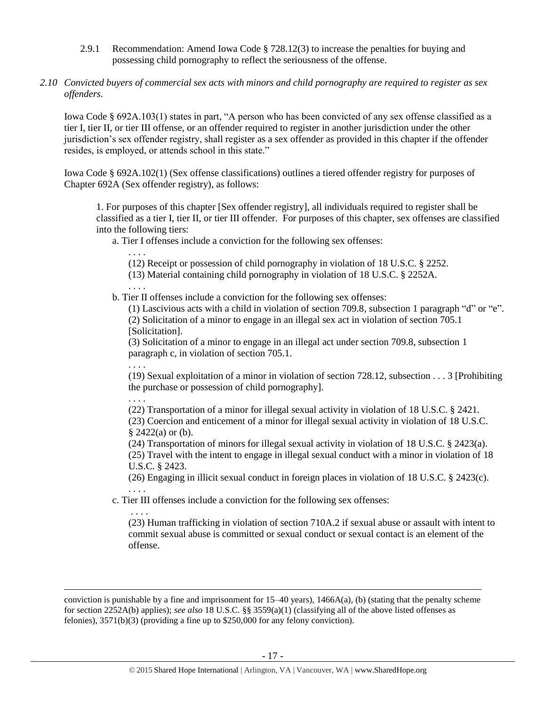- 2.9.1 Recommendation: Amend Iowa Code § 728.12(3) to increase the penalties for buying and possessing child pornography to reflect the seriousness of the offense.
- *2.10 Convicted buyers of commercial sex acts with minors and child pornography are required to register as sex offenders.*

Iowa Code § 692A.103(1) states in part, "A person who has been convicted of any sex offense classified as a tier I, tier II, or tier III offense, or an offender required to register in another jurisdiction under the other jurisdiction's sex offender registry, shall register as a sex offender as provided in this chapter if the offender resides, is employed, or attends school in this state."

Iowa Code § 692A.102(1) (Sex offense classifications) outlines a tiered offender registry for purposes of Chapter 692A (Sex offender registry), as follows:

1. For purposes of this chapter [Sex offender registry], all individuals required to register shall be classified as a tier I, tier II, or tier III offender. For purposes of this chapter, sex offenses are classified into the following tiers:

a. Tier I offenses include a conviction for the following sex offenses:

. . . .

(12) Receipt or possession of child pornography in violation of [18 U.S.C. § 2252.](https://www.lexis.com/research/buttonTFLink?_m=4fc730b00228455ff3529e63593f5654&_xfercite=%3ccite%20cc%3d%22USA%22%3e%3c%21%5bCDATA%5bIowa%20Code%20%a7%20692A.102%5d%5d%3e%3c%2fcite%3e&_butType=4&_butStat=0&_butNum=3&_butInline=1&_butinfo=18%20USC%202252&_fmtstr=FULL&docnum=1&_startdoc=1&wchp=dGLbVzV-zSkAW&_md5=28a0aa8b1856cb4eb43956793e575523)

(13) Material containing child pornography in violation of [18 U.S.C. § 2252A.](https://www.lexis.com/research/buttonTFLink?_m=4fc730b00228455ff3529e63593f5654&_xfercite=%3ccite%20cc%3d%22USA%22%3e%3c%21%5bCDATA%5bIowa%20Code%20%a7%20692A.102%5d%5d%3e%3c%2fcite%3e&_butType=4&_butStat=0&_butNum=4&_butInline=1&_butinfo=18%20USC%202252A&_fmtstr=FULL&docnum=1&_startdoc=1&wchp=dGLbVzV-zSkAW&_md5=5636aa1de2b137b29375d5b4a005df40)

. . . . b. Tier II offenses include a conviction for the following sex offenses:

(1) Lascivious acts with a child in violation of section 709.8, subsection 1 paragraph "d" or "e". (2) Solicitation of a minor to engage in an illegal sex act in violation of section 705.1 [Solicitation].

(3) Solicitation of a minor to engage in an illegal act under section 709.8, subsection 1 paragraph c, in violation of section 705.1.

(19) Sexual exploitation of a minor in violation of section 728.12, subsection . . . 3 [Prohibiting the purchase or possession of child pornography].

. . . .

. . . .

 $\overline{a}$ 

. . . .

(22) Transportation of a minor for illegal sexual activity in violation of [18 U.S.C. § 2421.](https://www.lexis.com/research/buttonTFLink?_m=4fc730b00228455ff3529e63593f5654&_xfercite=%3ccite%20cc%3d%22USA%22%3e%3c%21%5bCDATA%5bIowa%20Code%20%a7%20692A.102%5d%5d%3e%3c%2fcite%3e&_butType=4&_butStat=0&_butNum=11&_butInline=1&_butinfo=18%20USC%202421&_fmtstr=FULL&docnum=1&_startdoc=1&wchp=dGLbVzV-zSkAW&_md5=e83e3d2bd1fc5d1af19f74d3a2c1c4a6)

(23) Coercion and enticement of a minor for illegal sexual activity in violation of [18 U.S.C.](https://www.lexis.com/research/buttonTFLink?_m=4fc730b00228455ff3529e63593f5654&_xfercite=%3ccite%20cc%3d%22USA%22%3e%3c%21%5bCDATA%5bIowa%20Code%20%a7%20692A.102%5d%5d%3e%3c%2fcite%3e&_butType=4&_butStat=0&_butNum=12&_butInline=1&_butinfo=18%20USC%202422&_fmtstr=FULL&docnum=1&_startdoc=1&wchp=dGLbVzV-zSkAW&_md5=1297e2a5950c748e9f4344c55905c8e9)   $§ 2422(a)$  $§ 2422(a)$  $§ 2422(a)$  or (b).

(24) Transportation of minors for illegal sexual activity in violation of [18 U.S.C. § 2423\(](https://www.lexis.com/research/buttonTFLink?_m=4fc730b00228455ff3529e63593f5654&_xfercite=%3ccite%20cc%3d%22USA%22%3e%3c%21%5bCDATA%5bIowa%20Code%20%a7%20692A.102%5d%5d%3e%3c%2fcite%3e&_butType=4&_butStat=0&_butNum=13&_butInline=1&_butinfo=18%20USC%202423&_fmtstr=FULL&docnum=1&_startdoc=1&wchp=dGLbVzV-zSkAW&_md5=74ad89f5fb9667e6756dc7bddc5d2d08)a).

(25) Travel with the intent to engage in illegal sexual conduct with a minor in violation of [18](https://www.lexis.com/research/buttonTFLink?_m=4fc730b00228455ff3529e63593f5654&_xfercite=%3ccite%20cc%3d%22USA%22%3e%3c%21%5bCDATA%5bIowa%20Code%20%a7%20692A.102%5d%5d%3e%3c%2fcite%3e&_butType=4&_butStat=0&_butNum=14&_butInline=1&_butinfo=18%20USC%202423&_fmtstr=FULL&docnum=1&_startdoc=1&wchp=dGLbVzV-zSkAW&_md5=7f00c21c6c6a0ea8fa385c078bba1478)  [U.S.C. § 2423.](https://www.lexis.com/research/buttonTFLink?_m=4fc730b00228455ff3529e63593f5654&_xfercite=%3ccite%20cc%3d%22USA%22%3e%3c%21%5bCDATA%5bIowa%20Code%20%a7%20692A.102%5d%5d%3e%3c%2fcite%3e&_butType=4&_butStat=0&_butNum=14&_butInline=1&_butinfo=18%20USC%202423&_fmtstr=FULL&docnum=1&_startdoc=1&wchp=dGLbVzV-zSkAW&_md5=7f00c21c6c6a0ea8fa385c078bba1478)

(26) Engaging in illicit sexual conduct in foreign places in violation of [18 U.S.C. § 2423\(](https://www.lexis.com/research/buttonTFLink?_m=4fc730b00228455ff3529e63593f5654&_xfercite=%3ccite%20cc%3d%22USA%22%3e%3c%21%5bCDATA%5bIowa%20Code%20%a7%20692A.102%5d%5d%3e%3c%2fcite%3e&_butType=4&_butStat=0&_butNum=15&_butInline=1&_butinfo=18%20USC%202423&_fmtstr=FULL&docnum=1&_startdoc=1&wchp=dGLbVzV-zSkAW&_md5=b37f8956456423d2bea9ea5b70d8bfae)c). . . . .

c. Tier III offenses include a conviction for the following sex offenses:

(23) Human trafficking in violation of section 710A.2 if sexual abuse or assault with intent to commit sexual abuse is committed or sexual conduct or sexual contact is an element of the offense.

conviction is punishable by a fine and imprisonment for  $15-40$  years),  $1466A(a)$ , (b) (stating that the penalty scheme for section 2252A(b) applies); *see also* 18 U.S.C. §§ 3559(a)(1) (classifying all of the above listed offenses as felonies), 3571(b)(3) (providing a fine up to \$250,000 for any felony conviction).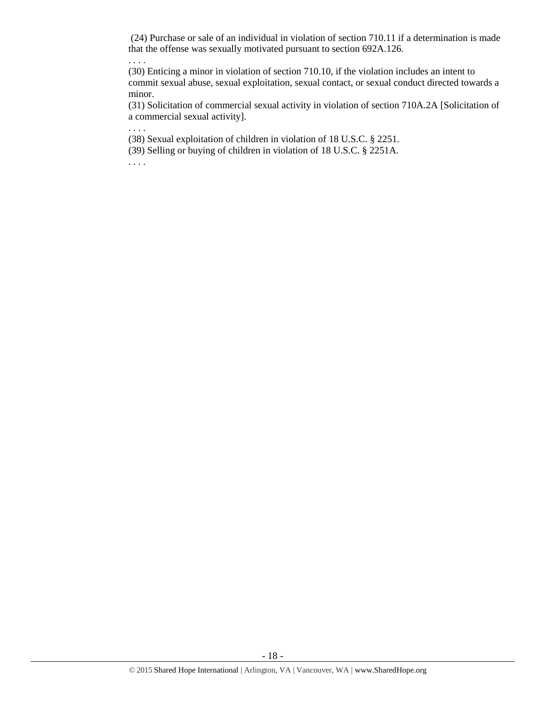(24) Purchase or sale of an individual in violation of section 710.11 if a determination is made that the offense was sexually motivated pursuant to section 692A.126.

. . . .

(30) Enticing a minor in violation of section 710.10, if the violation includes an intent to commit sexual abuse, sexual exploitation, sexual contact, or sexual conduct directed towards a minor.

(31) Solicitation of commercial sexual activity in violation of section 710A.2A [Solicitation of a commercial sexual activity].

(38) Sexual exploitation of children in violation of [18 U.S.C. § 2251.](https://www.lexis.com/research/buttonTFLink?_m=4fc730b00228455ff3529e63593f5654&_xfercite=%3ccite%20cc%3d%22USA%22%3e%3c%21%5bCDATA%5bIowa%20Code%20%a7%20692A.102%5d%5d%3e%3c%2fcite%3e&_butType=4&_butStat=0&_butNum=23&_butInline=1&_butinfo=18%20USC%202251&_fmtstr=FULL&docnum=1&_startdoc=1&wchp=dGLbVzV-zSkAW&_md5=9aec939dada19e89d789d2adabfddf89)

(39) Selling or buying of children in violation of [18 U.S.C. § 2251A.](https://www.lexis.com/research/buttonTFLink?_m=4fc730b00228455ff3529e63593f5654&_xfercite=%3ccite%20cc%3d%22USA%22%3e%3c%21%5bCDATA%5bIowa%20Code%20%a7%20692A.102%5d%5d%3e%3c%2fcite%3e&_butType=4&_butStat=0&_butNum=24&_butInline=1&_butinfo=18%20USC%202251A&_fmtstr=FULL&docnum=1&_startdoc=1&wchp=dGLbVzV-zSkAW&_md5=9293aacd54f5da281c2803161a7ba782)

. . . .

. . . .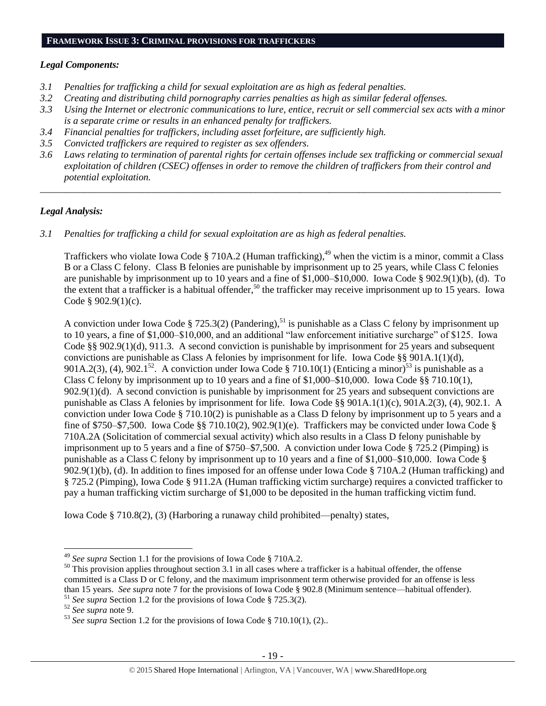#### **FRAMEWORK ISSUE 3: CRIMINAL PROVISIONS FOR TRAFFICKERS**

#### *Legal Components:*

- *3.1 Penalties for trafficking a child for sexual exploitation are as high as federal penalties.*
- *3.2 Creating and distributing child pornography carries penalties as high as similar federal offenses.*
- *3.3 Using the Internet or electronic communications to lure, entice, recruit or sell commercial sex acts with a minor is a separate crime or results in an enhanced penalty for traffickers.*
- *3.4 Financial penalties for traffickers, including asset forfeiture, are sufficiently high.*
- *3.5 Convicted traffickers are required to register as sex offenders.*
- *3.6 Laws relating to termination of parental rights for certain offenses include sex trafficking or commercial sexual exploitation of children (CSEC) offenses in order to remove the children of traffickers from their control and potential exploitation.*

*\_\_\_\_\_\_\_\_\_\_\_\_\_\_\_\_\_\_\_\_\_\_\_\_\_\_\_\_\_\_\_\_\_\_\_\_\_\_\_\_\_\_\_\_\_\_\_\_\_\_\_\_\_\_\_\_\_\_\_\_\_\_\_\_\_\_\_\_\_\_\_\_\_\_\_\_\_\_\_\_\_\_\_\_\_\_\_\_\_\_\_\_\_\_*

#### *Legal Analysis:*

*3.1 Penalties for trafficking a child for sexual exploitation are as high as federal penalties.* 

Traffickers who violate Iowa Code § 710A.2 (Human trafficking),<sup>49</sup> when the victim is a minor, commit a Class B or a Class C felony. Class B felonies are punishable by imprisonment up to 25 years, while Class C felonies are punishable by imprisonment up to 10 years and a fine of \$1,000–\$10,000. Iowa Code § 902.9(1)(b), (d). To the extent that a trafficker is a habitual offender,<sup>50</sup> the trafficker may receive imprisonment up to 15 years. Iowa Code § 902.9(1)(c).

A conviction under Iowa Code § 725.3(2) (Pandering),<sup>51</sup> is punishable as a Class C felony by imprisonment up to 10 years, a fine of \$1,000–\$10,000, and an additional "law enforcement initiative surcharge" of \$125. Iowa Code §§ 902.9(1)(d), 911.3. A second conviction is punishable by imprisonment for 25 years and subsequent convictions are punishable as Class A felonies by imprisonment for life. Iowa Code §§ 901A.1(1)(d), 901A.2(3), (4),  $902.1^{52}$ . A conviction under Iowa Code § 710.10(1) (Enticing a minor)<sup>53</sup> is punishable as a Class C felony by imprisonment up to 10 years and a fine of \$1,000–\$10,000. Iowa Code §§ 710.10(1), 902.9(1)(d). A second conviction is punishable by imprisonment for 25 years and subsequent convictions are punishable as Class A felonies by imprisonment for life. Iowa Code §§ 901A.1(1)(c), 901A.2(3), (4), 902.1. A conviction under Iowa Code § 710.10(2) is punishable as a Class D felony by imprisonment up to 5 years and a fine of \$750–\$7,500. Iowa Code §§ 710.10(2), 902.9(1)(e). Traffickers may be convicted under Iowa Code § 710A.2A (Solicitation of commercial sexual activity) which also results in a Class D felony punishable by imprisonment up to 5 years and a fine of \$750–\$7,500. A conviction under Iowa Code § 725.2 (Pimping) is punishable as a Class C felony by imprisonment up to 10 years and a fine of \$1,000–\$10,000. Iowa Code § 902.9(1)(b), (d). In addition to fines imposed for an offense under Iowa Code § 710A.2 (Human trafficking) and § 725.2 (Pimping), Iowa Code § 911.2A (Human trafficking victim surcharge) requires a convicted trafficker to pay a human trafficking victim surcharge of \$1,000 to be deposited in the human trafficking victim fund.

Iowa Code § 710.8(2), (3) (Harboring a runaway child prohibited—penalty) states,

<sup>49</sup> *See supra* Section 1.1 for the provisions of Iowa Code § 710A.2.

 $50$  This provision applies throughout section 3.1 in all cases where a trafficker is a habitual offender, the offense committed is a Class D or C felony, and the maximum imprisonment term otherwise provided for an offense is less than 15 years. *See supra* note [7](#page-2-0) for the provisions of Iowa Code § 902.8 (Minimum sentence—habitual offender). <sup>51</sup> *See supra* Section 1.2 for the provisions of Iowa Code § 725.3(2).

<sup>52</sup> *See supra* note [9.](#page-2-1)

<sup>53</sup> *See supra* Section 1.2 for the provisions of Iowa Code § 710.10(1), (2)..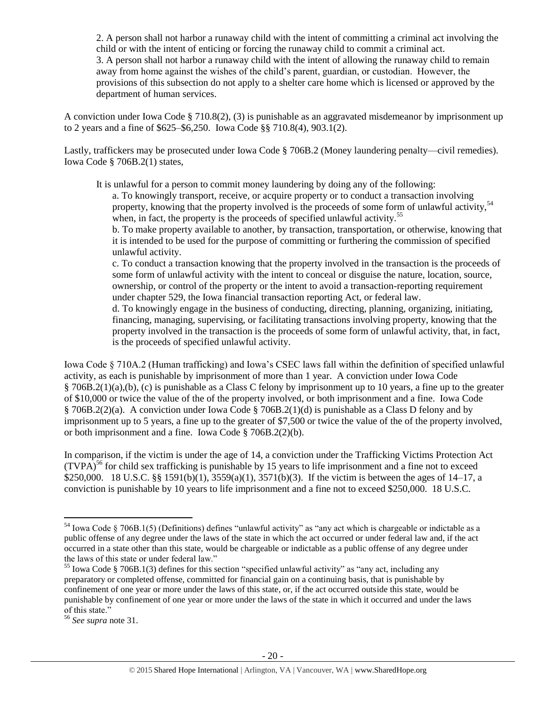2. A person shall not harbor a runaway child with the intent of committing a criminal act involving the child or with the intent of enticing or forcing the runaway child to commit a criminal act. 3. A person shall not harbor a runaway child with the intent of allowing the runaway child to remain away from home against the wishes of the child's parent, guardian, or custodian. However, the provisions of this subsection do not apply to a shelter care home which is licensed or approved by the department of human services.

A conviction under Iowa Code § 710.8(2), (3) is punishable as an aggravated misdemeanor by imprisonment up to 2 years and a fine of \$625–\$6,250. Iowa Code §§ 710.8(4), 903.1(2).

Lastly, traffickers may be prosecuted under Iowa Code § 706B.2 (Money laundering penalty—civil remedies). Iowa Code § 706B.2(1) states,

It is unlawful for a person to commit money laundering by doing any of the following:

a. To knowingly transport, receive, or acquire property or to conduct a transaction involving property, knowing that the property involved is the proceeds of some form of unlawful activity.<sup>54</sup> when, in fact, the property is the proceeds of specified unlawful activity.<sup>55</sup>

b. To make property available to another, by transaction, transportation, or otherwise, knowing that it is intended to be used for the purpose of committing or furthering the commission of specified unlawful activity.

c. To conduct a transaction knowing that the property involved in the transaction is the proceeds of some form of unlawful activity with the intent to conceal or disguise the nature, location, source, ownership, or control of the property or the intent to avoid a transaction-reporting requirement under chapter 529, the Iowa financial transaction reporting Act, or federal law.

d. To knowingly engage in the business of conducting, directing, planning, organizing, initiating, financing, managing, supervising, or facilitating transactions involving property, knowing that the property involved in the transaction is the proceeds of some form of unlawful activity, that, in fact, is the proceeds of specified unlawful activity.

Iowa Code § 710A.2 (Human trafficking) and Iowa's CSEC laws fall within the definition of specified unlawful activity, as each is punishable by imprisonment of more than 1 year. A conviction under Iowa Code § 706B.2(1)(a),(b), (c) is punishable as a Class C felony by imprisonment up to 10 years, a fine up to the greater of \$10,000 or twice the value of the of the property involved, or both imprisonment and a fine. Iowa Code § 706B.2(2)(a). A conviction under Iowa Code § 706B.2(1)(d) is punishable as a Class D felony and by imprisonment up to 5 years, a fine up to the greater of \$7,500 or twice the value of the of the property involved, or both imprisonment and a fine. Iowa Code § 706B.2(2)(b).

In comparison, if the victim is under the age of 14, a conviction under the Trafficking Victims Protection Act  $(TVPA)^{56}$  for child sex trafficking is punishable by 15 years to life imprisonment and a fine not to exceed \$250,000. 18 U.S.C. §§ 1591(b)(1), 3559(a)(1), 3571(b)(3). If the victim is between the ages of 14–17, a conviction is punishable by 10 years to life imprisonment and a fine not to exceed \$250,000. 18 U.S.C.

 $54$  Iowa Code § 706B.1(5) (Definitions) defines "unlawful activity" as "any act which is chargeable or indictable as a public offense of any degree under the laws of the state in which the act occurred or under federal law and, if the act occurred in a state other than this state, would be chargeable or indictable as a public offense of any degree under the laws of this state or under federal law."

<sup>55</sup> Iowa Code § 706B.1(3) defines for this section "specified unlawful activity" as "any act, including any preparatory or completed offense, committed for financial gain on a continuing basis, that is punishable by confinement of one year or more under the laws of this state, or, if the act occurred outside this state, would be punishable by confinement of one year or more under the laws of the state in which it occurred and under the laws of this state."

<sup>56</sup> *See supra* note [31.](#page-11-0)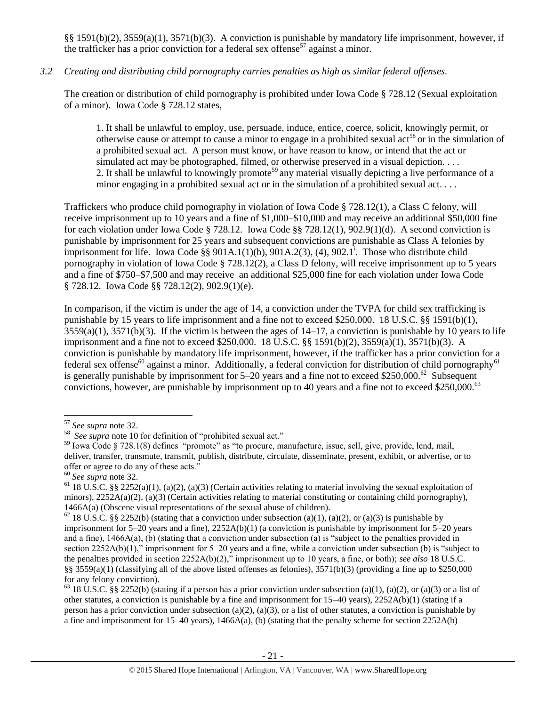§§ 1591(b)(2), 3559(a)(1), 3571(b)(3). A conviction is punishable by mandatory life imprisonment, however, if the trafficker has a prior conviction for a federal sex offense<sup>57</sup> against a minor.

# *3.2 Creating and distributing child pornography carries penalties as high as similar federal offenses.*

The creation or distribution of child pornography is prohibited under Iowa Code § 728.12 (Sexual exploitation of a minor). Iowa Code § 728.12 states,

1. It shall be unlawful to employ, use, persuade, induce, entice, coerce, solicit, knowingly permit, or otherwise cause or attempt to cause a minor to engage in a prohibited sexual  $\arctan 80^\circ$  or in the simulation of a prohibited sexual act. A person must know, or have reason to know, or intend that the act or simulated act may be photographed, filmed, or otherwise preserved in a visual depiction. . . . 2. It shall be unlawful to knowingly promote<sup>59</sup> any material visually depicting a live performance of a minor engaging in a prohibited sexual act or in the simulation of a prohibited sexual act. . . .

Traffickers who produce child pornography in violation of Iowa Code § 728.12(1), a Class C felony, will receive imprisonment up to 10 years and a fine of \$1,000–\$10,000 and may receive an additional \$50,000 fine for each violation under Iowa Code § 728.12. Iowa Code §§ 728.12(1), 902.9(1)(d). A second conviction is punishable by imprisonment for 25 years and subsequent convictions are punishable as Class A felonies by imprisonment for life. Iowa Code  $\S$ § 901A.1(1)(b), 901A.2(3), (4), 902.1<sup>1</sup>. Those who distribute child pornography in violation of Iowa Code § 728.12(2), a Class D felony, will receive imprisonment up to 5 years and a fine of \$750–\$7,500 and may receive an additional \$25,000 fine for each violation under Iowa Code § 728.12. Iowa Code §§ 728.12(2), 902.9(1)(e).

In comparison, if the victim is under the age of 14, a conviction under the TVPA for child sex trafficking is punishable by 15 years to life imprisonment and a fine not to exceed \$250,000. 18 U.S.C. §§ 1591(b)(1),  $3559(a)(1)$ ,  $3571(b)(3)$ . If the victim is between the ages of  $14-17$ , a conviction is punishable by 10 years to life imprisonment and a fine not to exceed \$250,000. 18 U.S.C. §§ 1591(b)(2), 3559(a)(1), 3571(b)(3). A conviction is punishable by mandatory life imprisonment, however, if the trafficker has a prior conviction for a federal sex offense<sup>60</sup> against a minor. Additionally, a federal conviction for distribution of child pornography<sup>61</sup> is generally punishable by imprisonment for  $5-20$  years and a fine not to exceed \$250,000.<sup>62</sup> Subsequent convictions, however, are punishable by imprisonment up to 40 years and a fine not to exceed \$250,000.<sup>63</sup>

<sup>57</sup> *See supra* note [32.](#page-11-1)

<sup>58</sup> *See supra* note [10](#page-2-2) for definition of "prohibited sexual act."

<sup>59</sup> Iowa Code § 728.1(8) defines "promote" as "to procure, manufacture, issue, sell, give, provide, lend, mail, deliver, transfer, transmute, transmit, publish, distribute, circulate, disseminate, present, exhibit, or advertise, or to offer or agree to do any of these acts."

<sup>60</sup> *See supra* note [32.](#page-11-1)

<sup>&</sup>lt;sup>61</sup> 18 U.S.C. §§ 2252(a)(1), (a)(2), (a)(3) (Certain activities relating to material involving the sexual exploitation of minors),  $2252A(a)(2)$ ,  $(a)(3)$  (Certain activities relating to material constituting or containing child pornography), 1466A(a) (Obscene visual representations of the sexual abuse of children).

<sup>&</sup>lt;sup>62</sup> 18 U.S.C. §§ 2252(b) (stating that a conviction under subsection (a)(1), (a)(2), or (a)(3) is punishable by imprisonment for 5–20 years and a fine), 2252A(b)(1) (a conviction is punishable by imprisonment for 5–20 years and a fine),  $1466A(a)$ , (b) (stating that a conviction under subsection (a) is "subject to the penalties provided in section 2252A(b)(1)," imprisonment for 5–20 years and a fine, while a conviction under subsection (b) is "subject to the penalties provided in section 2252A(b)(2)," imprisonment up to 10 years, a fine, or both); *see also* 18 U.S.C. §§ 3559(a)(1) (classifying all of the above listed offenses as felonies),  $3571(b)(3)$  (providing a fine up to \$250,000 for any felony conviction).

<sup>&</sup>lt;sup>63</sup> 18 U.S.C. §§ 2252(b) (stating if a person has a prior conviction under subsection (a)(1), (a)(2), or (a)(3) or a list of other statutes, a conviction is punishable by a fine and imprisonment for  $15-40$  years),  $2252A(b)(1)$  (stating if a person has a prior conviction under subsection (a)(2), (a)(3), or a list of other statutes, a conviction is punishable by a fine and imprisonment for 15–40 years), 1466A(a), (b) (stating that the penalty scheme for section 2252A(b)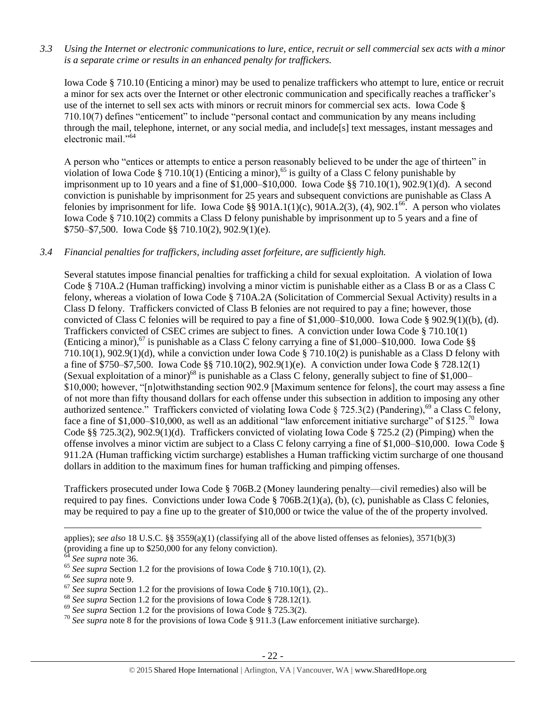*3.3 Using the Internet or electronic communications to lure, entice, recruit or sell commercial sex acts with a minor is a separate crime or results in an enhanced penalty for traffickers.*

Iowa Code § 710.10 (Enticing a minor) may be used to penalize traffickers who attempt to lure, entice or recruit a minor for sex acts over the Internet or other electronic communication and specifically reaches a trafficker's use of the internet to sell sex acts with minors or recruit minors for commercial sex acts. Iowa Code § 710.10(7) defines "enticement" to include "personal contact and communication by any means including through the mail, telephone, internet, or any social media, and include[s] text messages, instant messages and electronic mail."<sup>64</sup>

A person who "entices or attempts to entice a person reasonably believed to be under the age of thirteen" in violation of Iowa Code § 710.10(1) (Enticing a minor),<sup>65</sup> is guilty of a Class C felony punishable by imprisonment up to 10 years and a fine of \$1,000–\$10,000. Iowa Code §§ 710.10(1), 902.9(1)(d). A second conviction is punishable by imprisonment for 25 years and subsequent convictions are punishable as Class A felonies by imprisonment for life. Iowa Code §§ 901A.1(1)(c), 901A.2(3), (4), 902.1<sup>66</sup>. A person who violates Iowa Code § 710.10(2) commits a Class D felony punishable by imprisonment up to 5 years and a fine of \$750–\$7,500. Iowa Code §§ 710.10(2), 902.9(1)(e).

#### *3.4 Financial penalties for traffickers, including asset forfeiture, are sufficiently high.*

Several statutes impose financial penalties for trafficking a child for sexual exploitation. A violation of Iowa Code § 710A.2 (Human trafficking) involving a minor victim is punishable either as a Class B or as a Class C felony, whereas a violation of Iowa Code § 710A.2A (Solicitation of Commercial Sexual Activity) results in a Class D felony. Traffickers convicted of Class B felonies are not required to pay a fine; however, those convicted of Class C felonies will be required to pay a fine of \$1,000–\$10,000. Iowa Code § 902.9(1)((b), (d). Traffickers convicted of CSEC crimes are subject to fines. A conviction under Iowa Code § 710.10(1) (Enticing a minor),<sup>67</sup> is punishable as a Class C felony carrying a fine of \$1,000–\$10,000. Iowa Code §§ 710.10(1), 902.9(1)(d), while a conviction under Iowa Code § 710.10(2) is punishable as a Class D felony with a fine of \$750–\$7,500. Iowa Code §§ 710.10(2), 902.9(1)(e). A conviction under Iowa Code § 728.12(1) (Sexual exploitation of a minor)<sup>68</sup> is punishable as a Class C felony, generally subject to fine of \$1,000– \$10,000; however, "[n]otwithstanding section 902.9 [Maximum sentence for felons], the court may assess a fine of not more than fifty thousand dollars for each offense under this subsection in addition to imposing any other authorized sentence." Traffickers convicted of violating Iowa Code § 725.3(2) (Pandering),<sup>69</sup> a Class C felony, face a fine of \$1,000–\$10,000, as well as an additional "law enforcement initiative surcharge" of \$125.<sup>70</sup> Iowa Code §§ 725.3(2), 902.9(1)(d). Traffickers convicted of violating Iowa Code § 725.2 (2) (Pimping) when the offense involves a minor victim are subject to a Class C felony carrying a fine of \$1,000–\$10,000. Iowa Code § 911.2A (Human trafficking victim surcharge) establishes a Human trafficking victim surcharge of one thousand dollars in addition to the maximum fines for human trafficking and pimping offenses.

Traffickers prosecuted under Iowa Code § 706B.2 (Money laundering penalty—civil remedies) also will be required to pay fines. Convictions under Iowa Code § 706B.2(1)(a), (b), (c), punishable as Class C felonies, may be required to pay a fine up to the greater of \$10,000 or twice the value of the of the property involved.

applies); *see also* 18 U.S.C. §§ 3559(a)(1) (classifying all of the above listed offenses as felonies), 3571(b)(3) (providing a fine up to \$250,000 for any felony conviction).

<sup>64</sup> *See supra* note [36.](#page-12-0)

<sup>&</sup>lt;sup>65</sup> See supra Section 1.2 for the provisions of Iowa Code § 710.10(1), (2).

<sup>66</sup> *See supra* note [9.](#page-2-1)

 $\frac{67}{2}$  *See supra* Section 1.2 for the provisions of Iowa Code § 710.10(1), (2)...

<sup>68</sup> *See supra* Section 1.2 for the provisions of Iowa Code § 728.12(1).

<sup>69</sup> *See supra* Section 1.2 for the provisions of Iowa Code § 725.3(2).

<sup>70</sup> *See supra* note [8](#page-2-3) for the provisions of Iowa Code § 911.3 (Law enforcement initiative surcharge).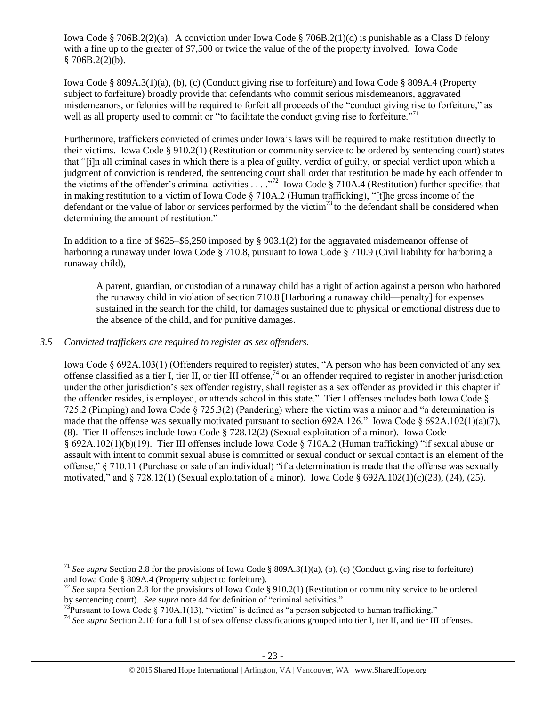Iowa Code § 706B.2(2)(a). A conviction under Iowa Code § 706B.2(1)(d) is punishable as a Class D felony with a fine up to the greater of \$7,500 or twice the value of the of the property involved. Iowa Code  $$706B.2(2)(b).$ 

Iowa Code § 809A.3(1)(a), (b), (c) (Conduct giving rise to forfeiture) and Iowa Code § 809A.4 (Property subject to forfeiture) broadly provide that defendants who commit serious misdemeanors, aggravated misdemeanors, or felonies will be required to forfeit all proceeds of the "conduct giving rise to forfeiture," as well as all property used to commit or "to facilitate the conduct giving rise to forfeiture."<sup>71</sup>

Furthermore, traffickers convicted of crimes under Iowa's laws will be required to make restitution directly to their victims. Iowa Code § 910.2(1) (Restitution or community service to be ordered by sentencing court) states that "[i]n all criminal cases in which there is a plea of guilty, verdict of guilty, or special verdict upon which a judgment of conviction is rendered, the sentencing court shall order that restitution be made by each offender to the victims of the offender's criminal activities  $\ldots$ <sup>72</sup> Iowa Code § 710A.4 (Restitution) further specifies that in making restitution to a victim of Iowa Code § 710A.2 (Human trafficking), "[t]he gross income of the defendant or the value of labor or services performed by the victim<sup>73</sup> to the defendant shall be considered when determining the amount of restitution."

In addition to a fine of \$625–\$6,250 imposed by § 903.1(2) for the aggravated misdemeanor offense of harboring a runaway under Iowa Code § 710.8, pursuant to Iowa Code § 710.9 (Civil liability for harboring a runaway child),

<span id="page-22-0"></span>A parent, guardian, or custodian of a runaway child has a right of action against a person who harbored the runaway child in violation of section 710.8 [Harboring a runaway child—penalty] for expenses sustained in the search for the child, for damages sustained due to physical or emotional distress due to the absence of the child, and for punitive damages.

# *3.5 Convicted traffickers are required to register as sex offenders.*

 $\overline{a}$ 

Iowa Code § 692A.103(1) (Offenders required to register) states, "A person who has been convicted of any sex offense classified as a tier I, tier II, or tier III offense,  $74$  or an offender required to register in another jurisdiction under the other jurisdiction's sex offender registry, shall register as a sex offender as provided in this chapter if the offender resides, is employed, or attends school in this state." Tier I offenses includes both Iowa Code § 725.2 (Pimping) and Iowa Code § 725.3(2) (Pandering) where the victim was a minor and "a determination is made that the offense was sexually motivated pursuant to section 692A.126." Iowa Code  $\S$  692A.102(1)(a)(7), (8). Tier II offenses include Iowa Code § 728.12(2) (Sexual exploitation of a minor). Iowa Code § 692A.102(1)(b)(19). Tier III offenses include Iowa Code § 710A.2 (Human trafficking) "if sexual abuse or assault with intent to commit sexual abuse is committed or sexual conduct or sexual contact is an element of the offense," § 710.11 (Purchase or sale of an individual) "if a determination is made that the offense was sexually motivated," and  $\S 728.12(1)$  (Sexual exploitation of a minor). Iowa Code  $\S 692A.102(1)(c)(23)$ , (24), (25).

<sup>&</sup>lt;sup>71</sup> *See supra* Section 2.8 for the provisions of Iowa Code § 809A.3(1)(a), (b), (c) (Conduct giving rise to forfeiture) and Iowa Code § 809A.4 (Property subject to forfeiture).

<sup>72</sup> *See* supra Section 2.8 for the provisions of Iowa Code § 910.2(1) (Restitution or community service to be ordered by sentencing court). *See supra* note [44](#page-14-0) for definition of "criminal activities."

<sup>&</sup>lt;sup>73</sup>Pursuant to Iowa Code § 710A.1(13), "victim" is defined as "a person subjected to human trafficking."

<sup>74</sup> *See supra* Section 2.10 for a full list of sex offense classifications grouped into tier I, tier II, and tier III offenses.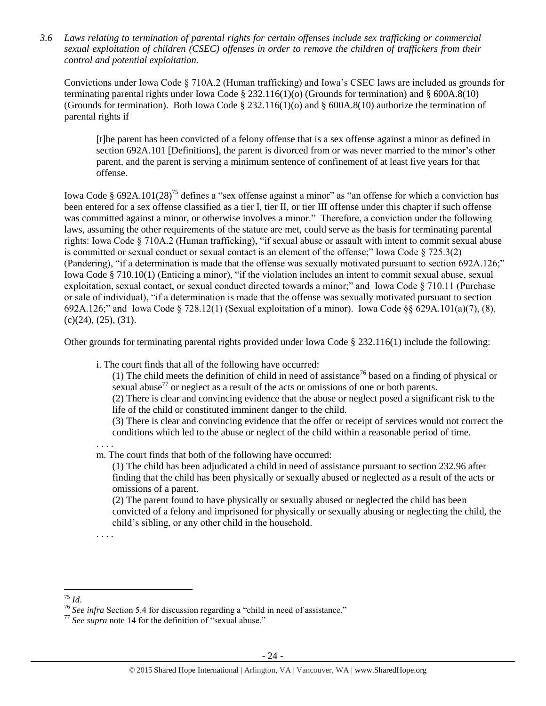*3.6 Laws relating to termination of parental rights for certain offenses include sex trafficking or commercial sexual exploitation of children (CSEC) offenses in order to remove the children of traffickers from their control and potential exploitation.* 

Convictions under Iowa Code § 710A.2 (Human trafficking) and Iowa's CSEC laws are included as grounds for terminating parental rights under Iowa Code § 232.116(1)(o) (Grounds for termination) and § 600A.8(10) (Grounds for termination). Both Iowa Code § 232.116(1)(o) and § 600A.8(10) authorize the termination of parental rights if

[t]he parent has been convicted of a felony offense that is a sex offense against a minor as defined in section 692A.101 [Definitions], the parent is divorced from or was never married to the minor's other parent, and the parent is serving a minimum sentence of confinement of at least five years for that offense.

Iowa Code § 692A.101(28)<sup>75</sup> defines a "sex offense against a minor" as "an offense for which a conviction has been entered for a sex offense classified as a tier I, tier II, or tier III offense under this chapter if such offense was committed against a minor, or otherwise involves a minor." Therefore, a conviction under the following laws, assuming the other requirements of the statute are met, could serve as the basis for terminating parental rights: Iowa Code § 710A.2 (Human trafficking), "if sexual abuse or assault with intent to commit sexual abuse is committed or sexual conduct or sexual contact is an element of the offense;" Iowa Code § 725.3(2) (Pandering), "if a determination is made that the offense was sexually motivated pursuant to section 692A.126;" Iowa Code § 710.10(1) (Enticing a minor), "if the violation includes an intent to commit sexual abuse, sexual exploitation, sexual contact, or sexual conduct directed towards a minor;" and Iowa Code § 710.11 (Purchase or sale of individual), "if a determination is made that the offense was sexually motivated pursuant to section 692A.126;" and Iowa Code § 728.12(1) (Sexual exploitation of a minor). Iowa Code §§ 629A.101(a)(7), (8),  $(c)(24)$ ,  $(25)$ ,  $(31)$ .

Other grounds for terminating parental rights provided under Iowa Code § 232.116(1) include the following:

i. The court finds that all of the following have occurred:

(1) The child meets the definition of child in need of assistance<sup>76</sup> based on a finding of physical or sexual abuse<sup>77</sup> or neglect as a result of the acts or omissions of one or both parents.

(2) There is clear and convincing evidence that the abuse or neglect posed a significant risk to the life of the child or constituted imminent danger to the child.

(3) There is clear and convincing evidence that the offer or receipt of services would not correct the conditions which led to the abuse or neglect of the child within a reasonable period of time.

. . . . m. The court finds that both of the following have occurred:

(1) The child has been adjudicated a child in need of assistance pursuant to section 232.96 after finding that the child has been physically or sexually abused or neglected as a result of the acts or omissions of a parent.

(2) The parent found to have physically or sexually abused or neglected the child has been convicted of a felony and imprisoned for physically or sexually abusing or neglecting the child, the child's sibling, or any other child in the household.

 $\overline{a}$ <sup>75</sup> *Id*. . . . .

<sup>76</sup> *See infra* Section 5.4 for discussion regarding a "child in need of assistance."

<sup>77</sup> *See supra* note [14](#page-4-0) for the definition of "sexual abuse."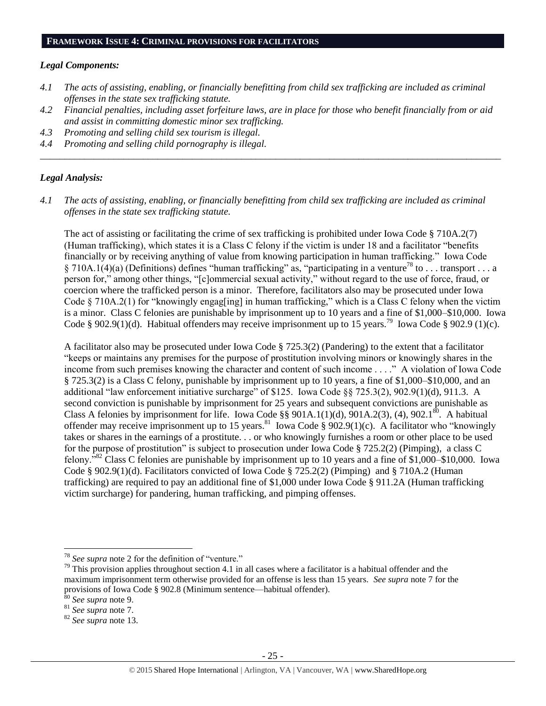#### *Legal Components:*

- *4.1 The acts of assisting, enabling, or financially benefitting from child sex trafficking are included as criminal offenses in the state sex trafficking statute.*
- *4.2 Financial penalties, including asset forfeiture laws, are in place for those who benefit financially from or aid and assist in committing domestic minor sex trafficking.*

*\_\_\_\_\_\_\_\_\_\_\_\_\_\_\_\_\_\_\_\_\_\_\_\_\_\_\_\_\_\_\_\_\_\_\_\_\_\_\_\_\_\_\_\_\_\_\_\_\_\_\_\_\_\_\_\_\_\_\_\_\_\_\_\_\_\_\_\_\_\_\_\_\_\_\_\_\_\_\_\_\_\_\_\_\_\_\_\_\_\_\_\_\_\_*

- *4.3 Promoting and selling child sex tourism is illegal.*
- *4.4 Promoting and selling child pornography is illegal.*

#### *Legal Analysis:*

*4.1 The acts of assisting, enabling, or financially benefitting from child sex trafficking are included as criminal offenses in the state sex trafficking statute.*

The act of assisting or facilitating the crime of sex trafficking is prohibited under Iowa Code § 710A.2(7) (Human trafficking), which states it is a Class C felony if the victim is under 18 and a facilitator "benefits financially or by receiving anything of value from knowing participation in human trafficking." Iowa Code § 710A.1(4)(a) (Definitions) defines "human trafficking" as, "participating in a venture<sup>78</sup> to . . . transport . . . a person for," among other things, "[c]ommercial sexual activity," without regard to the use of force, fraud, or coercion where the trafficked person is a minor. Therefore, facilitators also may be prosecuted under Iowa Code § 710A.2(1) for "knowingly engag[ing] in human trafficking," which is a Class C felony when the victim is a minor. Class C felonies are punishable by imprisonment up to 10 years and a fine of \$1,000–\$10,000. Iowa Code § 902.9(1)(d). Habitual offenders may receive imprisonment up to 15 years.<sup>79</sup> Iowa Code § 902.9 (1)(c).

A facilitator also may be prosecuted under Iowa Code § 725.3(2) (Pandering) to the extent that a facilitator "keeps or maintains any premises for the purpose of prostitution involving minors or knowingly shares in the income from such premises knowing the character and content of such income . . . ." A violation of Iowa Code § 725.3(2) is a Class C felony, punishable by imprisonment up to 10 years, a fine of \$1,000–\$10,000, and an additional "law enforcement initiative surcharge" of \$125. Iowa Code §§ 725.3(2), 902.9(1)(d), 911.3. A second conviction is punishable by imprisonment for 25 years and subsequent convictions are punishable as Class A felonies by imprisonment for life. Iowa Code §§ 901A.1(1)(d), 901A.2(3), (4), 902.1<sup>80</sup>. A habitual offender may receive imprisonment up to 15 years.<sup>81</sup> Iowa Code § 902.9(1)(c). A facilitator who "knowingly takes or shares in the earnings of a prostitute. . . or who knowingly furnishes a room or other place to be used for the purpose of prostitution" is subject to prosecution under Iowa Code § 725.2(2) (Pimping), a class C felony."<sup>82</sup> Class C felonies are punishable by imprisonment up to 10 years and a fine of \$1,000–\$10,000. Iowa Code § 902.9(1)(d). Facilitators convicted of Iowa Code § 725.2(2) (Pimping) and § 710A.2 (Human trafficking) are required to pay an additional fine of \$1,000 under Iowa Code § 911.2A (Human trafficking victim surcharge) for pandering, human trafficking, and pimping offenses.

<sup>78</sup> *See supra* note [2](#page-1-0) for the definition of "venture."

 $79$  This provision applies throughout section 4.1 in all cases where a facilitator is a habitual offender and the maximum imprisonment term otherwise provided for an offense is less than 15 years. *See supra* note [7](#page-2-0) for the provisions of Iowa Code § 902.8 (Minimum sentence—habitual offender).

<sup>&</sup>lt;sup>3</sup> See supra note [9.](#page-2-1)

<sup>81</sup> *See supra* note [7.](#page-2-0)

<sup>82</sup> *See supra* note 13.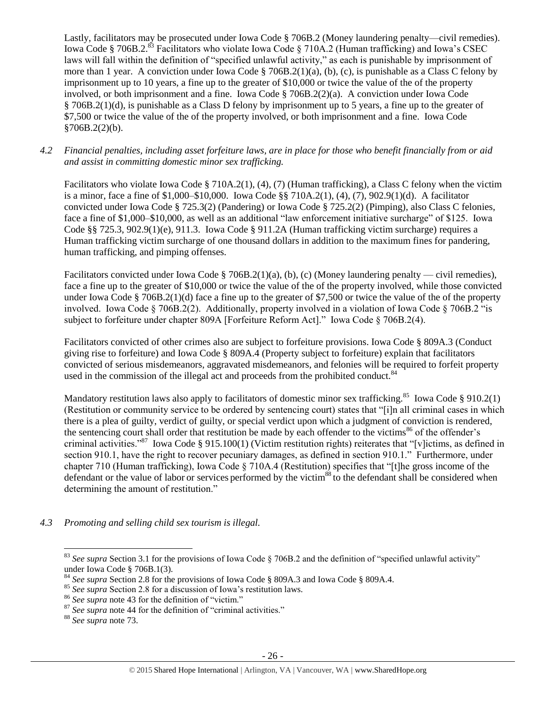Lastly, facilitators may be prosecuted under Iowa Code § 706B.2 (Money laundering penalty—civil remedies). Iowa Code § 706B.2.<sup>83</sup> Facilitators who violate Iowa Code § 710A.2 (Human trafficking) and Iowa's CSEC laws will fall within the definition of "specified unlawful activity," as each is punishable by imprisonment of more than 1 year. A conviction under Iowa Code § 706B.2(1)(a), (b), (c), is punishable as a Class C felony by imprisonment up to 10 years, a fine up to the greater of \$10,000 or twice the value of the of the property involved, or both imprisonment and a fine. Iowa Code § 706B.2(2)(a). A conviction under Iowa Code § 706B.2(1)(d), is punishable as a Class D felony by imprisonment up to 5 years, a fine up to the greater of \$7,500 or twice the value of the of the property involved, or both imprisonment and a fine. Iowa Code  $§706B.2(2)(b).$ 

*4.2 Financial penalties, including asset forfeiture laws, are in place for those who benefit financially from or aid and assist in committing domestic minor sex trafficking.*

Facilitators who violate Iowa Code § 710A.2(1), (4), (7) (Human trafficking), a Class C felony when the victim is a minor, face a fine of \$1,000–\$10,000. Iowa Code §§ 710A.2(1), (4), (7), 902.9(1)(d). A facilitator convicted under Iowa Code § 725.3(2) (Pandering) or Iowa Code § 725.2(2) (Pimping), also Class C felonies, face a fine of \$1,000–\$10,000, as well as an additional "law enforcement initiative surcharge" of \$125. Iowa Code §§ 725.3, 902.9(1)(e), 911.3. Iowa Code § 911.2A (Human trafficking victim surcharge) requires a Human trafficking victim surcharge of one thousand dollars in addition to the maximum fines for pandering, human trafficking, and pimping offenses.

Facilitators convicted under Iowa Code § 706B.2(1)(a), (b), (c) (Money laundering penalty — civil remedies), face a fine up to the greater of \$10,000 or twice the value of the of the property involved, while those convicted under Iowa Code § 706B.2(1)(d) face a fine up to the greater of \$7,500 or twice the value of the of the property involved. Iowa Code § 706B.2(2). Additionally, property involved in a violation of Iowa Code § 706B.2 "is subject to forfeiture under chapter 809A [Forfeiture Reform Act]." Iowa Code § 706B.2(4).

Facilitators convicted of other crimes also are subject to forfeiture provisions. Iowa Code § 809A.3 (Conduct giving rise to forfeiture) and Iowa Code § 809A.4 (Property subject to forfeiture) explain that facilitators convicted of serious misdemeanors, aggravated misdemeanors, and felonies will be required to forfeit property used in the commission of the illegal act and proceeds from the prohibited conduct. $84$ 

Mandatory restitution laws also apply to facilitators of domestic minor sex trafficking.<sup>85</sup> Iowa Code § 910.2(1) (Restitution or community service to be ordered by sentencing court) states that "[i]n all criminal cases in which there is a plea of guilty, verdict of guilty, or special verdict upon which a judgment of conviction is rendered, the sentencing court shall order that restitution be made by each offender to the victims<sup>86</sup> of the offender's criminal activities."<sup>87</sup> Iowa Code § 915.100(1) (Victim restitution rights) reiterates that "[v]ictims, as defined in section 910.1, have the right to recover pecuniary damages, as defined in section 910.1." Furthermore, under chapter 710 (Human trafficking), Iowa Code § 710A.4 (Restitution) specifies that "[t]he gross income of the defendant or the value of labor or services performed by the victim<sup>88</sup> to the defendant shall be considered when determining the amount of restitution."

*4.3 Promoting and selling child sex tourism is illegal.*

<sup>&</sup>lt;sup>83</sup> See supra Section 3.1 for the provisions of Iowa Code § 706B.2 and the definition of "specified unlawful activity" under Iowa Code § 706B.1(3).

<sup>84</sup> *See supra* Section 2.8 for the provisions of Iowa Code § 809A.3 and Iowa Code § 809A.4.

<sup>&</sup>lt;sup>85</sup> See supra Section 2.8 for a discussion of Iowa's restitution laws.

<sup>86</sup> *See supra* note [43](#page-14-1) for the definition of "victim."

<sup>87</sup> *See supra* note [44](#page-14-0) for the definition of "criminal activities."

<sup>88</sup> *See supra* note [73.](#page-22-0)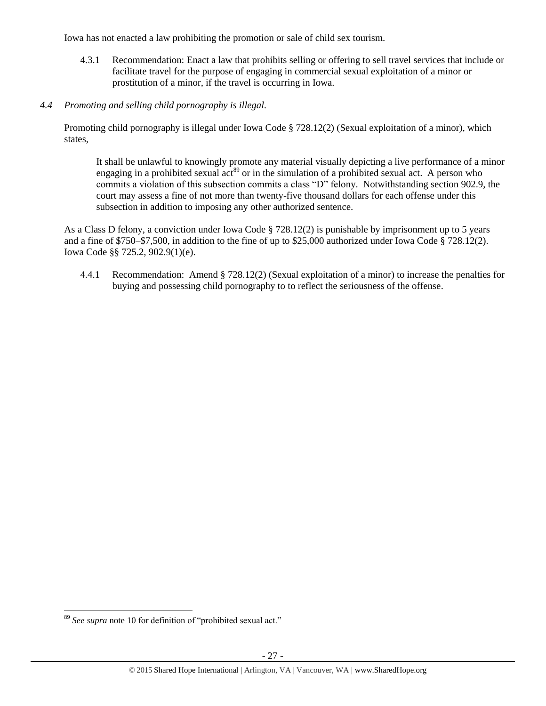Iowa has not enacted a law prohibiting the promotion or sale of child sex tourism.

- 4.3.1 Recommendation: Enact a law that prohibits selling or offering to sell travel services that include or facilitate travel for the purpose of engaging in commercial sexual exploitation of a minor or prostitution of a minor, if the travel is occurring in Iowa.
- *4.4 Promoting and selling child pornography is illegal.*

Promoting child pornography is illegal under Iowa Code § 728.12(2) (Sexual exploitation of a minor), which states,

It shall be unlawful to knowingly promote any material visually depicting a live performance of a minor engaging in a prohibited sexual act<sup>89</sup> or in the simulation of a prohibited sexual act. A person who commits a violation of this subsection commits a class "D" felony. Notwithstanding section 902.9, the court may assess a fine of not more than twenty-five thousand dollars for each offense under this subsection in addition to imposing any other authorized sentence.

As a Class D felony, a conviction under Iowa Code § 728.12(2) is punishable by imprisonment up to 5 years and a fine of \$750–\$7,500, in addition to the fine of up to \$25,000 authorized under Iowa Code § 728.12(2). Iowa Code §§ 725.2, 902.9(1)(e).

4.4.1 Recommendation: Amend § 728.12(2) (Sexual exploitation of a minor) to increase the penalties for buying and possessing child pornography to to reflect the seriousness of the offense.

<sup>89</sup> *See supra* note [10](#page-2-2) for definition of "prohibited sexual act."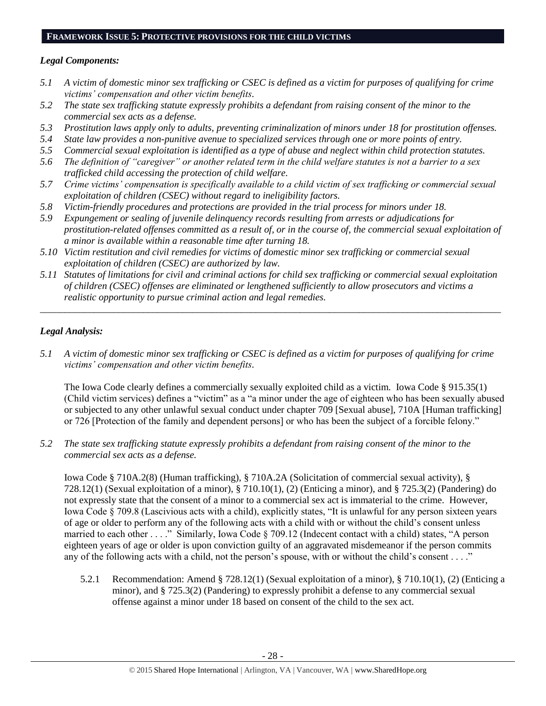#### **FRAMEWORK ISSUE 5: PROTECTIVE PROVISIONS FOR THE CHILD VICTIMS**

## *Legal Components:*

- *5.1 A victim of domestic minor sex trafficking or CSEC is defined as a victim for purposes of qualifying for crime victims' compensation and other victim benefits.*
- *5.2 The state sex trafficking statute expressly prohibits a defendant from raising consent of the minor to the commercial sex acts as a defense.*
- *5.3 Prostitution laws apply only to adults, preventing criminalization of minors under 18 for prostitution offenses.*
- *5.4 State law provides a non-punitive avenue to specialized services through one or more points of entry.*
- *5.5 Commercial sexual exploitation is identified as a type of abuse and neglect within child protection statutes.*
- *5.6 The definition of "caregiver" or another related term in the child welfare statutes is not a barrier to a sex trafficked child accessing the protection of child welfare.*
- *5.7 Crime victims' compensation is specifically available to a child victim of sex trafficking or commercial sexual exploitation of children (CSEC) without regard to ineligibility factors.*
- *5.8 Victim-friendly procedures and protections are provided in the trial process for minors under 18.*
- *5.9 Expungement or sealing of juvenile delinquency records resulting from arrests or adjudications for prostitution-related offenses committed as a result of, or in the course of, the commercial sexual exploitation of a minor is available within a reasonable time after turning 18.*
- *5.10 Victim restitution and civil remedies for victims of domestic minor sex trafficking or commercial sexual exploitation of children (CSEC) are authorized by law.*
- *5.11 Statutes of limitations for civil and criminal actions for child sex trafficking or commercial sexual exploitation of children (CSEC) offenses are eliminated or lengthened sufficiently to allow prosecutors and victims a realistic opportunity to pursue criminal action and legal remedies.*

*\_\_\_\_\_\_\_\_\_\_\_\_\_\_\_\_\_\_\_\_\_\_\_\_\_\_\_\_\_\_\_\_\_\_\_\_\_\_\_\_\_\_\_\_\_\_\_\_\_\_\_\_\_\_\_\_\_\_\_\_\_\_\_\_\_\_\_\_\_\_\_\_\_\_\_\_\_\_\_\_\_\_\_\_\_\_\_\_\_\_\_\_\_\_*

# *Legal Analysis:*

*5.1 A victim of domestic minor sex trafficking or CSEC is defined as a victim for purposes of qualifying for crime victims' compensation and other victim benefits.*

The Iowa Code clearly defines a commercially sexually exploited child as a victim. Iowa Code § 915.35(1) (Child victim services) defines a "victim" as a "a minor under the age of eighteen who has been sexually abused or subjected to any other unlawful sexual conduct under chapter 709 [Sexual abuse], 710A [Human trafficking] or 726 [Protection of the family and dependent persons] or who has been the subject of a forcible felony."

*5.2 The state sex trafficking statute expressly prohibits a defendant from raising consent of the minor to the commercial sex acts as a defense.*

Iowa Code § 710A.2(8) (Human trafficking), § 710A.2A (Solicitation of commercial sexual activity), § 728.12(1) (Sexual exploitation of a minor), § 710.10(1), (2) (Enticing a minor), and § 725.3(2) (Pandering) do not expressly state that the consent of a minor to a commercial sex act is immaterial to the crime. However, Iowa Code § 709.8 (Lascivious acts with a child), explicitly states, "It is unlawful for any person sixteen years of age or older to perform any of the following acts with a child with or without the child's consent unless married to each other . . . ." Similarly, Iowa Code § 709.12 (Indecent contact with a child) states, "A person eighteen years of age or older is upon conviction guilty of an aggravated misdemeanor if the person commits any of the following acts with a child, not the person's spouse, with or without the child's consent . . . ."

5.2.1 Recommendation: Amend § 728.12(1) (Sexual exploitation of a minor), § 710.10(1), (2) (Enticing a minor), and § 725.3(2) (Pandering) to expressly prohibit a defense to any commercial sexual offense against a minor under 18 based on consent of the child to the sex act.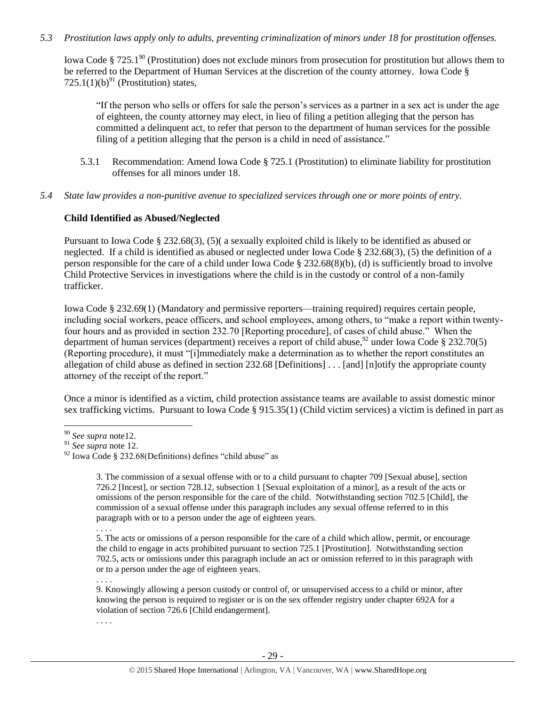# *5.3 Prostitution laws apply only to adults, preventing criminalization of minors under 18 for prostitution offenses.*

Iowa Code § 725.1<sup>90</sup> (Prostitution) does not exclude minors from prosecution for prostitution but allows them to be referred to the Department of Human Services at the discretion of the county attorney. Iowa Code § 725.1(1)(b) $^{91}$  (Prostitution) states,

"If the person who sells or offers for sale the person's services as a partner in a sex act is under the age of eighteen, the county attorney may elect, in lieu of filing a petition alleging that the person has committed a delinquent act, to refer that person to the department of human services for the possible filing of a petition alleging that the person is a child in need of assistance."

- 5.3.1 Recommendation: Amend Iowa Code § 725.1 (Prostitution) to eliminate liability for prostitution offenses for all minors under 18.
- *5.4 State law provides a non-punitive avenue to specialized services through one or more points of entry.*

#### **Child Identified as Abused/Neglected**

Pursuant to Iowa Code § 232.68(3), (5)( a sexually exploited child is likely to be identified as abused or neglected. If a child is identified as abused or neglected under Iowa Code § 232.68(3), (5) the definition of a person responsible for the care of a child under Iowa Code § 232.68(8)(b), (d) is sufficiently broad to involve Child Protective Services in investigations where the child is in the custody or control of a non-family trafficker.

Iowa Code § 232.69(1) (Mandatory and permissive reporters—training required) requires certain people, including social workers, peace officers, and school employees, among others, to "make a report within twentyfour hours and as provided in section 232.70 [Reporting procedure], of cases of child abuse." When the department of human services (department) receives a report of child abuse,<sup>92</sup> under Iowa Code § 232.70(5) (Reporting procedure), it must "[i]mmediately make a determination as to whether the report constitutes an allegation of child abuse as defined in section 232.68 [Definitions] . . . [and] [n]otify the appropriate county attorney of the receipt of the report."

Once a minor is identified as a victim, child protection assistance teams are available to assist domestic minor sex trafficking victims. Pursuant to Iowa Code § 915.35(1) (Child victim services) a victim is defined in part as

 $\overline{a}$ 

. . . .

5. The acts or omissions of a person responsible for the care of a child which allow, permit, or encourage the child to engage in acts prohibited pursuant to section 725.1 [Prostitution]. Notwithstanding section 702.5, acts or omissions under this paragraph include an act or omission referred to in this paragraph with or to a person under the age of eighteen years.

9. Knowingly allowing a person custody or control of, or unsupervised access to a child or minor, after knowing the person is required to register or is on the sex offender registry under chapter 692A for a violation of section 726.6 [Child endangerment].

. . . .

. . . .

<sup>90</sup> *See supra* not[e12.](#page-4-1)

<sup>91</sup> *See supra* note [12.](#page-4-1)

 $92$  Iowa Code § 232.68(Definitions) defines "child abuse" as

<sup>3.</sup> The commission of a sexual offense with or to a child pursuant to chapter 709 [Sexual abuse], section 726.2 [Incest], or section 728.12, subsection 1 [Sexual exploitation of a minor], as a result of the acts or omissions of the person responsible for the care of the child. Notwithstanding section 702.5 [Child], the commission of a sexual offense under this paragraph includes any sexual offense referred to in this paragraph with or to a person under the age of eighteen years.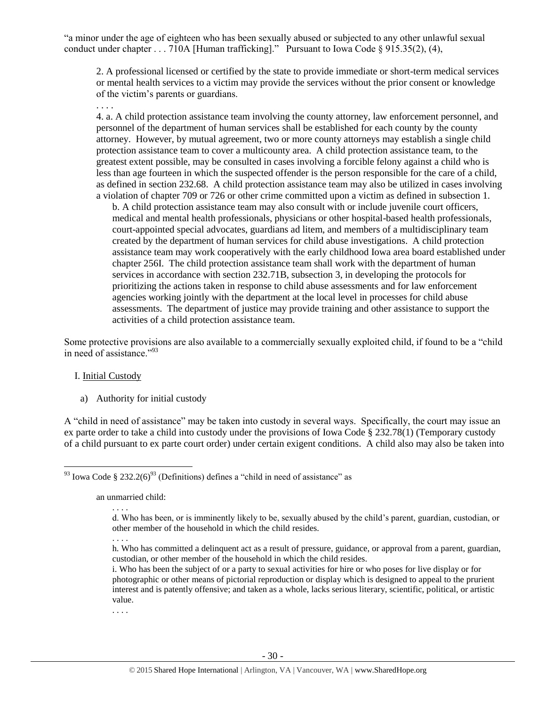"a minor under the age of eighteen who has been sexually abused or subjected to any other unlawful sexual conduct under chapter . . . 710A [Human trafficking]." Pursuant to Iowa Code § 915.35(2), (4),

2. A professional licensed or certified by the state to provide immediate or short-term medical services or mental health services to a victim may provide the services without the prior consent or knowledge of the victim's parents or guardians.

. . . .

4. a. A child protection assistance team involving the county attorney, law enforcement personnel, and personnel of the department of human services shall be established for each county by the county attorney. However, by mutual agreement, two or more county attorneys may establish a single child protection assistance team to cover a multicounty area. A child protection assistance team, to the greatest extent possible, may be consulted in cases involving a forcible felony against a child who is less than age fourteen in which the suspected offender is the person responsible for the care of a child, as defined in section 232.68. A child protection assistance team may also be utilized in cases involving a violation of chapter 709 or 726 or other crime committed upon a victim as defined in subsection 1.

b. A child protection assistance team may also consult with or include juvenile court officers, medical and mental health professionals, physicians or other hospital-based health professionals, court-appointed special advocates, guardians ad litem, and members of a multidisciplinary team created by the department of human services for child abuse investigations. A child protection assistance team may work cooperatively with the early childhood Iowa area board established under chapter 256I. The child protection assistance team shall work with the department of human services in accordance with section 232.71B, subsection 3, in developing the protocols for prioritizing the actions taken in response to child abuse assessments and for law enforcement agencies working jointly with the department at the local level in processes for child abuse assessments. The department of justice may provide training and other assistance to support the activities of a child protection assistance team.

Some protective provisions are also available to a commercially sexually exploited child, if found to be a "child in need of assistance."<sup>93</sup>

#### I. Initial Custody

 $\overline{a}$ 

a) Authority for initial custody

A "child in need of assistance" may be taken into custody in several ways. Specifically, the court may issue an ex parte order to take a child into custody under the provisions of Iowa Code § 232.78(1) (Temporary custody of a child pursuant to ex parte court order) under certain exigent conditions. A child also may also be taken into

an unmarried child:

. . . .

. . . .

 $93$  Iowa Code § 232.2(6)<sup>93</sup> (Definitions) defines a "child in need of assistance" as

d. Who has been, or is imminently likely to be, sexually abused by the child's parent, guardian, custodian, or other member of the household in which the child resides.

<sup>. . . .</sup> h. Who has committed a delinquent act as a result of pressure, guidance, or approval from a parent, guardian, custodian, or other member of the household in which the child resides.

i. Who has been the subject of or a party to sexual activities for hire or who poses for live display or for photographic or other means of pictorial reproduction or display which is designed to appeal to the prurient interest and is patently offensive; and taken as a whole, lacks serious literary, scientific, political, or artistic value.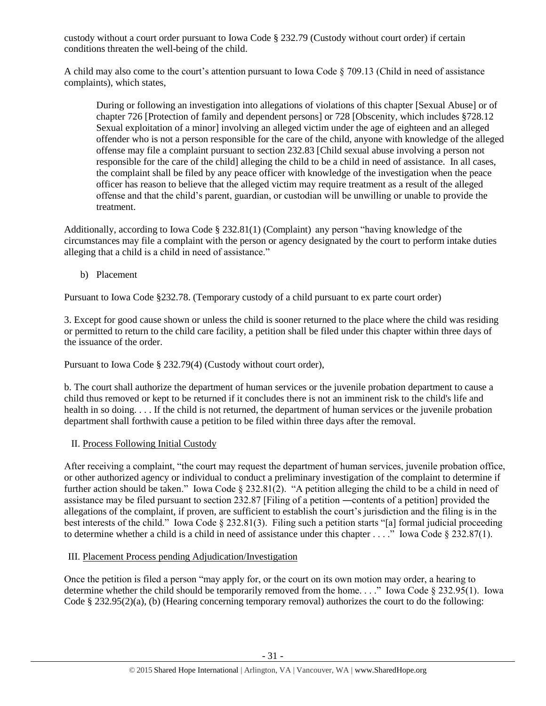custody without a court order pursuant to Iowa Code § 232.79 (Custody without court order) if certain conditions threaten the well-being of the child.

A child may also come to the court's attention pursuant to Iowa Code  $\S 709.13$  (Child in need of assistance complaints), which states,

During or following an investigation into allegations of violations of this chapter [Sexual Abuse] or of chapter 726 [Protection of family and dependent persons] or 728 [Obscenity, which includes §728.12 Sexual exploitation of a minor] involving an alleged victim under the age of eighteen and an alleged offender who is not a person responsible for the care of the child, anyone with knowledge of the alleged offense may file a complaint pursuant to section 232.83 [Child sexual abuse involving a person not responsible for the care of the child] alleging the child to be a child in need of assistance. In all cases, the complaint shall be filed by any peace officer with knowledge of the investigation when the peace officer has reason to believe that the alleged victim may require treatment as a result of the alleged offense and that the child's parent, guardian, or custodian will be unwilling or unable to provide the treatment.

Additionally, according to Iowa Code § 232.81(1) (Complaint) any person "having knowledge of the circumstances may file a complaint with the person or agency designated by the court to perform intake duties alleging that a child is a child in need of assistance."

b) Placement

Pursuant to Iowa Code §232.78. (Temporary custody of a child pursuant to ex parte court order)

3. Except for good cause shown or unless the child is sooner returned to the place where the child was residing or permitted to return to the child care facility, a petition shall be filed under this chapter within three days of the issuance of the order.

Pursuant to Iowa Code § 232.79(4) (Custody without court order),

b. The court shall authorize the department of human services or the juvenile probation department to cause a child thus removed or kept to be returned if it concludes there is not an imminent risk to the child's life and health in so doing. . . . If the child is not returned, the department of human services or the juvenile probation department shall forthwith cause a petition to be filed within three days after the removal.

# II. Process Following Initial Custody

After receiving a complaint, "the court may request the department of human services, juvenile probation office, or other authorized agency or individual to conduct a preliminary investigation of the complaint to determine if further action should be taken." Iowa Code § 232.81(2). "A petition alleging the child to be a child in need of assistance may be filed pursuant to section 232.87 [Filing of a petition ―contents of a petition] provided the allegations of the complaint, if proven, are sufficient to establish the court's jurisdiction and the filing is in the best interests of the child." Iowa Code § 232.81(3). Filing such a petition starts "[a] formal judicial proceeding to determine whether a child is a child in need of assistance under this chapter . . . ." Iowa Code § 232.87(1).

# III. Placement Process pending Adjudication/Investigation

Once the petition is filed a person "may apply for, or the court on its own motion may order, a hearing to determine whether the child should be temporarily removed from the home. . . ." Iowa Code § 232.95(1). Iowa Code § 232.95(2)(a), (b) (Hearing concerning temporary removal) authorizes the court to do the following: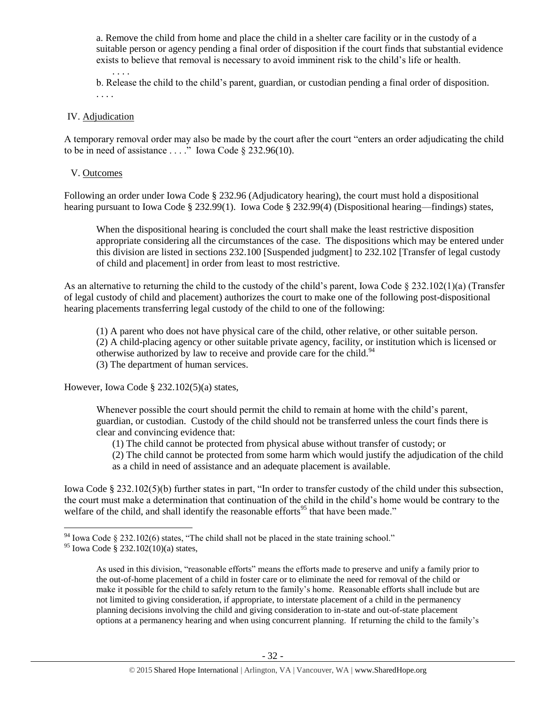a. Remove the child from home and place the child in a shelter care facility or in the custody of a suitable person or agency pending a final order of disposition if the court finds that substantial evidence exists to believe that removal is necessary to avoid imminent risk to the child's life or health.

. . . . b. Release the child to the child's parent, guardian, or custodian pending a final order of disposition. . . . .

#### IV. Adjudication

A temporary removal order may also be made by the court after the court "enters an order adjudicating the child to be in need of assistance . . . ." Iowa Code  $\S$  232.96(10).

#### V. Outcomes

Following an order under Iowa Code § 232.96 (Adjudicatory hearing), the court must hold a dispositional hearing pursuant to Iowa Code § 232.99(1). Iowa Code § 232.99(4) (Dispositional hearing—findings) states,

When the dispositional hearing is concluded the court shall make the least restrictive disposition appropriate considering all the circumstances of the case. The dispositions which may be entered under this division are listed in sections 232.100 [Suspended judgment] to 232.102 [Transfer of legal custody of child and placement] in order from least to most restrictive.

As an alternative to returning the child to the custody of the child's parent, Iowa Code  $\S 232.102(1)(a)$  (Transfer of legal custody of child and placement) authorizes the court to make one of the following post-dispositional hearing placements transferring legal custody of the child to one of the following:

(1) A parent who does not have physical care of the child, other relative, or other suitable person. (2) A child-placing agency or other suitable private agency, facility, or institution which is licensed or otherwise authorized by law to receive and provide care for the child.<sup>94</sup> (3) The department of human services.

However, Iowa Code § 232.102(5)(a) states,

Whenever possible the court should permit the child to remain at home with the child's parent, guardian, or custodian. Custody of the child should not be transferred unless the court finds there is clear and convincing evidence that:

(1) The child cannot be protected from physical abuse without transfer of custody; or

(2) The child cannot be protected from some harm which would justify the adjudication of the child as a child in need of assistance and an adequate placement is available.

Iowa Code § 232.102(5)(b) further states in part, "In order to transfer custody of the child under this subsection, the court must make a determination that continuation of the child in the child's home would be contrary to the welfare of the child, and shall identify the reasonable efforts<sup>95</sup> that have been made."

 $94$  Iowa Code § 232.102(6) states, "The child shall not be placed in the state training school."

<sup>95</sup> Iowa Code § 232.102(10)(a) states,

As used in this division, "reasonable efforts" means the efforts made to preserve and unify a family prior to the out-of-home placement of a child in foster care or to eliminate the need for removal of the child or make it possible for the child to safely return to the family's home. Reasonable efforts shall include but are not limited to giving consideration, if appropriate, to interstate placement of a child in the permanency planning decisions involving the child and giving consideration to in-state and out-of-state placement options at a permanency hearing and when using concurrent planning. If returning the child to the family's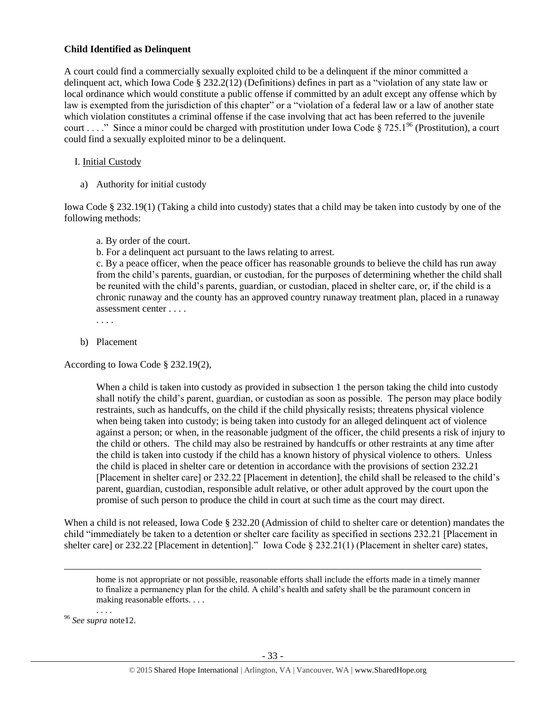## **Child Identified as Delinquent**

A court could find a commercially sexually exploited child to be a delinquent if the minor committed a delinquent act, which Iowa Code § 232.2(12) (Definitions) defines in part as a "violation of any state law or local ordinance which would constitute a public offense if committed by an adult except any offense which by law is exempted from the jurisdiction of this chapter" or a "violation of a federal law or a law of another state which violation constitutes a criminal offense if the case involving that act has been referred to the juvenile court . . . ." Since a minor could be charged with prostitution under Iowa Code § 725.1<sup>96</sup> (Prostitution), a court could find a sexually exploited minor to be a delinquent.

# I. Initial Custody

a) Authority for initial custody

Iowa Code § 232.19(1) (Taking a child into custody) states that a child may be taken into custody by one of the following methods:

a. By order of the court.

b. For a delinquent act pursuant to the laws relating to arrest.

c. By a peace officer, when the peace officer has reasonable grounds to believe the child has run away from the child's parents, guardian, or custodian, for the purposes of determining whether the child shall be reunited with the child's parents, guardian, or custodian, placed in shelter care, or, if the child is a chronic runaway and the county has an approved country runaway treatment plan, placed in a runaway assessment center . . . .

. . . .

b) Placement

According to Iowa Code § 232.19(2),

When a child is taken into custody as provided in subsection 1 the person taking the child into custody shall notify the child's parent, guardian, or custodian as soon as possible. The person may place bodily restraints, such as handcuffs, on the child if the child physically resists; threatens physical violence when being taken into custody; is being taken into custody for an alleged delinquent act of violence against a person; or when, in the reasonable judgment of the officer, the child presents a risk of injury to the child or others. The child may also be restrained by handcuffs or other restraints at any time after the child is taken into custody if the child has a known history of physical violence to others. Unless the child is placed in shelter care or detention in accordance with the provisions of section 232.21 [Placement in shelter care] or 232.22 [Placement in detention], the child shall be released to the child's parent, guardian, custodian, responsible adult relative, or other adult approved by the court upon the promise of such person to produce the child in court at such time as the court may direct.

When a child is not released, Iowa Code § 232.20 (Admission of child to shelter care or detention) mandates the child "immediately be taken to a detention or shelter care facility as specified in sections 232.21 [Placement in shelter care] or 232.22 [Placement in detention]." Iowa Code § 232.21(1) (Placement in shelter care) states,

home is not appropriate or not possible, reasonable efforts shall include the efforts made in a timely manner to finalize a permanency plan for the child. A child's health and safety shall be the paramount concern in making reasonable efforts. . . .

. . . . <sup>96</sup> *See supra* not[e12.](#page-4-1)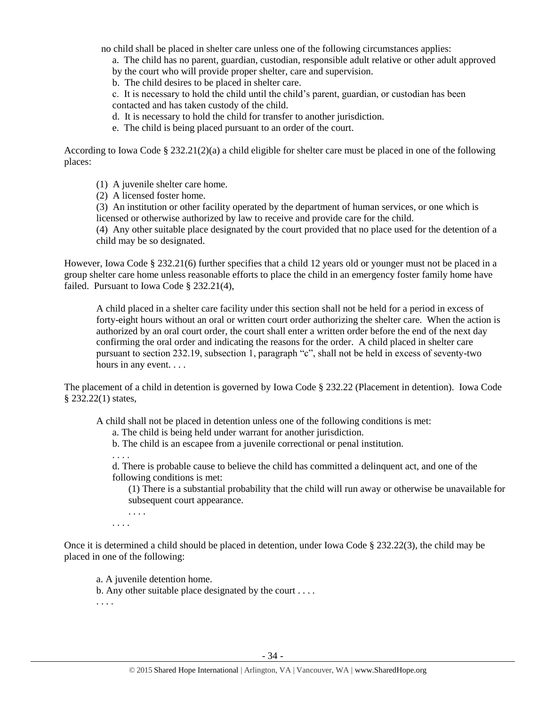no child shall be placed in shelter care unless one of the following circumstances applies:

a. The child has no parent, guardian, custodian, responsible adult relative or other adult approved

by the court who will provide proper shelter, care and supervision.

b. The child desires to be placed in shelter care.

c. It is necessary to hold the child until the child's parent, guardian, or custodian has been contacted and has taken custody of the child.

d. It is necessary to hold the child for transfer to another jurisdiction.

e. The child is being placed pursuant to an order of the court.

According to Iowa Code § 232.21(2)(a) a child eligible for shelter care must be placed in one of the following places:

(1) A juvenile shelter care home.

(2) A licensed foster home.

(3) An institution or other facility operated by the department of human services, or one which is licensed or otherwise authorized by law to receive and provide care for the child.

(4) Any other suitable place designated by the court provided that no place used for the detention of a child may be so designated.

However, Iowa Code § 232.21(6) further specifies that a child 12 years old or younger must not be placed in a group shelter care home unless reasonable efforts to place the child in an emergency foster family home have failed. Pursuant to Iowa Code § 232.21(4),

A child placed in a shelter care facility under this section shall not be held for a period in excess of forty-eight hours without an oral or written court order authorizing the shelter care. When the action is authorized by an oral court order, the court shall enter a written order before the end of the next day confirming the oral order and indicating the reasons for the order. A child placed in shelter care pursuant to section 232.19, subsection 1, paragraph "c", shall not be held in excess of seventy-two hours in any event. . . .

The placement of a child in detention is governed by Iowa Code § 232.22 (Placement in detention). Iowa Code § 232.22(1) states,

A child shall not be placed in detention unless one of the following conditions is met:

a. The child is being held under warrant for another jurisdiction.

b. The child is an escapee from a juvenile correctional or penal institution.

. . . .

d. There is probable cause to believe the child has committed a delinquent act, and one of the following conditions is met:

(1) There is a substantial probability that the child will run away or otherwise be unavailable for subsequent court appearance.

. . . .

. . . .

Once it is determined a child should be placed in detention, under Iowa Code § 232.22(3), the child may be placed in one of the following:

a. A juvenile detention home.

b. Any other suitable place designated by the court . . . .

. . . .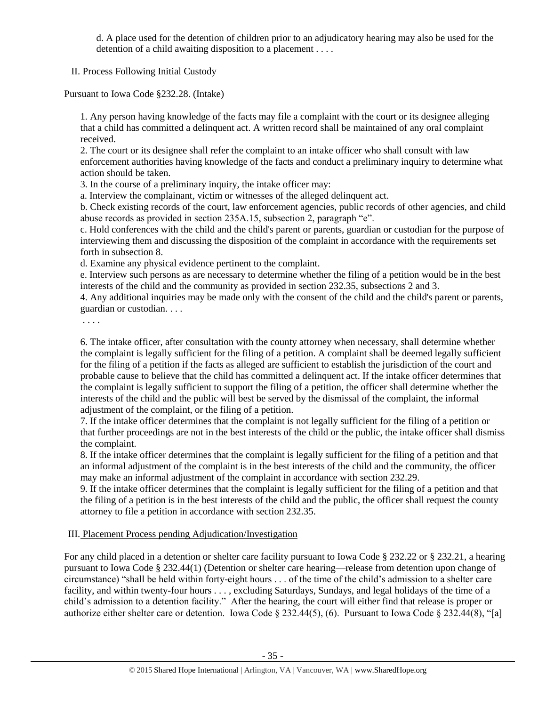d. A place used for the detention of children prior to an adjudicatory hearing may also be used for the detention of a child awaiting disposition to a placement . . . .

II. Process Following Initial Custody

Pursuant to Iowa Code §232.28. (Intake)

1. Any person having knowledge of the facts may file a complaint with the court or its designee alleging that a child has committed a delinquent act. A written record shall be maintained of any oral complaint received.

2. The court or its designee shall refer the complaint to an intake officer who shall consult with law enforcement authorities having knowledge of the facts and conduct a preliminary inquiry to determine what action should be taken.

3. In the course of a preliminary inquiry, the intake officer may:

a. Interview the complainant, victim or witnesses of the alleged delinquent act.

b. Check existing records of the court, law enforcement agencies, public records of other agencies, and child abuse records as provided in section 235A.15, subsection 2, paragraph "e".

c. Hold conferences with the child and the child's parent or parents, guardian or custodian for the purpose of interviewing them and discussing the disposition of the complaint in accordance with the requirements set forth in subsection 8.

d. Examine any physical evidence pertinent to the complaint.

e. Interview such persons as are necessary to determine whether the filing of a petition would be in the best interests of the child and the community as provided in section 232.35, subsections 2 and 3.

4. Any additional inquiries may be made only with the consent of the child and the child's parent or parents, guardian or custodian. . . .

. . . .

6. The intake officer, after consultation with the county attorney when necessary, shall determine whether the complaint is legally sufficient for the filing of a petition. A complaint shall be deemed legally sufficient for the filing of a petition if the facts as alleged are sufficient to establish the jurisdiction of the court and probable cause to believe that the child has committed a delinquent act. If the intake officer determines that the complaint is legally sufficient to support the filing of a petition, the officer shall determine whether the interests of the child and the public will best be served by the dismissal of the complaint, the informal adjustment of the complaint, or the filing of a petition.

7. If the intake officer determines that the complaint is not legally sufficient for the filing of a petition or that further proceedings are not in the best interests of the child or the public, the intake officer shall dismiss the complaint.

8. If the intake officer determines that the complaint is legally sufficient for the filing of a petition and that an informal adjustment of the complaint is in the best interests of the child and the community, the officer may make an informal adjustment of the complaint in accordance with [section 232.29.](https://1.next.westlaw.com/Link/Document/FullText?findType=L&pubNum=1000256&cite=IASTS232.29&originatingDoc=N88D264A0C73511E2B88BBA4867CBAEFF&refType=LQ&originationContext=document&transitionType=DocumentItem&contextData=(sc.Category))

9. If the intake officer determines that the complaint is legally sufficient for the filing of a petition and that the filing of a petition is in the best interests of the child and the public, the officer shall request the county attorney to file a petition in accordance with [section 232.35.](https://1.next.westlaw.com/Link/Document/FullText?findType=L&pubNum=1000256&cite=IASTS232.35&originatingDoc=N88D264A0C73511E2B88BBA4867CBAEFF&refType=LQ&originationContext=document&transitionType=DocumentItem&contextData=(sc.Category))

# III. Placement Process pending Adjudication/Investigation

For any child placed in a detention or shelter care facility pursuant to Iowa Code § 232.22 or § 232.21, a hearing pursuant to Iowa Code § 232.44(1) (Detention or shelter care hearing—release from detention upon change of circumstance) "shall be held within forty-eight hours . . . of the time of the child's admission to a shelter care facility, and within twenty-four hours . . . , excluding Saturdays, Sundays, and legal holidays of the time of a child's admission to a detention facility." After the hearing, the court will either find that release is proper or authorize either shelter care or detention. Iowa Code § 232.44(5), (6). Pursuant to Iowa Code § 232.44(8), "[a]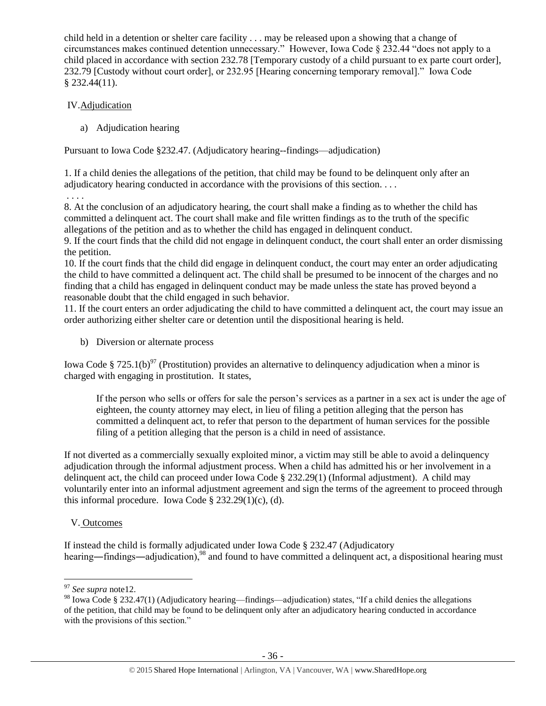child held in a detention or shelter care facility . . . may be released upon a showing that a change of circumstances makes continued detention unnecessary." However, Iowa Code § 232.44 "does not apply to a child placed in accordance with section 232.78 [Temporary custody of a child pursuant to ex parte court order], 232.79 [Custody without court order], or 232.95 [Hearing concerning temporary removal]." Iowa Code § 232.44(11).

# IV.Adjudication

. . . .

a) Adjudication hearing

Pursuant to Iowa Code §232.47. (Adjudicatory hearing--findings—adjudication)

1. If a child denies the allegations of the petition, that child may be found to be delinquent only after an adjudicatory hearing conducted in accordance with the provisions of this section. . . .

8. At the conclusion of an adjudicatory hearing, the court shall make a finding as to whether the child has committed a delinquent act. The court shall make and file written findings as to the truth of the specific allegations of the petition and as to whether the child has engaged in delinquent conduct.

9. If the court finds that the child did not engage in delinquent conduct, the court shall enter an order dismissing the petition.

10. If the court finds that the child did engage in delinquent conduct, the court may enter an order adjudicating the child to have committed a delinquent act. The child shall be presumed to be innocent of the charges and no finding that a child has engaged in delinquent conduct may be made unless the state has proved beyond a reasonable doubt that the child engaged in such behavior.

11. If the court enters an order adjudicating the child to have committed a delinquent act, the court may issue an order authorizing either shelter care or detention until the dispositional hearing is held.

b) Diversion or alternate process

Iowa Code § 725.1(b)<sup>97</sup> (Prostitution) provides an alternative to delinquency adjudication when a minor is charged with engaging in prostitution. It states,

If the person who sells or offers for sale the person's services as a partner in a sex act is under the age of eighteen, the county attorney may elect, in lieu of filing a petition alleging that the person has committed a delinquent act, to refer that person to the department of human services for the possible filing of a petition alleging that the person is a child in need of assistance.

If not diverted as a commercially sexually exploited minor, a victim may still be able to avoid a delinquency adjudication through the informal adjustment process. When a child has admitted his or her involvement in a delinquent act, the child can proceed under Iowa Code § 232.29(1) (Informal adjustment). A child may voluntarily enter into an informal adjustment agreement and sign the terms of the agreement to proceed through this informal procedure. Iowa Code  $\S 232.29(1)(c)$ , (d).

# V. Outcomes

If instead the child is formally adjudicated under Iowa Code § 232.47 (Adjudicatory hearing—findings—adjudication),<sup>98</sup> and found to have committed a delinquent act, a dispositional hearing must

<sup>97</sup> *See supra* not[e12.](#page-4-1)

<sup>98</sup> Iowa Code § 232.47(1) (Adjudicatory hearing—findings—adjudication) states, "If a child denies the allegations of the petition, that child may be found to be delinquent only after an adjudicatory hearing conducted in accordance with the provisions of this section."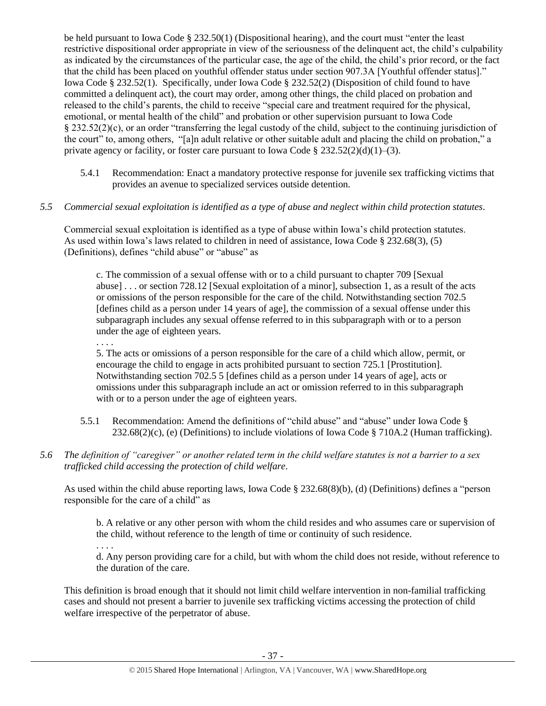be held pursuant to Iowa Code § 232.50(1) (Dispositional hearing), and the court must "enter the least restrictive dispositional order appropriate in view of the seriousness of the delinquent act, the child's culpability as indicated by the circumstances of the particular case, the age of the child, the child's prior record, or the fact that the child has been placed on youthful offender status under section 907.3A [Youthful offender status]." Iowa Code § 232.52(1). Specifically, under Iowa Code § 232.52(2) (Disposition of child found to have committed a delinquent act), the court may order, among other things, the child placed on probation and released to the child's parents, the child to receive "special care and treatment required for the physical, emotional, or mental health of the child" and probation or other supervision pursuant to Iowa Code § 232.52(2)(c), or an order "transferring the legal custody of the child, subject to the continuing jurisdiction of the court" to, among others, "[a]n adult relative or other suitable adult and placing the child on probation," a private agency or facility, or foster care pursuant to Iowa Code  $\S 232.52(2)(d)(1)–(3)$ .

- 5.4.1 Recommendation: Enact a mandatory protective response for juvenile sex trafficking victims that provides an avenue to specialized services outside detention.
- *5.5 Commercial sexual exploitation is identified as a type of abuse and neglect within child protection statutes.*

Commercial sexual exploitation is identified as a type of abuse within Iowa's child protection statutes. As used within Iowa's laws related to children in need of assistance, Iowa Code § 232.68(3), (5) (Definitions), defines "child abuse" or "abuse" as

c. The commission of a sexual offense with or to a child pursuant to chapter 709 [Sexual abuse] . . . or section 728.12 [Sexual exploitation of a minor], subsection 1, as a result of the acts or omissions of the person responsible for the care of the child. Notwithstanding section 702.5 [defines child as a person under 14 years of age], the commission of a sexual offense under this subparagraph includes any sexual offense referred to in this subparagraph with or to a person under the age of eighteen years.

5. The acts or omissions of a person responsible for the care of a child which allow, permit, or encourage the child to engage in acts prohibited pursuant to section 725.1 [Prostitution]. Notwithstanding section 702.5 5 [defines child as a person under 14 years of age], acts or omissions under this subparagraph include an act or omission referred to in this subparagraph with or to a person under the age of eighteen years.

- 5.5.1 Recommendation: Amend the definitions of "child abuse" and "abuse" under Iowa Code § 232.68(2)(c), (e) (Definitions) to include violations of Iowa Code § 710A.2 (Human trafficking).
- *5.6 The definition of "caregiver" or another related term in the child welfare statutes is not a barrier to a sex trafficked child accessing the protection of child welfare.*

As used within the child abuse reporting laws, Iowa Code § 232.68(8)(b), (d) (Definitions) defines a "person responsible for the care of a child" as

b. A relative or any other person with whom the child resides and who assumes care or supervision of the child, without reference to the length of time or continuity of such residence.

. . . .

. . . .

d. Any person providing care for a child, but with whom the child does not reside, without reference to the duration of the care.

This definition is broad enough that it should not limit child welfare intervention in non-familial trafficking cases and should not present a barrier to juvenile sex trafficking victims accessing the protection of child welfare irrespective of the perpetrator of abuse.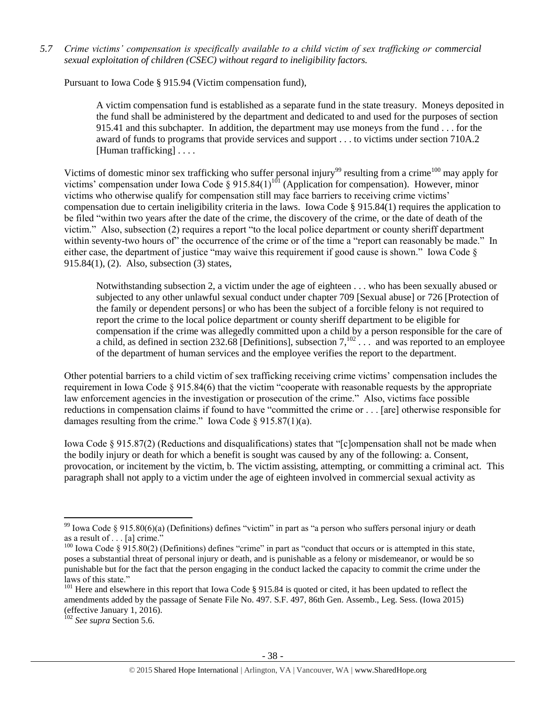*5.7 Crime victims' compensation is specifically available to a child victim of sex trafficking or commercial sexual exploitation of children (CSEC) without regard to ineligibility factors.*

Pursuant to Iowa Code § 915.94 (Victim compensation fund),

A victim compensation fund is established as a separate fund in the state treasury. Moneys deposited in the fund shall be administered by the department and dedicated to and used for the purposes of section 915.41 and this subchapter. In addition, the department may use moneys from the fund . . . for the award of funds to programs that provide services and support . . . to victims under section 710A.2 [Human trafficking] ....

Victims of domestic minor sex trafficking who suffer personal injury<sup>99</sup> resulting from a crime<sup>100</sup> may apply for victims' compensation under Iowa Code  $\S 915.84(1)^{101}$  (Application for compensation). However, minor victims who otherwise qualify for compensation still may face barriers to receiving crime victims' compensation due to certain ineligibility criteria in the laws. Iowa Code § 915.84(1) requires the application to be filed "within two years after the date of the crime, the discovery of the crime, or the date of death of the victim." Also, subsection (2) requires a report "to the local police department or county sheriff department within seventy-two hours of" the occurrence of the crime or of the time a "report can reasonably be made." In either case, the department of justice "may waive this requirement if good cause is shown." Iowa Code § 915.84(1), (2). Also, subsection (3) states,

Notwithstanding subsection 2, a victim under the age of eighteen . . . who has been sexually abused or subjected to any other unlawful sexual conduct under chapter 709 [Sexual abuse] or 726 [Protection of the family or dependent persons] or who has been the subject of a forcible felony is not required to report the crime to the local police department or county sheriff department to be eligible for compensation if the crime was allegedly committed upon a child by a person responsible for the care of a child, as defined in section 232.68 [Definitions], subsection  $7,^{102}$  . . . and was reported to an employee of the department of human services and the employee verifies the report to the department.

Other potential barriers to a child victim of sex trafficking receiving crime victims' compensation includes the requirement in Iowa Code § 915.84(6) that the victim "cooperate with reasonable requests by the appropriate law enforcement agencies in the investigation or prosecution of the crime." Also, victims face possible reductions in compensation claims if found to have "committed the crime or . . . [are] otherwise responsible for damages resulting from the crime." Iowa Code  $\S 915.87(1)(a)$ .

Iowa Code § 915.87(2) (Reductions and disqualifications) states that "[c]ompensation shall not be made when the bodily injury or death for which a benefit is sought was caused by any of the following: a. Consent, provocation, or incitement by the victim, b. The victim assisting, attempting, or committing a criminal act. This paragraph shall not apply to a victim under the age of eighteen involved in commercial sexual activity as

<sup>&</sup>lt;sup>99</sup> Iowa Code § 915.80(6)(a) (Definitions) defines "victim" in part as "a person who suffers personal injury or death as a result of . . . [a] crime."

<sup>&</sup>lt;sup>100</sup> Iowa Code § 915.80(2) (Definitions) defines "crime" in part as "conduct that occurs or is attempted in this state, poses a substantial threat of personal injury or death, and is punishable as a felony or misdemeanor, or would be so punishable but for the fact that the person engaging in the conduct lacked the capacity to commit the crime under the laws of this state."

<sup>&</sup>lt;sup>101</sup> Here and elsewhere in this report that Iowa Code § 915.84 is quoted or cited, it has been updated to reflect the amendments added by the passage of Senate File No. 497. S.F. 497, 86th Gen. Assemb., Leg. Sess. (Iowa 2015) (effective January 1, 2016).

<sup>102</sup> *See supra* Section 5.6.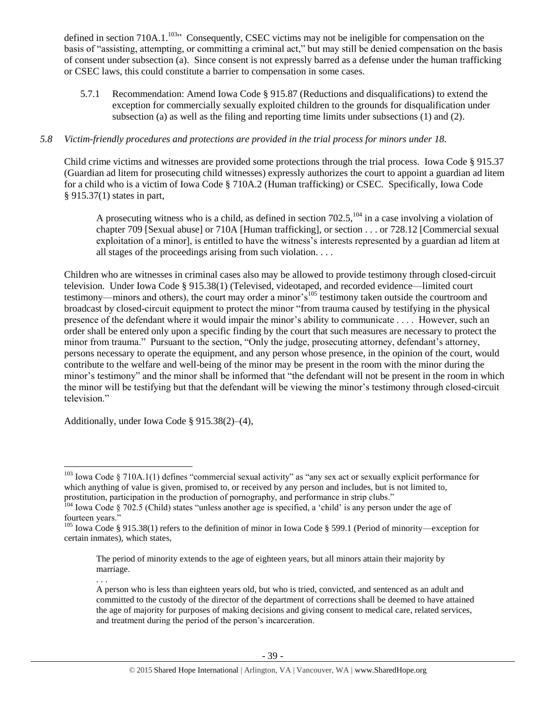defined in section 710A.1.<sup>103</sup><sup>3</sup> Consequently, CSEC victims may not be ineligible for compensation on the basis of "assisting, attempting, or committing a criminal act," but may still be denied compensation on the basis of consent under subsection (a). Since consent is not expressly barred as a defense under the human trafficking or CSEC laws, this could constitute a barrier to compensation in some cases.

5.7.1 Recommendation: Amend Iowa Code § 915.87 (Reductions and disqualifications) to extend the exception for commercially sexually exploited children to the grounds for disqualification under subsection (a) as well as the filing and reporting time limits under subsections (1) and (2).

# *5.8 Victim-friendly procedures and protections are provided in the trial process for minors under 18.*

Child crime victims and witnesses are provided some protections through the trial process. Iowa Code § 915.37 (Guardian ad litem for prosecuting child witnesses) expressly authorizes the court to appoint a guardian ad litem for a child who is a victim of Iowa Code § 710A.2 (Human trafficking) or CSEC. Specifically, Iowa Code § 915.37(1) states in part,

A prosecuting witness who is a child, as defined in section  $702.5$ ,  $^{104}$  in a case involving a violation of chapter 709 [Sexual abuse] or 710A [Human trafficking], or section . . . or 728.12 [Commercial sexual exploitation of a minor], is entitled to have the witness's interests represented by a guardian ad litem at all stages of the proceedings arising from such violation. . . .

Children who are witnesses in criminal cases also may be allowed to provide testimony through closed-circuit television. Under Iowa Code § 915.38(1) (Televised, videotaped, and recorded evidence—limited court testimony—minors and others), the court may order a minor's<sup>105</sup> testimony taken outside the courtroom and broadcast by closed-circuit equipment to protect the minor "from trauma caused by testifying in the physical presence of the defendant where it would impair the minor's ability to communicate . . . . However, such an order shall be entered only upon a specific finding by the court that such measures are necessary to protect the minor from trauma." Pursuant to the section, "Only the judge, prosecuting attorney, defendant's attorney, persons necessary to operate the equipment, and any person whose presence, in the opinion of the court, would contribute to the welfare and well-being of the minor may be present in the room with the minor during the minor's testimony" and the minor shall be informed that "the defendant will not be present in the room in which the minor will be testifying but that the defendant will be viewing the minor's testimony through closed-circuit television."

Additionally, under Iowa Code § 915.38(2)–(4),

 $\overline{a}$ 

. . .

 $103$  Iowa Code § 710A.1(1) defines "commercial sexual activity" as "any sex act or sexually explicit performance for which anything of value is given, promised to, or received by any person and includes, but is not limited to, prostitution, participation in the production of pornography, and performance in strip clubs."

<sup>104</sup> Iowa Code § 702.5 (Child) states "unless another age is specified, a 'child' is any person under the age of fourteen years.'

<sup>&</sup>lt;sup>105</sup> Iowa Code § 915.38(1) refers to the definition of minor in Iowa Code § 599.1 (Period of minority—exception for certain inmates), which states,

The period of minority extends to the age of eighteen years, but all minors attain their majority by marriage.

A person who is less than eighteen years old, but who is tried, convicted, and sentenced as an adult and committed to the custody of the director of the department of corrections shall be deemed to have attained the age of majority for purposes of making decisions and giving consent to medical care, related services, and treatment during the period of the person's incarceration.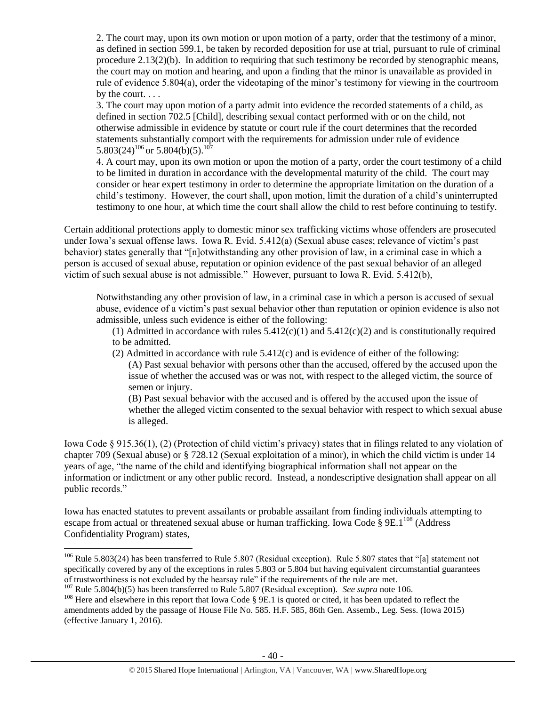2. The court may, upon its own motion or upon motion of a party, order that the testimony of a minor, as defined in section 599.1, be taken by recorded deposition for use at trial, pursuant to rule of criminal procedure 2.13(2)(b). In addition to requiring that such testimony be recorded by stenographic means, the court may on motion and hearing, and upon a finding that the minor is unavailable as provided in rule of evidence 5.804(a), order the videotaping of the minor's testimony for viewing in the courtroom by the court. . . .

3. The court may upon motion of a party admit into evidence the recorded statements of a child, as defined in section 702.5 [Child], describing sexual contact performed with or on the child, not otherwise admissible in evidence by statute or court rule if the court determines that the recorded statements substantially comport with the requirements for admission under rule of evidence 5.803(24)<sup>106</sup> or 5.804(b)(5).<sup>107</sup>

<span id="page-39-0"></span>4. A court may, upon its own motion or upon the motion of a party, order the court testimony of a child to be limited in duration in accordance with the developmental maturity of the child. The court may consider or hear expert testimony in order to determine the appropriate limitation on the duration of a child's testimony. However, the court shall, upon motion, limit the duration of a child's uninterrupted testimony to one hour, at which time the court shall allow the child to rest before continuing to testify.

Certain additional protections apply to domestic minor sex trafficking victims whose offenders are prosecuted under Iowa's sexual offense laws. Iowa R. Evid. 5.412(a) (Sexual abuse cases; relevance of victim's past behavior) states generally that "[n]otwithstanding any other provision of law, in a criminal case in which a person is accused of sexual abuse, reputation or opinion evidence of the past sexual behavior of an alleged victim of such sexual abuse is not admissible." However, pursuant to Iowa R. Evid. 5.412(b),

Notwithstanding any other provision of law, in a criminal case in which a person is accused of sexual abuse, evidence of a victim's past sexual behavior other than reputation or opinion evidence is also not admissible, unless such evidence is either of the following:

(1) Admitted in accordance with rules  $5.412(c)(1)$  and  $5.412(c)(2)$  and is constitutionally required to be admitted.

(2) Admitted in accordance with rule 5.412(c) and is evidence of either of the following: (A) Past sexual behavior with persons other than the accused, offered by the accused upon the issue of whether the accused was or was not, with respect to the alleged victim, the source of semen or injury.

(B) Past sexual behavior with the accused and is offered by the accused upon the issue of whether the alleged victim consented to the sexual behavior with respect to which sexual abuse is alleged.

Iowa Code § 915.36(1), (2) (Protection of child victim's privacy) states that in filings related to any violation of chapter 709 (Sexual abuse) or § 728.12 (Sexual exploitation of a minor), in which the child victim is under 14 years of age, "the name of the child and identifying biographical information shall not appear on the information or indictment or any other public record. Instead, a nondescriptive designation shall appear on all public records."

Iowa has enacted statutes to prevent assailants or probable assailant from finding individuals attempting to escape from actual or threatened sexual abuse or human trafficking. Iowa Code §  $9E.1^{108}$  (Address Confidentiality Program) states,

<sup>&</sup>lt;sup>106</sup> Rule 5.803(24) has been transferred to Rule 5.807 (Residual exception). Rule 5.807 states that "[a] statement not specifically covered by any of the exceptions in rules 5.803 or 5.804 but having equivalent circumstantial guarantees of trustworthiness is not excluded by the hearsay rule" if the requirements of the rule are met.

<sup>107</sup> Rule 5.804(b)(5) has been transferred to Rule 5.807 (Residual exception). *See supra* not[e 106.](#page-39-0)

<sup>&</sup>lt;sup>108</sup> Here and elsewhere in this report that Iowa Code § 9E.1 is quoted or cited, it has been updated to reflect the amendments added by the passage of House File No. 585. H.F. 585, 86th Gen. Assemb., Leg. Sess. (Iowa 2015) (effective January 1, 2016).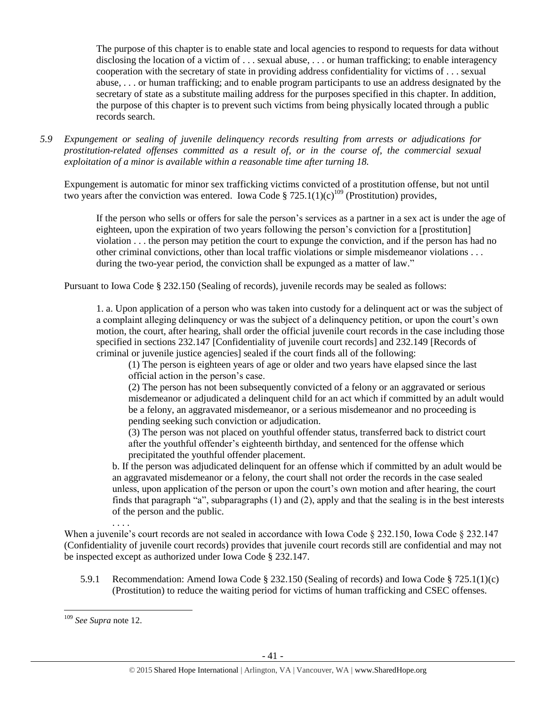The purpose of this chapter is to enable state and local agencies to respond to requests for data without disclosing the location of a victim of . . . sexual abuse, . . . or human trafficking; to enable interagency cooperation with the secretary of state in providing address confidentiality for victims of . . . sexual abuse, . . . or human trafficking; and to enable program participants to use an address designated by the secretary of state as a substitute mailing address for the purposes specified in this chapter. In addition, the purpose of this chapter is to prevent such victims from being physically located through a public records search.

*5.9 Expungement or sealing of juvenile delinquency records resulting from arrests or adjudications for prostitution-related offenses committed as a result of, or in the course of, the commercial sexual exploitation of a minor is available within a reasonable time after turning 18.*

Expungement is automatic for minor sex trafficking victims convicted of a prostitution offense, but not until two years after the conviction was entered. Iowa Code § 725.1(1)(c)<sup>109</sup> (Prostitution) provides,

If the person who sells or offers for sale the person's services as a partner in a sex act is under the age of eighteen, upon the expiration of two years following the person's conviction for a [prostitution] violation . . . the person may petition the court to expunge the conviction, and if the person has had no other criminal convictions, other than local traffic violations or simple misdemeanor violations . . . during the two-year period, the conviction shall be expunged as a matter of law."

Pursuant to Iowa Code § 232.150 (Sealing of records), juvenile records may be sealed as follows:

1. a. Upon application of a person who was taken into custody for a delinquent act or was the subject of a complaint alleging delinquency or was the subject of a delinquency petition, or upon the court's own motion, the court, after hearing, shall order the official juvenile court records in the case including those specified in sections 232.147 [Confidentiality of juvenile court records] and 232.149 [Records of criminal or juvenile justice agencies] sealed if the court finds all of the following:

(1) The person is eighteen years of age or older and two years have elapsed since the last official action in the person's case.

(2) The person has not been subsequently convicted of a felony or an aggravated or serious misdemeanor or adjudicated a delinquent child for an act which if committed by an adult would be a felony, an aggravated misdemeanor, or a serious misdemeanor and no proceeding is pending seeking such conviction or adjudication.

(3) The person was not placed on youthful offender status, transferred back to district court after the youthful offender's eighteenth birthday, and sentenced for the offense which precipitated the youthful offender placement.

b. If the person was adjudicated delinquent for an offense which if committed by an adult would be an aggravated misdemeanor or a felony, the court shall not order the records in the case sealed unless, upon application of the person or upon the court's own motion and after hearing, the court finds that paragraph "a", subparagraphs (1) and (2), apply and that the sealing is in the best interests of the person and the public.

. . . . When a juvenile's court records are not sealed in accordance with Iowa Code § 232.150, Iowa Code § 232.147 (Confidentiality of juvenile court records) provides that juvenile court records still are confidential and may not be inspected except as authorized under Iowa Code § 232.147.

5.9.1 Recommendation: Amend Iowa Code § 232.150 (Sealing of records) and Iowa Code § 725.1(1)(c) (Prostitution) to reduce the waiting period for victims of human trafficking and CSEC offenses.

 $\overline{a}$ <sup>109</sup> *See Supra* not[e 12.](#page-4-1)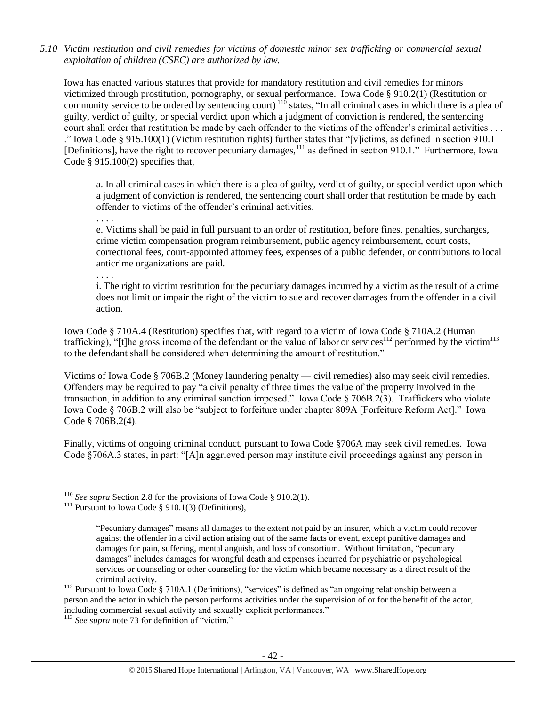*5.10 Victim restitution and civil remedies for victims of domestic minor sex trafficking or commercial sexual exploitation of children (CSEC) are authorized by law.* 

Iowa has enacted various statutes that provide for mandatory restitution and civil remedies for minors victimized through prostitution, pornography, or sexual performance. Iowa Code § 910.2(1) (Restitution or community service to be ordered by sentencing court)<sup>110</sup> states, "In all criminal cases in which there is a plea of guilty, verdict of guilty, or special verdict upon which a judgment of conviction is rendered, the sentencing court shall order that restitution be made by each offender to the victims of the offender's criminal activities . . . ." Iowa Code § 915.100(1) (Victim restitution rights) further states that "[v]ictims, as defined in section 910.1 [Definitions], have the right to recover pecuniary damages,<sup>111</sup> as defined in section 910.1." Furthermore, Iowa Code § 915.100(2) specifies that,

a. In all criminal cases in which there is a plea of guilty, verdict of guilty, or special verdict upon which a judgment of conviction is rendered, the sentencing court shall order that restitution be made by each offender to victims of the offender's criminal activities.

. . . .

. . . .

 $\overline{a}$ 

e. Victims shall be paid in full pursuant to an order of restitution, before fines, penalties, surcharges, crime victim compensation program reimbursement, public agency reimbursement, court costs, correctional fees, court-appointed attorney fees, expenses of a public defender, or contributions to local anticrime organizations are paid.

i. The right to victim restitution for the pecuniary damages incurred by a victim as the result of a crime does not limit or impair the right of the victim to sue and recover damages from the offender in a civil action.

Iowa Code § 710A.4 (Restitution) specifies that, with regard to a victim of Iowa Code § 710A.2 (Human trafficking), "[t]he gross income of the defendant or the value of labor or services<sup>112</sup> performed by the victim<sup>113</sup> to the defendant shall be considered when determining the amount of restitution."

Victims of Iowa Code § 706B.2 (Money laundering penalty — civil remedies) also may seek civil remedies. Offenders may be required to pay "a civil penalty of three times the value of the property involved in the transaction, in addition to any criminal sanction imposed." Iowa Code § 706B.2(3). Traffickers who violate Iowa Code § 706B.2 will also be "subject to forfeiture under chapter 809A [Forfeiture Reform Act]." Iowa Code § 706B.2(4).

Finally, victims of ongoing criminal conduct, pursuant to Iowa Code §706A may seek civil remedies. Iowa Code §706A.3 states, in part: "[A]n aggrieved person may institute civil proceedings against any person in

<sup>&</sup>lt;sup>110</sup> *See supra* Section 2.8 for the provisions of Iowa Code § 910.2(1).

<sup>&</sup>lt;sup>111</sup> Pursuant to Iowa Code § 910.1(3) (Definitions),

<sup>&</sup>quot;Pecuniary damages" means all damages to the extent not paid by an insurer, which a victim could recover against the offender in a civil action arising out of the same facts or event, except punitive damages and damages for pain, suffering, mental anguish, and loss of consortium. Without limitation, "pecuniary damages" includes damages for wrongful death and expenses incurred for psychiatric or psychological services or counseling or other counseling for the victim which became necessary as a direct result of the criminal activity.

<sup>&</sup>lt;sup>112</sup> Pursuant to Iowa Code § 710A.1 (Definitions), "services" is defined as "an ongoing relationship between a person and the actor in which the person performs activities under the supervision of or for the benefit of the actor, including commercial sexual activity and sexually explicit performances."

<sup>113</sup> *See supra* not[e 73](#page-22-0) for definition of "victim."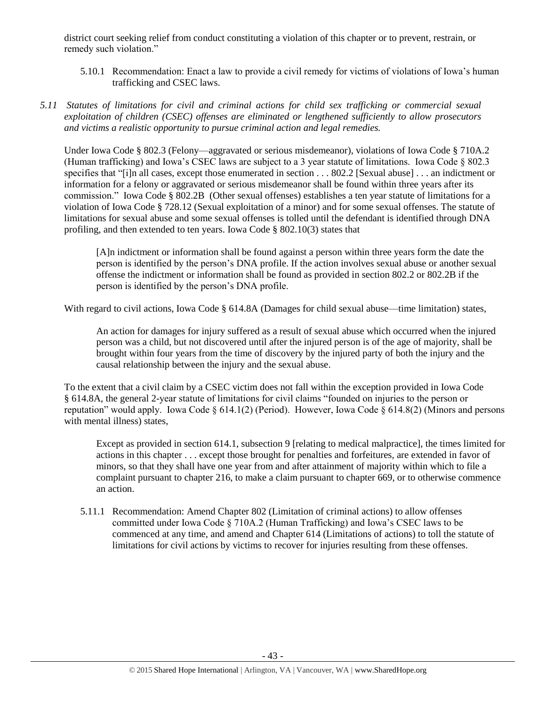district court seeking relief from conduct constituting a violation of this chapter or to prevent, restrain, or remedy such violation."

- 5.10.1 Recommendation: Enact a law to provide a civil remedy for victims of violations of Iowa's human trafficking and CSEC laws.
- *5.11 Statutes of limitations for civil and criminal actions for child sex trafficking or commercial sexual exploitation of children (CSEC) offenses are eliminated or lengthened sufficiently to allow prosecutors and victims a realistic opportunity to pursue criminal action and legal remedies.*

Under Iowa Code § 802.3 (Felony—aggravated or serious misdemeanor), violations of Iowa Code § 710A.2 (Human trafficking) and Iowa's CSEC laws are subject to a 3 year statute of limitations. Iowa Code § 802.3 specifies that "[i]n all cases, except those enumerated in section . . . 802.2 [Sexual abuse] . . . an indictment or information for a felony or aggravated or serious misdemeanor shall be found within three years after its commission." Iowa Code § 802.2B (Other sexual offenses) establishes a ten year statute of limitations for a violation of Iowa Code § 728.12 (Sexual exploitation of a minor) and for some sexual offenses. The statute of limitations for sexual abuse and some sexual offenses is tolled until the defendant is identified through DNA profiling, and then extended to ten years. Iowa Code § 802.10(3) states that

[A]n indictment or information shall be found against a person within three years form the date the person is identified by the person's DNA profile. If the action involves sexual abuse or another sexual offense the indictment or information shall be found as provided in section 802.2 or 802.2B if the person is identified by the person's DNA profile.

With regard to civil actions, Iowa Code § 614.8A (Damages for child sexual abuse—time limitation) states,

An action for damages for injury suffered as a result of sexual abuse which occurred when the injured person was a child, but not discovered until after the injured person is of the age of majority, shall be brought within four years from the time of discovery by the injured party of both the injury and the causal relationship between the injury and the sexual abuse.

To the extent that a civil claim by a CSEC victim does not fall within the exception provided in Iowa Code § 614.8A, the general 2-year statute of limitations for civil claims "founded on injuries to the person or reputation" would apply. Iowa Code § 614.1(2) (Period). However, Iowa Code § 614.8(2) (Minors and persons with mental illness) states.

Except as provided in section 614.1, subsection 9 [relating to medical malpractice], the times limited for actions in this chapter . . . except those brought for penalties and forfeitures, are extended in favor of minors, so that they shall have one year from and after attainment of majority within which to file a complaint pursuant to chapter 216, to make a claim pursuant to chapter 669, or to otherwise commence an action.

5.11.1 Recommendation: Amend Chapter 802 (Limitation of criminal actions) to allow offenses committed under Iowa Code § 710A.2 (Human Trafficking) and Iowa's CSEC laws to be commenced at any time, and amend and Chapter 614 (Limitations of actions) to toll the statute of limitations for civil actions by victims to recover for injuries resulting from these offenses.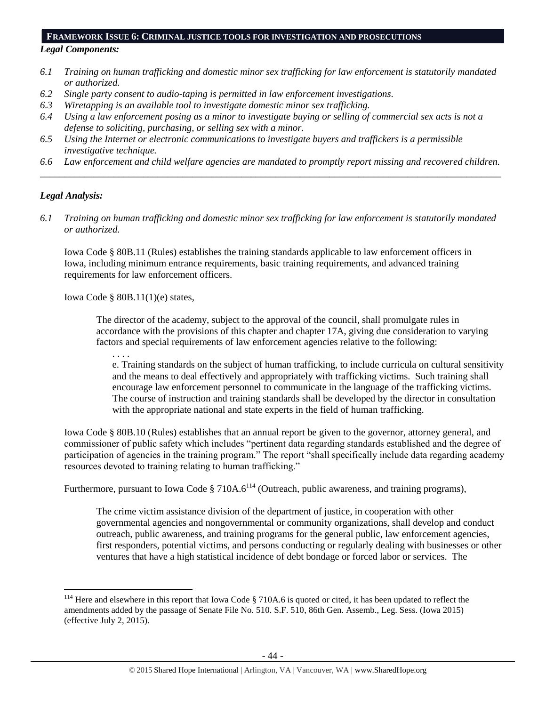#### **FRAMEWORK ISSUE 6: CRIMINAL JUSTICE TOOLS FOR INVESTIGATION AND PROSECUTIONS**

# *Legal Components:*

- *6.1 Training on human trafficking and domestic minor sex trafficking for law enforcement is statutorily mandated or authorized.*
- *6.2 Single party consent to audio-taping is permitted in law enforcement investigations.*
- *6.3 Wiretapping is an available tool to investigate domestic minor sex trafficking.*
- *6.4 Using a law enforcement posing as a minor to investigate buying or selling of commercial sex acts is not a defense to soliciting, purchasing, or selling sex with a minor.*
- *6.5 Using the Internet or electronic communications to investigate buyers and traffickers is a permissible investigative technique.*
- *6.6 Law enforcement and child welfare agencies are mandated to promptly report missing and recovered children. \_\_\_\_\_\_\_\_\_\_\_\_\_\_\_\_\_\_\_\_\_\_\_\_\_\_\_\_\_\_\_\_\_\_\_\_\_\_\_\_\_\_\_\_\_\_\_\_\_\_\_\_\_\_\_\_\_\_\_\_\_\_\_\_\_\_\_\_\_\_\_\_\_\_\_\_\_\_\_\_\_\_\_\_\_\_\_\_\_\_\_\_\_\_*

#### *Legal Analysis:*

 $\overline{a}$ 

*6.1 Training on human trafficking and domestic minor sex trafficking for law enforcement is statutorily mandated or authorized.*

Iowa Code § 80B.11 (Rules) establishes the training standards applicable to law enforcement officers in Iowa, including minimum entrance requirements, basic training requirements, and advanced training requirements for law enforcement officers.

Iowa Code § 80B.11(1)(e) states,

The director of the academy, subject to the approval of the council, shall promulgate rules in accordance with the provisions of this chapter and chapter 17A, giving due consideration to varying factors and special requirements of law enforcement agencies relative to the following:

. . . .

e. Training standards on the subject of human trafficking, to include curricula on cultural sensitivity and the means to deal effectively and appropriately with trafficking victims. Such training shall encourage law enforcement personnel to communicate in the language of the trafficking victims. The course of instruction and training standards shall be developed by the director in consultation with the appropriate national and state experts in the field of human trafficking.

Iowa Code § 80B.10 (Rules) establishes that an annual report be given to the governor, attorney general, and commissioner of public safety which includes "pertinent data regarding standards established and the degree of participation of agencies in the training program." The report "shall specifically include data regarding academy resources devoted to training relating to human trafficking."

Furthermore, pursuant to Iowa Code § 710A.6<sup>114</sup> (Outreach, public awareness, and training programs),

The crime victim assistance division of the department of justice, in cooperation with other governmental agencies and nongovernmental or community organizations, shall develop and conduct outreach, public awareness, and training programs for the general public, law enforcement agencies, first responders, potential victims, and persons conducting or regularly dealing with businesses or other ventures that have a high statistical incidence of debt bondage or forced labor or services. The

 $114$  Here and elsewhere in this report that Iowa Code § 710A.6 is quoted or cited, it has been updated to reflect the amendments added by the passage of Senate File No. 510. S.F. 510, 86th Gen. Assemb., Leg. Sess. (Iowa 2015) (effective July 2, 2015).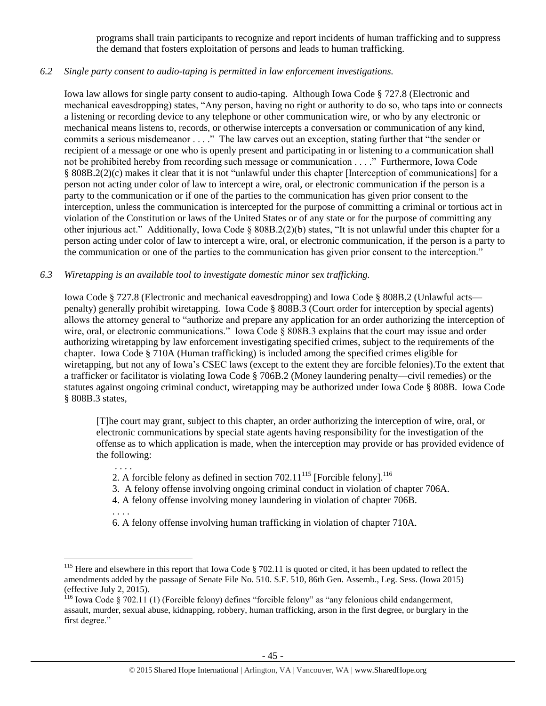programs shall train participants to recognize and report incidents of human trafficking and to suppress the demand that fosters exploitation of persons and leads to human trafficking.

# *6.2 Single party consent to audio-taping is permitted in law enforcement investigations.*

Iowa law allows for single party consent to audio-taping. Although Iowa Code § 727.8 (Electronic and mechanical eavesdropping) states, "Any person, having no right or authority to do so, who taps into or connects a listening or recording device to any telephone or other communication wire, or who by any electronic or mechanical means listens to, records, or otherwise intercepts a conversation or communication of any kind, commits a serious misdemeanor . . . ." The law carves out an exception, stating further that "the sender or recipient of a message or one who is openly present and participating in or listening to a communication shall not be prohibited hereby from recording such message or communication . . . ." Furthermore, Iowa Code § 808B.2(2)(c) makes it clear that it is not "unlawful under this chapter [Interception of communications] for a person not acting under color of law to intercept a wire, oral, or electronic communication if the person is a party to the communication or if one of the parties to the communication has given prior consent to the interception, unless the communication is intercepted for the purpose of committing a criminal or tortious act in violation of the Constitution or laws of the United States or of any state or for the purpose of committing any other injurious act." Additionally, Iowa Code § 808B.2(2)(b) states, "It is not unlawful under this chapter for a person acting under color of law to intercept a wire, oral, or electronic communication, if the person is a party to the communication or one of the parties to the communication has given prior consent to the interception."

# *6.3 Wiretapping is an available tool to investigate domestic minor sex trafficking.*

. . . .

. . . .

 $\overline{a}$ 

Iowa Code § 727.8 (Electronic and mechanical eavesdropping) and Iowa Code § 808B.2 (Unlawful acts penalty) generally prohibit wiretapping. Iowa Code § 808B.3 (Court order for interception by special agents) allows the attorney general to "authorize and prepare any application for an order authorizing the interception of wire, oral, or electronic communications." Iowa Code § 808B.3 explains that the court may issue and order authorizing wiretapping by law enforcement investigating specified crimes, subject to the requirements of the chapter. Iowa Code § 710A (Human trafficking) is included among the specified crimes eligible for wiretapping, but not any of Iowa's CSEC laws (except to the extent they are forcible felonies).To the extent that a trafficker or facilitator is violating Iowa Code § 706B.2 (Money laundering penalty—civil remedies) or the statutes against ongoing criminal conduct, wiretapping may be authorized under Iowa Code § 808B. Iowa Code § 808B.3 states,

[T]he court may grant, subject to this chapter, an order authorizing the interception of wire, oral, or electronic communications by special state agents having responsibility for the investigation of the offense as to which application is made, when the interception may provide or has provided evidence of the following:

- 2. A forcible felony as defined in section  $702.11^{115}$  [Forcible felony].<sup>116</sup>
- 3. A felony offense involving ongoing criminal conduct in violation of chapter 706A.
- 4. A felony offense involving money laundering in violation of chapter 706B.

6. A felony offense involving human trafficking in violation of chapter 710A.

<sup>&</sup>lt;sup>115</sup> Here and elsewhere in this report that Iowa Code § 702.11 is quoted or cited, it has been updated to reflect the amendments added by the passage of Senate File No. 510. S.F. 510, 86th Gen. Assemb., Leg. Sess. (Iowa 2015) (effective July 2, 2015).

<sup>&</sup>lt;sup>116</sup> Iowa Code § 702.11 (1) (Forcible felony) defines "forcible felony" as "any felonious child endangerment, assault, murder, sexual abuse, kidnapping, robbery, human trafficking, arson in the first degree, or burglary in the first degree."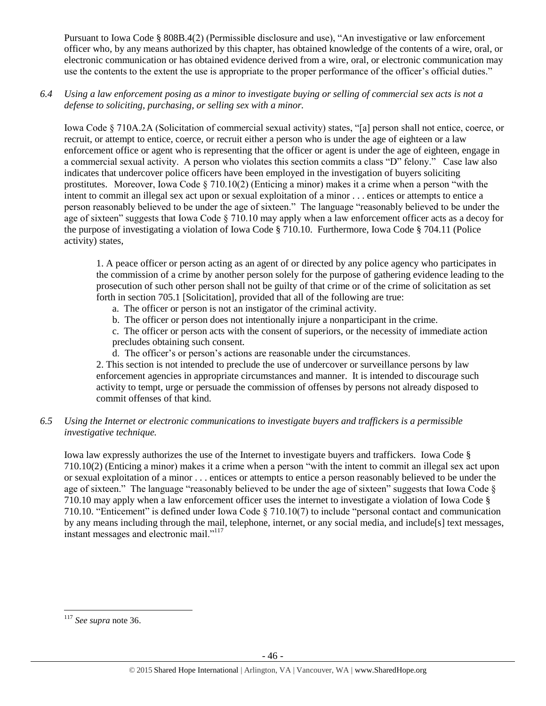Pursuant to Iowa Code § 808B.4(2) (Permissible disclosure and use), "An investigative or law enforcement officer who, by any means authorized by this chapter, has obtained knowledge of the contents of a wire, oral, or electronic communication or has obtained evidence derived from a wire, oral, or electronic communication may use the contents to the extent the use is appropriate to the proper performance of the officer's official duties."

*6.4 Using a law enforcement posing as a minor to investigate buying or selling of commercial sex acts is not a defense to soliciting, purchasing, or selling sex with a minor.*

Iowa Code § 710A.2A (Solicitation of commercial sexual activity) states, "[a] person shall not entice, coerce, or recruit, or attempt to entice, coerce, or recruit either a person who is under the age of eighteen or a law enforcement office or agent who is representing that the officer or agent is under the age of eighteen, engage in a commercial sexual activity. A person who violates this section commits a class "D" felony." Case law also indicates that undercover police officers have been employed in the investigation of buyers soliciting prostitutes. Moreover, Iowa Code  $\S 710.10(2)$  (Enticing a minor) makes it a crime when a person "with the intent to commit an illegal sex act upon or sexual exploitation of a minor . . . entices or attempts to entice a person reasonably believed to be under the age of sixteen." The language "reasonably believed to be under the age of sixteen" suggests that Iowa Code  $\S$  710.10 may apply when a law enforcement officer acts as a decoy for the purpose of investigating a violation of Iowa Code § 710.10. Furthermore, Iowa Code § 704.11 (Police activity) states,

1. A peace officer or person acting as an agent of or directed by any police agency who participates in the commission of a crime by another person solely for the purpose of gathering evidence leading to the prosecution of such other person shall not be guilty of that crime or of the crime of solicitation as set forth in section 705.1 [Solicitation], provided that all of the following are true:

- a. The officer or person is not an instigator of the criminal activity.
- b. The officer or person does not intentionally injure a nonparticipant in the crime.

c. The officer or person acts with the consent of superiors, or the necessity of immediate action precludes obtaining such consent.

d. The officer's or person's actions are reasonable under the circumstances.

2. This section is not intended to preclude the use of undercover or surveillance persons by law enforcement agencies in appropriate circumstances and manner. It is intended to discourage such activity to tempt, urge or persuade the commission of offenses by persons not already disposed to commit offenses of that kind.

# *6.5 Using the Internet or electronic communications to investigate buyers and traffickers is a permissible investigative technique.*

Iowa law expressly authorizes the use of the Internet to investigate buyers and traffickers. Iowa Code § 710.10(2) (Enticing a minor) makes it a crime when a person "with the intent to commit an illegal sex act upon or sexual exploitation of a minor . . . entices or attempts to entice a person reasonably believed to be under the age of sixteen." The language "reasonably believed to be under the age of sixteen" suggests that Iowa Code § 710.10 may apply when a law enforcement officer uses the internet to investigate a violation of Iowa Code § 710.10. "Enticement" is defined under Iowa Code § 710.10(7) to include "personal contact and communication by any means including through the mail, telephone, internet, or any social media, and include[s] text messages, instant messages and electronic mail."<sup>117</sup>

 $\overline{a}$ <sup>117</sup> *See supra* not[e 36.](#page-12-0)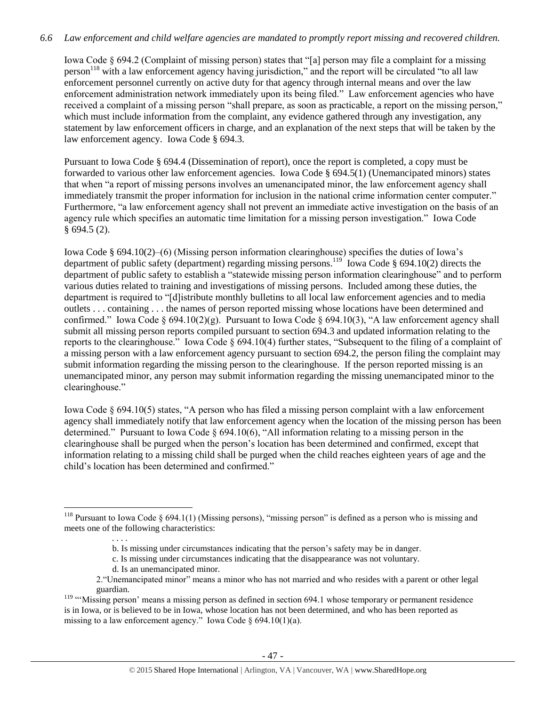# *6.6 Law enforcement and child welfare agencies are mandated to promptly report missing and recovered children.*

Iowa Code § 694.2 (Complaint of missing person) states that "[a] person may file a complaint for a missing person<sup>118</sup> with a law enforcement agency having jurisdiction," and the report will be circulated "to all law enforcement personnel currently on active duty for that agency through internal means and over the law enforcement administration network immediately upon its being filed." Law enforcement agencies who have received a complaint of a missing person "shall prepare, as soon as practicable, a report on the missing person," which must include information from the complaint, any evidence gathered through any investigation, any statement by law enforcement officers in charge, and an explanation of the next steps that will be taken by the law enforcement agency. Iowa Code § 694.3.

Pursuant to Iowa Code § 694.4 (Dissemination of report), once the report is completed, a copy must be forwarded to various other law enforcement agencies. Iowa Code § 694.5(1) (Unemancipated minors) states that when "a report of missing persons involves an umenancipated minor, the law enforcement agency shall immediately transmit the proper information for inclusion in the national crime information center computer." Furthermore, "a law enforcement agency shall not prevent an immediate active investigation on the basis of an agency rule which specifies an automatic time limitation for a missing person investigation." Iowa Code § 694.5 (2).

Iowa Code § 694.10(2)–(6) (Missing person information clearinghouse) specifies the duties of Iowa's department of public safety (department) regarding missing persons.<sup>119</sup> Iowa Code § 694.10(2) directs the department of public safety to establish a "statewide missing person information clearinghouse" and to perform various duties related to training and investigations of missing persons. Included among these duties, the department is required to "[d]istribute monthly bulletins to all local law enforcement agencies and to media outlets . . . containing . . . the names of person reported missing whose locations have been determined and confirmed." Iowa Code § 694.10(2)(g). Pursuant to Iowa Code § 694.10(3), "A law enforcement agency shall submit all missing person reports compiled pursuant to section 694.3 and updated information relating to the reports to the clearinghouse." Iowa Code § 694.10(4) further states, "Subsequent to the filing of a complaint of a missing person with a law enforcement agency pursuant to section 694.2, the person filing the complaint may submit information regarding the missing person to the clearinghouse. If the person reported missing is an unemancipated minor, any person may submit information regarding the missing unemancipated minor to the clearinghouse."

Iowa Code § 694.10(5) states, "A person who has filed a missing person complaint with a law enforcement agency shall immediately notify that law enforcement agency when the location of the missing person has been determined." Pursuant to Iowa Code § 694.10(6), "All information relating to a missing person in the clearinghouse shall be purged when the person's location has been determined and confirmed, except that information relating to a missing child shall be purged when the child reaches eighteen years of age and the child's location has been determined and confirmed."

<sup>&</sup>lt;sup>118</sup> Pursuant to Iowa Code § 694.1(1) (Missing persons), "missing person" is defined as a person who is missing and meets one of the following characteristics:

 <sup>. . . .</sup> b. Is missing under circumstances indicating that the person's safety may be in danger.

c. Is missing under circumstances indicating that the disappearance was not voluntary.

d. Is an unemancipated minor.

<sup>2.&</sup>quot;Unemancipated minor" means a minor who has not married and who resides with a parent or other legal guardian.

<sup>&</sup>lt;sup>119</sup> "'Missing person' means a missing person as defined in section 694.1 whose temporary or permanent residence is in Iowa, or is believed to be in Iowa, whose location has not been determined, and who has been reported as missing to a law enforcement agency." Iowa Code  $\delta$  694.10(1)(a).